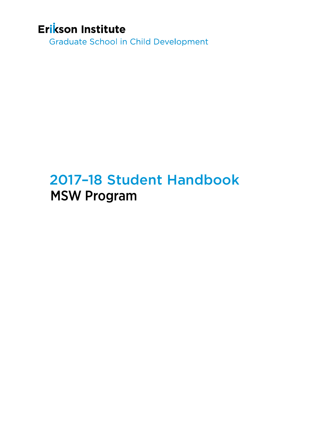# Erikson Institute

**Graduate School in Child Development** 

# 2017–18 Student Handbook MSW Program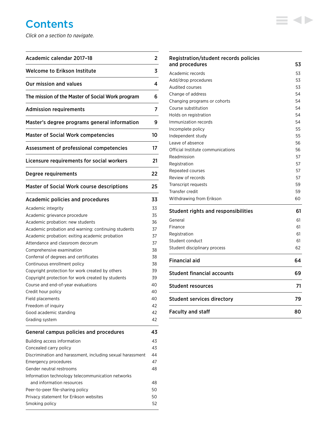# **Contents**

*Click on a section to navigate.*

| Academic calendar 2017-18                                  | 2        |
|------------------------------------------------------------|----------|
| <b>Welcome to Erikson Institute</b>                        | 3        |
| Our mission and values                                     | 4        |
| The mission of the Master of Social Work program           | 6        |
| <b>Admission requirements</b>                              | 7        |
| Master's degree programs general information               | 9        |
| Master of Social Work competencies                         | 10       |
| Assessment of professional competencies                    | 17       |
| Licensure requirements for social workers                  | 21       |
| Degree requirements                                        | 22       |
| Master of Social Work course descriptions                  | 25       |
| Academic policies and procedures                           | 33       |
| Academic integrity                                         | 33       |
| Academic grievance procedure                               | 35       |
| Academic probation: new students                           | 36       |
| Academic probation and warning: continuing students        | 37       |
| Academic probation: exiting academic probation             | 37       |
| Attendance and classroom decorum                           | 37       |
| Comprehensive examination                                  | 38       |
| Conferral of degrees and certificates                      | 38       |
| Continuous enrollment policy                               | 38       |
| Copyright protection for work created by others            | 39       |
| Copyright protection for work created by students          | 39       |
| Course and end-of-year evaluations                         | 40       |
| Credit hour policy                                         | 40       |
| Field placements                                           | 40       |
| Freedom of inquiry                                         | 42       |
| Good academic standing                                     | 42       |
| Grading system                                             | 42       |
| <b>General campus policies and procedures</b>              | 43       |
| Building access information                                | 43       |
| Concealed carry policy                                     | 43       |
| Discrimination and harassment, including sexual harassment | 44       |
| Emergency procedures                                       | 47       |
| Gender neutral restrooms                                   | 48       |
| Information technology telecommunication networks          |          |
| and information resources                                  | 48       |
| Peer-to-peer file-sharing policy                           | 50<br>50 |
| Privacy statement for Erikson websites<br>Smoking policy   | 52       |
|                                                            |          |

| Registration/student records policies      |    |
|--------------------------------------------|----|
| and procedures                             | 53 |
| Academic records                           | 53 |
| Add/drop procedures                        | 53 |
| <b>Audited courses</b>                     | 53 |
| Change of address                          | 54 |
| Changing programs or cohorts               | 54 |
| Course substitution                        | 54 |
| Holds on registration                      | 54 |
| Immunization records                       | 54 |
| Incomplete policy                          | 55 |
| Independent study                          | 55 |
| Leave of absence                           | 56 |
| Official Institute communications          | 56 |
| Readmission                                | 57 |
| Registration                               | 57 |
| Repeated courses                           | 57 |
| Review of records                          | 57 |
| Transcript requests                        | 59 |
| Transfer credit                            | 59 |
| Withdrawing from Erikson                   | 60 |
| <b>Student rights and responsibilities</b> | 61 |
| General                                    | 61 |
| Finance                                    | 61 |
| Registration                               | 61 |
| Student conduct                            | 61 |
| Student disciplinary process               | 62 |
| Financial aid                              | 64 |
| <b>Student financial accounts</b>          | 69 |
| <b>Student resources</b>                   | 71 |
| <b>Student services directory</b>          |    |
| <b>Faculty and staff</b>                   | 80 |

# $\equiv$  4>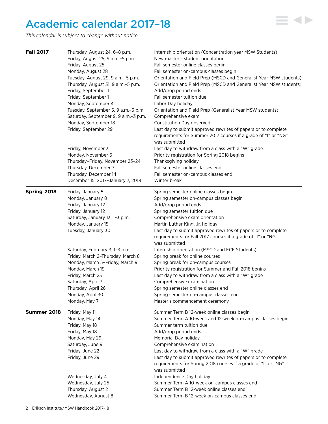# <span id="page-2-0"></span>Academic calendar 2017–18



| <b>Fall 2017</b> | Thursday, August 24, 6-8 p.m.        | Internship orientation (Concentration year MSW Students)           |
|------------------|--------------------------------------|--------------------------------------------------------------------|
|                  | Friday, August 25, 9 a.m. - 5 p.m.   | New master's student orientation                                   |
|                  | Friday, August 25                    | Fall semester online classes begin                                 |
|                  | Monday, August 28                    | Fall semester on-campus classes begin                              |
|                  | Tuesday, August 29, 9 a.m. - 5 p.m.  | Orientation and Field Prep (MSCD and Generalist Year MSW students) |
|                  | Thursday, August 31, 9 a.m. - 5 p.m. | Orientation and Field Prep (MSCD and Generalist Year MSW students) |
|                  | Friday, September 1                  | Add/drop period ends                                               |
|                  | Friday, September 1                  | Fall semester tuition due                                          |
|                  | Monday, September 4                  | Labor Day holiday                                                  |
|                  | Tuesday, September 5, 9 a.m.-5 p.m.  | Orientation and Field Prep (Generalist Year MSW students)          |
|                  | Saturday, September 9, 9 a.m.-3 p.m. | Comprehensive exam                                                 |
|                  | Monday, September 18                 | Constitution Day observed                                          |
|                  | Friday, September 29                 | Last day to submit approved rewrites of papers or to complete      |
|                  |                                      |                                                                    |
|                  |                                      | requirements for Summer 2017 courses if a grade of "I" or "NG"     |
|                  |                                      | was submitted                                                      |
|                  | Friday, November 3                   | Last day to withdraw from a class with a "W" grade                 |
|                  | Monday, November 6                   | Priority registration for Spring 2018 begins                       |
|                  | Thursday-Friday, November 23-24      | Thanksgiving holiday                                               |
|                  | Thursday, December 7                 | Fall semester online classes end                                   |
|                  | Thursday, December 14                | Fall semester on-campus classes end                                |
|                  | December 15, 2017-January 7, 2018    | Winter break                                                       |
| Spring 2018      | Friday, January 5                    | Spring semester online classes begin                               |
|                  | Monday, January 8                    | Spring semester on-campus classes begin                            |
|                  | Friday, January 12                   | Add/drop period ends                                               |
|                  | Friday, January 12                   | Spring semester tuition due                                        |
|                  | Saturday, January 13, 1-3 p.m.       | Comprehensive exam orientation                                     |
|                  | Monday, January 15                   | Martin Luther King, Jr. holiday                                    |
|                  | Tuesday, January 30                  | Last day to submit approved rewrites of papers or to complete      |
|                  |                                      | requirements for Fall 2017 courses if a grade of "I" or "NG"       |
|                  |                                      | was submitted                                                      |
|                  | Saturday, February 3, 1-3 p.m.       | Internship orientation (MSCD and ECE Students)                     |
|                  |                                      |                                                                    |
|                  | Friday, March 2-Thursday, March 8    | Spring break for online courses                                    |
|                  | Monday, March 5-Friday, March 9      | Spring break for on-campus courses                                 |
|                  | Monday, March 19                     | Priority registration for Summer and Fall 2018 begins              |
|                  | Friday, March 23                     | Last day to withdraw from a class with a "W" grade                 |
|                  | Saturday, April 7                    | Comprehensive examination                                          |
|                  | Thursday, April 26                   | Spring semester online classes end                                 |
|                  | Monday, April 30                     | Spring semester on-campus classes end                              |
|                  | Monday, May 7                        | Master's commencement ceremony                                     |
| Summer 2018      | Friday, May 11                       | Summer Term B 12-week online classes begin                         |
|                  | Monday, May 14                       | Summer Term A 10-week and 12-week on-campus classes begin          |
|                  | Friday, May 18                       | Summer term tuition due                                            |
|                  | Friday, May 18                       | Add/drop period ends                                               |
|                  | Monday, May 29                       | Memorial Day holiday                                               |
|                  | Saturday, June 9                     | Comprehensive examination                                          |
|                  | Friday, June 22                      | Last day to withdraw from a class with a "W" grade                 |
|                  | Friday, June 29                      | Last day to submit approved rewrites of papers or to complete      |
|                  |                                      | requirements for Spring 2018 courses if a grade of "I" or "NG"     |
|                  |                                      | was submitted                                                      |
|                  | Wednesday, July 4                    | Independence Day holiday                                           |
|                  | Wednesday, July 25                   | Summer Term A 10-week on-campus classes end                        |
|                  | Thursday, August 2                   | Summer Term B 12-week online classes end                           |
|                  | Wednesday, August 8                  | Summer Term B 12-week on-campus classes end                        |
|                  |                                      |                                                                    |

 $\equiv$  4>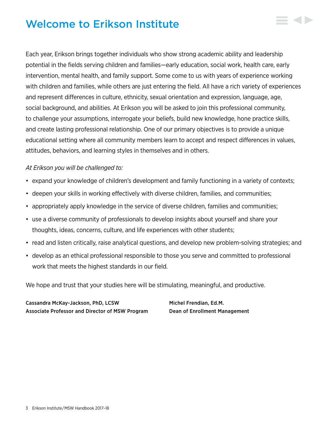# <span id="page-3-0"></span>Welcome to Erikson Institute

Each year, Erikson brings together individuals who show strong academic ability and leadership potential in the fields serving children and families—early education, social work, health care, early intervention, mental health, and family support. Some come to us with years of experience working with children and families, while others are just entering the field. All have a rich variety of experiences and represent differences in culture, ethnicity, sexual orientation and expression, language, age, social background, and abilities. At Erikson you will be asked to join this professional community, to challenge your assumptions, interrogate your beliefs, build new knowledge, hone practice skills, and create lasting professional relationship. One of our primary objectives is to provide a unique educational setting where all community members learn to accept and respect differences in values, attitudes, behaviors, and learning styles in themselves and in others.

# *At Erikson you will be challenged to:*

- expand your knowledge of children's development and family functioning in a variety of contexts;
- deepen your skills in working effectively with diverse children, families, and communities;
- appropriately apply knowledge in the service of diverse children, families and communities;
- use a diverse community of professionals to develop insights about yourself and share your thoughts, ideas, concerns, culture, and life experiences with other students;
- read and listen critically, raise analytical questions, and develop new problem-solving strategies; and
- develop as an ethical professional responsible to those you serve and committed to professional work that meets the highest standards in our field.

We hope and trust that your studies here will be stimulating, meaningful, and productive.

Cassandra McKay-Jackson, PhD, LCSW Michel Frendian, Ed.M. Associate Professor and Director of MSW Program Dean of Enrollment Management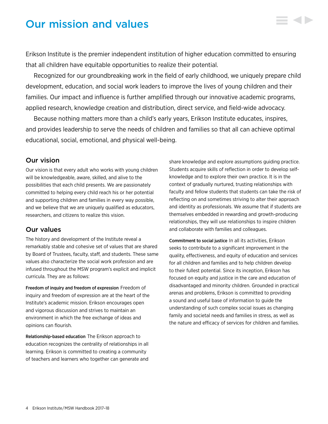# <span id="page-4-0"></span>Our mission and values

Erikson Institute is the premier independent institution of higher education committed to ensuring that all children have equitable opportunities to realize their potential.

Recognized for our groundbreaking work in the field of early childhood, we uniquely prepare child development, education, and social work leaders to improve the lives of young children and their families. Our impact and influence is further amplified through our innovative academic programs, applied research, knowledge creation and distribution, direct service, and field-wide advocacy.

Because nothing matters more than a child's early years, Erikson Institute educates, inspires, and provides leadership to serve the needs of children and families so that all can achieve optimal educational, social, emotional, and physical well-being.

# Our vision

Our vision is that every adult who works with young children will be knowledgeable, aware, skilled, and alive to the possibilities that each child presents. We are passionately committed to helping every child reach his or her potential and supporting children and families in every way possible, and we believe that we are uniquely qualified as educators, researchers, and citizens to realize this vision.

# Our values

The history and development of the Institute reveal a remarkably stable and cohesive set of values that are shared by Board of Trustees, faculty, staff, and students. These same values also characterize the social work profession and are infused throughout the MSW program's explicit and implicit curricula. They are as follows:

Freedom of inquiry and freedom of expression Freedom of inquiry and freedom of expression are at the heart of the Institute's academic mission. Erikson encourages open and vigorous discussion and strives to maintain an environment in which the free exchange of ideas and opinions can flourish.

Relationship-based education The Erikson approach to education recognizes the centrality of relationships in all learning. Erikson is committed to creating a community of teachers and learners who together can generate and

share knowledge and explore assumptions guiding practice. Students acquire skills of reflection in order to develop selfknowledge and to explore their own practice. It is in the context of gradually nurtured, trusting relationships with faculty and fellow students that students can take the risk of reflecting on and sometimes striving to alter their approach and identity as professionals. We assume that if students are themselves embedded in rewarding and growth-producing relationships, they will use relationships to inspire children and collaborate with families and colleagues.

Commitment to social justice In all its activities, Erikson seeks to contribute to a significant improvement in the quality, effectiveness, and equity of education and services for all children and families and to help children develop to their fullest potential. Since its inception, Erikson has focused on equity and justice in the care and education of disadvantaged and minority children. Grounded in practical arenas and problems, Erikson is committed to providing a sound and useful base of information to guide the understanding of such complex social issues as changing family and societal needs and families in stress, as well as the nature and efficacy of services for children and families.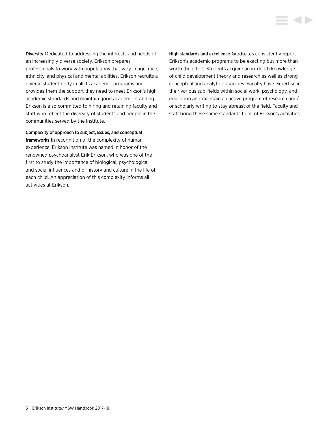Diversity Dedicated to addressing the interests and needs of an increasingly diverse society, Erikson prepares professionals to work with populations that vary in age, race, ethnicity, and physical and mental abilities. Erikson recruits a diverse student body in all its academic programs and provides them the support they need to meet Erikson's high academic standards and maintain good academic standing. Erikson is also committed to hiring and retaining faculty and staff who reflect the diversity of students and people in the communities served by the Institute.

Complexity of approach to subject, issues, and conceptual frameworks In recognition of the complexity of human experience, Erikson Institute was named in honor of the renowned psychoanalyst Erik Erikson, who was one of the first to study the importance of biological, psychological, and social influences and of history and culture in the life of each child. An appreciation of this complexity informs all activities at Erikson.

High standards and excellence Graduates consistently report Erikson's academic programs to be exacting but more than worth the effort. Students acquire an in-depth knowledge of child development theory and research as well as strong conceptual and analytic capacities. Faculty have expertise in their various sub-fields within social work, psychology, and education and maintain an active program of research and/ or scholarly writing to stay abreast of the field. Faculty and staff bring these same standards to all of Erikson's activities.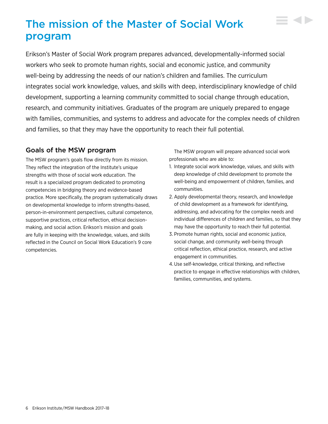# <span id="page-6-0"></span>The mission of the Master of Social Work program

Erikson's Master of Social Work program prepares advanced, developmentally-informed social workers who seek to promote human rights, social and economic justice, and community well-being by addressing the needs of our nation's children and families. The curriculum integrates social work knowledge, values, and skills with deep, interdisciplinary knowledge of child development, supporting a learning community committed to social change through education, research, and community initiatives. Graduates of the program are uniquely prepared to engage with families, communities, and systems to address and advocate for the complex needs of children and families, so that they may have the opportunity to reach their full potential.

# Goals of the MSW program

The MSW program's goals flow directly from its mission. They reflect the integration of the Institute's unique strengths with those of social work education. The result is a specialized program dedicated to promoting competencies in bridging theory and evidence-based practice. More specifically, the program systematically draws on developmental knowledge to inform strengths-based, person-in-environment perspectives, cultural competence, supportive practices, critical reflection, ethical decisionmaking, and social action. Erikson's mission and goals are fully in keeping with the knowledge, values, and skills reflected in the Council on Social Work Education's 9 core competencies.

The MSW program will prepare advanced social work professionals who are able to:

- 1. Integrate social work knowledge, values, and skills with deep knowledge of child development to promote the well-being and empowerment of children, families, and communities.
- 2. Apply developmental theory, research, and knowledge of child development as a framework for identifying, addressing, and advocating for the complex needs and individual differences of children and families, so that they may have the opportunity to reach their full potential.
- 3. Promote human rights, social and economic justice, social change, and community well-being through critical reflection, ethical practice, research, and active engagement in communities.
- 4.Use self-knowledge, critical thinking, and reflective practice to engage in effective relationships with children, families, communities, and systems.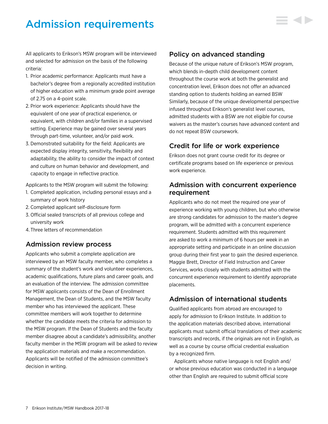# <span id="page-7-0"></span>Admission requirements

All applicants to Erikson's MSW program will be interviewed and selected for admission on the basis of the following criteria:

- 1. Prior academic performance: Applicants must have a bachelor's degree from a regionally accredited institution of higher education with a minimum grade point average of 2.75 on a 4-point scale.
- 2. Prior work experience: Applicants should have the equivalent of one year of practical experience, or equivalent, with children and/or families in a supervised setting. Experience may be gained over several years through part-time, volunteer, and/or paid work.
- 3. Demonstrated suitability for the field: Applicants are expected display integrity, sensitivity, flexibility and adaptability, the ability to consider the impact of context and culture on human behavior and development, and capacity to engage in reflective practice.

Applicants to the MSW program will submit the following:

- 1. Completed application, including personal essays and a summary of work history
- 2. Completed applicant self-disclosure form
- 3. Official sealed transcripts of all previous college and university work
- 4. Three letters of recommendation

# Admission review process

Applicants who submit a complete application are interviewed by an MSW faculty member, who completes a summary of the student's work and volunteer experiences, academic qualifications, future plans and career goals, and an evaluation of the interview. The admission committee for MSW applicants consists of the Dean of Enrollment Management, the Dean of Students, and the MSW faculty member who has interviewed the applicant. These committee members will work together to determine whether the candidate meets the criteria for admission to the MSW program. If the Dean of Students and the faculty member disagree about a candidate's admissibility, another faculty member in the MSW program will be asked to review the application materials and make a recommendation. Applicants will be notified of the admission committee's decision in writing.

# Policy on advanced standing

Because of the unique nature of Erikson's MSW program, which blends in-depth child development content throughout the course work at both the generalist and concentration level, Erikson does not offer an advanced standing option to students holding an earned BSW Similarly, because of the unique developmental perspective infused throughout Erikson's generalist level courses, admitted students with a BSW are not eligible for course waivers as the master's courses have advanced content and do not repeat BSW coursework.

# Credit for life or work experience

Erikson does not grant course credit for its degree or certificate programs based on life experience or previous work experience.

# Admission with concurrent experience requirement

Applicants who do not meet the required one year of experience working with young children, but who otherwise are strong candidates for admission to the master's degree program, will be admitted with a concurrent experience requirement. Students admitted with this requirement are asked to work a minimum of 6 hours per week in an appropriate setting and participate in an online discussion group during their first year to gain the desired experience. Maggie Brett, Director of Field Instruction and Career Services, works closely with students admitted with the concurrent experience requirement to identify appropriate placements.

# Admission of international students

Qualified applicants from abroad are encouraged to apply for admission to Erikson Institute. In addition to the application materials described above, international applicants must submit official translations of their academic transcripts and records, if the originals are not in English, as well as a course by course official credential evaluation by a recognized firm.

Applicants whose native language is not English and/ or whose previous education was conducted in a language other than English are required to submit official score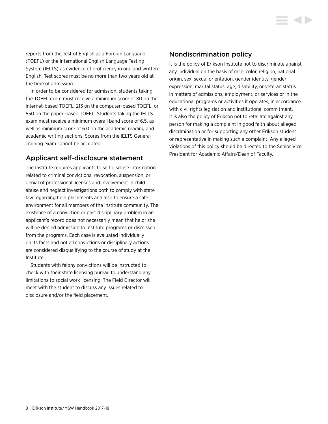reports from the Test of English as a Foreign Language (TOEFL) or the International English Language Testing System (IELTS) as evidence of proficiency in oral and written English. Test scores must be no more than two years old at the time of admission.

In order to be considered for admission, students taking the TOEFL exam must receive a minimum score of 80 on the internet-based TOEFL, 213 on the computer-based TOEFL, or 550 on the paper-based TOEFL. Students taking the IELTS exam must receive a minimum overall band score of 6.5, as well as minimum score of 6.0 on the academic reading and academic writing sections. Scores from the IELTS General Training exam cannot be accepted.

# Applicant self-disclosure statement

The Institute requires applicants to self disclose information related to criminal convictions, revocation, suspension, or denial of professional licenses and involvement in child abuse and neglect investigations both to comply with state law regarding field placements and also to ensure a safe environment for all members of the Institute community. The existence of a conviction or past disciplinary problem in an applicant's record does not necessarily mean that he or she will be denied admission to Institute programs or dismissed from the programs. Each case is evaluated individually on its facts and not all convictions or disciplinary actions are considered disqualifying to the course of study at the Institute.

Students with felony convictions will be instructed to check with their state licensing bureau to understand any limitations to social work licensing. The Field Director will meet with the student to discuss any issues related to disclosure and/or the field placement.

# Nondiscrimination policy

It is the policy of Erikson Institute not to discriminate against any individual on the basis of race, color, religion, national origin, sex, sexual orientation, gender identity, gender expression, marital status, age, disability, or veteran status in matters of admissions, employment, or services or in the educational programs or activities it operates, in accordance with civil rights legislation and institutional commitment. It is also the policy of Erikson not to retaliate against any person for making a complaint in good faith about alleged discrimination or for supporting any other Erikson student or representative in making such a complaint. Any alleged violations of this policy should be directed to the Senior Vice President for Academic Affairs/Dean of Faculty.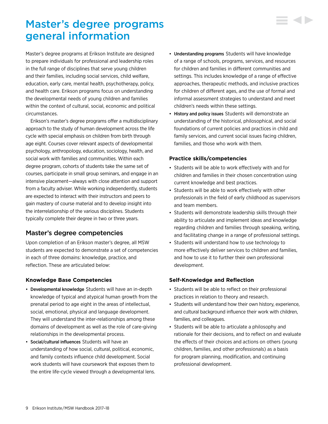# <span id="page-9-0"></span>Master's degree programs general information

Master's degree programs at Erikson Institute are designed to prepare individuals for professional and leadership roles in the full range of disciplines that serve young children and their families, including social services, child welfare, education, early care, mental health, psychotherapy, policy, and health care. Erikson programs focus on understanding the developmental needs of young children and families within the context of cultural, social, economic and political circumstances.

Erikson's master's degree programs offer a multidisciplinary approach to the study of human development across the life cycle with special emphasis on children from birth through age eight. Courses cover relevant aspects of developmental psychology, anthropology, education, sociology, health, and social work with families and communities. Within each degree program, cohorts of students take the same set of courses, participate in small group seminars, and engage in an intensive placement—always with close attention and support from a faculty adviser. While working independently, students are expected to interact with their instructors and peers to gain mastery of course material and to develop insight into the interrelationship of the various disciplines. Students typically complete their degree in two or three years.

# Master's degree competencies

Upon completion of an Erikson master's degree, all MSW students are expected to demonstrate a set of competencies in each of three domains: knowledge, practice, and reflection. These are articulated below:

# **Knowledge Base Competencies**

- Developmental knowledge Students will have an in-depth knowledge of typical and atypical human growth from the prenatal period to age eight in the areas of intellectual, social, emotional, physical and language development. They will understand the inter-relationships among these domains of development as well as the role of care-giving relationships in the developmental process.
- Social/cultural influences Students will have an understanding of how social, cultural, political, economic, and family contexts influence child development. Social work students will have coursework that exposes them to the entire life-cycle viewed through a developmental lens.
- Understanding programs Students will have knowledge of a range of schools, programs, services, and resources for children and families in different communities and settings. This includes knowledge of a range of effective approaches, therapeutic methods, and inclusive practices for children of different ages, and the use of formal and informal assessment strategies to understand and meet children's needs within these settings.
- History and policy issues Students will demonstrate an understanding of the historical, philosophical, and social foundations of current policies and practices in child and family services, and current social issues facing children, families, and those who work with them.

## **Practice skills/competencies**

- Students will be able to work effectively with and for children and families in their chosen concentration using current knowledge and best practices.
- Students will be able to work effectively with other professionals in the field of early childhood as supervisors and team members.
- Students will demonstrate leadership skills through their ability to articulate and implement ideas and knowledge regarding children and families through speaking, writing, and facilitating change in a range of professional settings.
- Students will understand how to use technology to more effectively deliver services to children and families, and how to use it to further their own professional development.

## **Self-Knowledge and Reflection**

- Students will be able to reflect on their professional practices in relation to theory and research.
- Students will understand how their own history, experience, and cultural background influence their work with children, families, and colleagues.
- Students will be able to articulate a philosophy and rationale for their decisions, and to reflect on and evaluate the effects of their choices and actions on others (young children, families, and other professionals) as a basis for program planning, modification, and continuing professional development.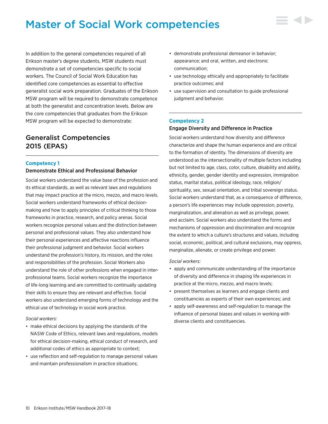# <span id="page-10-0"></span>Master of Social Work competencies

In addition to the general competencies required of all Erikson master's degree students, MSW students must demonstrate a set of competencies specific to social workers. The Council of Social Work Education has identified core competencies as essential to effective generalist social work preparation. Graduates of the Erikson MSW program will be required to demonstrate competence at both the generalist and concentration levels. Below are the core competencies that graduates from the Erikson MSW program will be expected to demonstrate:

# Generalist Competencies 2015 (EPAS)

## **Competency 1** Demonstrate Ethical and Professional Behavior

Social workers understand the value base of the profession and its ethical standards, as well as relevant laws and regulations that may impact practice at the micro, mezzo, and macro levels. Social workers understand frameworks of ethical decisionmaking and how to apply principles of critical thinking to those frameworks in practice, research, and policy arenas. Social workers recognize personal values and the distinction between personal and professional values. They also understand how their personal experiences and affective reactions influence their professional judgment and behavior. Social workers understand the profession's history, its mission, and the roles and responsibilities of the profession. Social Workers also understand the role of other professions when engaged in interprofessional teams. Social workers recognize the importance of life-long learning and are committed to continually updating their skills to ensure they are relevant and effective. Social workers also understand emerging forms of technology and the ethical use of technology in social work practice.

### *Social workers:*

- make ethical decisions by applying the standards of the NASW Code of Ethics, relevant laws and regulations, models for ethical decision-making, ethical conduct of research, and additional codes of ethics as appropriate to context;
- use reflection and self-regulation to manage personal values and maintain professionalism in practice situations;
- demonstrate professional demeanor in behavior; appearance; and oral, written, and electronic communication;
- use technology ethically and appropriately to facilitate practice outcomes; and
- use supervision and consultation to guide professional judgment and behavior.

### **Competency 2**

### Engage Diversity and Difference in Practice

Social workers understand how diversity and difference characterize and shape the human experience and are critical to the formation of identity. The dimensions of diversity are understood as the intersectionality of multiple factors including but not limited to age, class, color, culture, disability and ability, ethnicity, gender, gender identity and expression, immigration status, marital status, political ideology, race, religion/ spirituality, sex, sexual orientation, and tribal sovereign status. Social workers understand that, as a consequence of difference, a person's life experiences may include oppression, poverty, marginalization, and alienation as well as privilege, power, and acclaim. Social workers also understand the forms and mechanisms of oppression and discrimination and recognize the extent to which a culture's structures and values, including social, economic, political, and cultural exclusions, may oppress, marginalize, alienate, or create privilege and power.

- apply and communicate understanding of the importance of diversity and difference in shaping life experiences in practice at the micro, mezzo, and macro levels;
- present themselves as learners and engage clients and constituencies as experts of their own experiences; and
- apply self-awareness and self-regulation to manage the influence of personal biases and values in working with diverse clients and constituencies.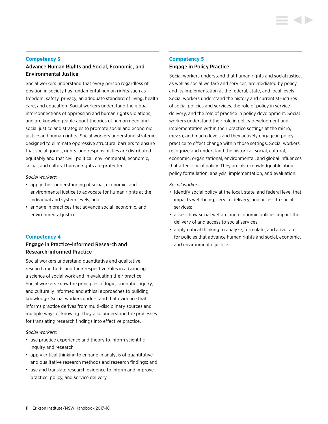## **Competency 3**

## Advance Human Rights and Social, Economic, and Environmental Justice

Social workers understand that every person regardless of position in society has fundamental human rights such as freedom, safety, privacy, an adequate standard of living, health care, and education. Social workers understand the global interconnections of oppression and human rights violations, and are knowledgeable about theories of human need and social justice and strategies to promote social and economic justice and human rights. Social workers understand strategies designed to eliminate oppressive structural barriers to ensure that social goods, rights, and responsibilities are distributed equitably and that civil, political, environmental, economic, social, and cultural human rights are protected.

*Social workers:*

- apply their understanding of social, economic, and environmental justice to advocate for human rights at the individual and system levels; and
- engage in practices that advance social, economic, and environmental justice.

## **Competency 4**

## Engage in Practice-informed Research and Research-informed Practice

Social workers understand quantitative and qualitative research methods and their respective roles in advancing a science of social work and in evaluating their practice. Social workers know the principles of logic, scientific inquiry, and culturally informed and ethical approaches to building knowledge. Social workers understand that evidence that informs practice derives from multi-disciplinary sources and multiple ways of knowing. They also understand the processes for translating research findings into effective practice.

*Social workers:*

- use practice experience and theory to inform scientific inquiry and research;
- apply critical thinking to engage in analysis of quantitative and qualitative research methods and research findings; and
- use and translate research evidence to inform and improve practice, policy, and service delivery.

## **Competency 5**

### Engage in Policy Practice

Social workers understand that human rights and social justice, as well as social welfare and services, are mediated by policy and its implementation at the federal, state, and local levels. Social workers understand the history and current structures of social policies and services, the role of policy in service delivery, and the role of practice in policy development. Social workers understand their role in policy development and implementation within their practice settings at the micro, mezzo, and macro levels and they actively engage in policy practice to effect change within those settings. Social workers recognize and understand the historical, social, cultural, economic, organizational, environmental, and global influences that affect social policy. They are also knowledgeable about policy formulation, analysis, implementation, and evaluation.

- Identify social policy at the local, state, and federal level that impacts well-being, service delivery, and access to social services;
- assess how social welfare and economic policies impact the delivery of and access to social services;
- apply critical thinking to analyze, formulate, and advocate for policies that advance human rights and social, economic, and environmental justice.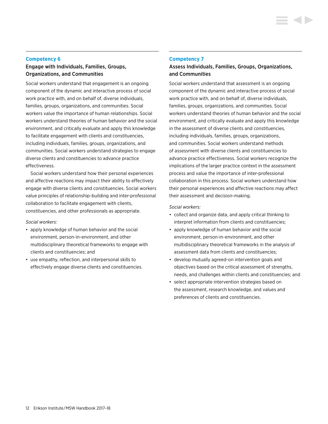## **Competency 6**

## Engage with Individuals, Families, Groups, Organizations, and Communities

Social workers understand that engagement is an ongoing component of the dynamic and interactive process of social work practice with, and on behalf of, diverse individuals, families, groups, organizations, and communities. Social workers value the importance of human relationships. Social workers understand theories of human behavior and the social environment, and critically evaluate and apply this knowledge to facilitate engagement with clients and constituencies, including individuals, families, groups, organizations, and communities. Social workers understand strategies to engage diverse clients and constituencies to advance practice effectiveness.

Social workers understand how their personal experiences and affective reactions may impact their ability to effectively engage with diverse clients and constituencies. Social workers value principles of relationship-building and inter-professional collaboration to facilitate engagement with clients, constituencies, and other professionals as appropriate.

#### *Social workers:*

- apply knowledge of human behavior and the social environment, person-in-environment, and other multidisciplinary theoretical frameworks to engage with clients and constituencies; and
- use empathy, reflection, and interpersonal skills to effectively engage diverse clients and constituencies.

## **Competency 7**

## Assess Individuals, Families, Groups, Organizations, and Communities

Social workers understand that assessment is an ongoing component of the dynamic and interactive process of social work practice with, and on behalf of, diverse individuals, families, groups, organizations, and communities. Social workers understand theories of human behavior and the social environment, and critically evaluate and apply this knowledge in the assessment of diverse clients and constituencies, including individuals, families, groups, organizations, and communities. Social workers understand methods of assessment with diverse clients and constituencies to advance practice effectiveness. Social workers recognize the implications of the larger practice context in the assessment process and value the importance of inter-professional collaboration in this process. Social workers understand how their personal experiences and affective reactions may affect their assessment and decision-making.

- collect and organize data, and apply critical thinking to interpret information from clients and constituencies;
- apply knowledge of human behavior and the social environment, person-in-environment, and other multidisciplinary theoretical frameworks in the analysis of assessment data from clients and constituencies;
- develop mutually agreed-on intervention goals and objectives based on the critical assessment of strengths, needs, and challenges within clients and constituencies; and
- select appropriate intervention strategies based on the assessment, research knowledge, and values and preferences of clients and constituencies.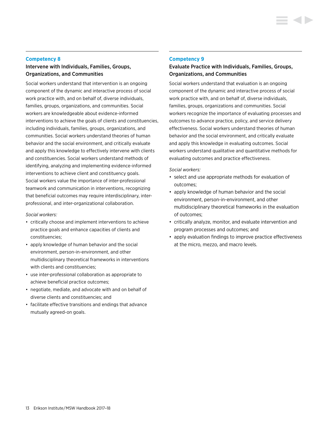## **Competency 8**

## Intervene with Individuals, Families, Groups, Organizations, and Communities

Social workers understand that intervention is an ongoing component of the dynamic and interactive process of social work practice with, and on behalf of, diverse individuals, families, groups, organizations, and communities. Social workers are knowledgeable about evidence-informed interventions to achieve the goals of clients and constituencies, including individuals, families, groups, organizations, and communities. Social workers understand theories of human behavior and the social environment, and critically evaluate and apply this knowledge to effectively intervene with clients and constituencies. Social workers understand methods of identifying, analyzing and implementing evidence-informed interventions to achieve client and constituency goals. Social workers value the importance of inter-professional teamwork and communication in interventions, recognizing that beneficial outcomes may require interdisciplinary, interprofessional, and inter-organizational collaboration.

#### *Social workers:*

- critically choose and implement interventions to achieve practice goals and enhance capacities of clients and constituencies;
- apply knowledge of human behavior and the social environment, person-in-environment, and other multidisciplinary theoretical frameworks in interventions with clients and constituencies;
- use inter-professional collaboration as appropriate to achieve beneficial practice outcomes;
- negotiate, mediate, and advocate with and on behalf of diverse clients and constituencies; and
- facilitate effective transitions and endings that advance mutually agreed-on goals.

### **Competency 9**

## Evaluate Practice with Individuals, Families, Groups, Organizations, and Communities

Social workers understand that evaluation is an ongoing component of the dynamic and interactive process of social work practice with, and on behalf of, diverse individuals, families, groups, organizations and communities. Social workers recognize the importance of evaluating processes and outcomes to advance practice, policy, and service delivery effectiveness. Social workers understand theories of human behavior and the social environment, and critically evaluate and apply this knowledge in evaluating outcomes. Social workers understand qualitative and quantitative methods for evaluating outcomes and practice effectiveness.

- select and use appropriate methods for evaluation of outcomes;
- apply knowledge of human behavior and the social environment, person-in-environment, and other multidisciplinary theoretical frameworks in the evaluation of outcomes;
- critically analyze, monitor, and evaluate intervention and program processes and outcomes; and
- apply evaluation findings to improve practice effectiveness at the micro, mezzo, and macro levels.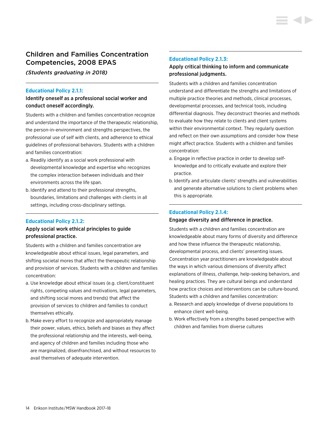# Children and Families Concentration Competencies, 2008 EPAS

*(Students graduating in 2018)*

## **Educational Policy 2.1.1:**

## Identify oneself as a professional social worker and conduct oneself accordingly.

Students with a children and families concentration recognize and understand the importance of the therapeutic relationship, the person-in-environment and strengths perspectives, the professional use of self with clients, and adherence to ethical guidelines of professional behaviors. Students with a children and families concentration:

- a. Readily identify as a social work professional with developmental knowledge and expertise who recognizes the complex interaction between individuals and their environments across the life span.
- b. Identify and attend to their professional strengths, boundaries, limitations and challenges with clients in all settings, including cross-disciplinary settings.

## **Educational Policy 2.1.2:**

## Apply social work ethical principles to guide professional practice.

Students with a children and families concentration are knowledgeable about ethical issues, legal parameters, and shifting societal mores that affect the therapeutic relationship and provision of services. Students with a children and families concentration:

- a. Use knowledge about ethical issues (e.g. client/constituent rights, competing values and motivations, legal parameters, and shifting social mores and trends) that affect the provision of services to children and families to conduct themselves ethically.
- b. Make every effort to recognize and appropriately manage their power, values, ethics, beliefs and biases as they affect the professional relationship and the interests, well-being, and agency of children and families including those who are marginalized, disenfranchised, and without resources to avail themselves of adequate intervention.

### **Educational Policy 2.1.3:**

## Apply critical thinking to inform and communicate professional judgments.

Students with a children and families concentration understand and differentiate the strengths and limitations of multiple practice theories and methods, clinical processes, developmental processes, and technical tools, including differential diagnosis. They deconstruct theories and methods to evaluate how they relate to clients and client systems within their environmental context. They regularly question and reflect on their own assumptions and consider how these might affect practice. Students with a children and families concentration:

- a. Engage in reflective practice in order to develop selfknowledge and to critically evaluate and explore their practice.
- b. Identify and articulate clients' strengths and vulnerabilities and generate alternative solutions to client problems when this is appropriate.

### **Educational Policy 2.1.4:**

#### Engage diversity and difference in practice.

Students with a children and families concentration are knowledgeable about many forms of diversity and difference and how these influence the therapeutic relationship, developmental process, and clients' presenting issues. Concentration year practitioners are knowledgeable about the ways in which various dimensions of diversity affect explanations of illness, challenge, help-seeking behaviors, and healing practices. They are cultural beings and understand how practice choices and interventions can be culture-bound. Students with a children and families concentration:

- a. Research and apply knowledge of diverse populations to enhance client well-being.
- b. Work effectively from a strengths based perspective with children and families from diverse cultures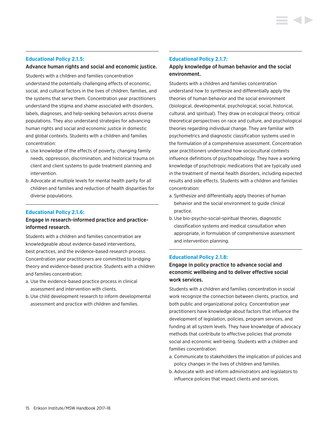## **Educational Policy 2.1.5:**

### Advance human rights and social and economic justice.

Students with a children and families concentration understand the potentially challenging effects of economic, social, and cultural factors in the lives of children, families, and the systems that serve them. Concentration year practitioners understand the stigma and shame associated with disorders, labels, diagnoses, and help-seeking behaviors across diverse populations. They also understand strategies for advancing human rights and social and economic justice in domestic and global contexts. Students with a children and families concentration:

- a. Use knowledge of the effects of poverty, changing family needs, oppression, discrimination, and historical trauma on client and client systems to guide treatment planning and intervention.
- b. Advocate at multiple levels for mental health parity for all children and families and reduction of health disparities for diverse populations.

## **Educational Policy 2.1.6:**

## Engage in research-informed practice and practiceinformed research.

Students with a children and families concentration are knowledgeable about evidence-based interventions, best practices, and the evidence-based research process. Concentration year practitioners are committed to bridging theory and evidence-based practice. Students with a children and families concentration:

- a. Use the evidence-based practice process in clinical assessment and intervention with clients.
- b. Use child development research to inform developmental assessment and practice with children and families.

### **Educational Policy 2.1.7:**

## Apply knowledge of human behavior and the social environment.

Students with a children and families concentration understand how to synthesize and differentially apply the theories of human behavior and the social environment (biological, developmental, psychological, social, historical, cultural, and spiritual). They draw on ecological theory, critical theoretical perspectives on race and culture, and psychological theories regarding individual change. They are familiar with psychometrics and diagnostic classification systems used in the formulation of a comprehensive assessment. Concentration year practitioners understand how sociocultural contexts influence definitions of psychopathology. They have a working knowledge of psychotropic medications that are typically used in the treatment of mental health disorders, including expected results and side effects. Students with a children and families concentration:

- a. Synthesize and differentially apply theories of human behavior and the social environment to guide clinical practice.
- b. Use bio-psycho-social-spiritual theories, diagnostic classification systems and medical consultation when appropriate, in formulation of comprehensive assessment and intervention planning.

### **Educational Policy 2.1.8:**

# Engage in policy practice to advance social and economic wellbeing and to deliver effective social work services.

Students with a children and families concentration in social work recognize the connection between clients, practice, and both public and organizational policy. Concentration year practitioners have knowledge about factors that influence the development of legislation, policies, program services, and funding at all system levels. They have knowledge of advocacy methods that contribute to effective policies that promote social and economic well-being. Students with a children and families concentration:

- a. Communicate to stakeholders the implication of policies and policy changes in the lives of children and families.
- b. Advocate with and inform administrators and legislators to influence policies that impact clients and services.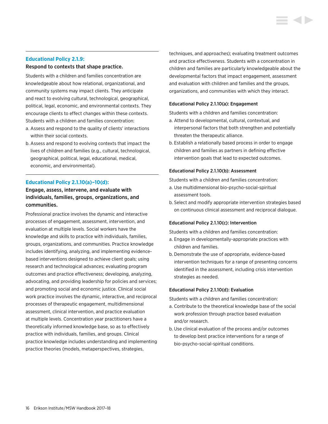## **Educational Policy 2.1.9:**

#### Respond to contexts that shape practice.

Students with a children and families concentration are knowledgeable about how relational, organizational, and community systems may impact clients. They anticipate and react to evolving cultural, technological, geographical, political, legal, economic, and environmental contexts. They encourage clients to effect changes within these contexts. Students with a children and families concentration:

- a. Assess and respond to the quality of clients' interactions within their social contexts.
- b. Assess and respond to evolving contexts that impact the lives of children and families (e.g., cultural, technological, geographical, political, legal, educational, medical, economic, and environmental).

### **Educational Policy 2.1.10(a)–10(d):**

# Engage, assess, intervene, and evaluate with individuals, families, groups, organizations, and communities.

Professional practice involves the dynamic and interactive processes of engagement, assessment, intervention, and evaluation at multiple levels. Social workers have the knowledge and skills to practice with individuals, families, groups, organizations, and communities. Practice knowledge includes identifying, analyzing, and implementing evidencebased interventions designed to achieve client goals; using research and technological advances; evaluating program outcomes and practice effectiveness; developing, analyzing, advocating, and providing leadership for policies and services; and promoting social and economic justice. Clinical social work practice involves the dynamic, interactive, and reciprocal processes of therapeutic engagement, multidimensional assessment, clinical intervention, and practice evaluation at multiple levels. Concentration year practitioners have a theoretically informed knowledge base, so as to effectively practice with individuals, families, and groups. Clinical practice knowledge includes understanding and implementing practice theories (models, metaperspectives, strategies,

techniques, and approaches); evaluating treatment outcomes and practice effectiveness. Students with a concentration in children and families are particularly knowledgeable about the developmental factors that impact engagement, assessment and evaluation with children and families and the groups, organizations, and communities with which they interact.

#### Educational Policy 2.1.10(a): Engagement

Students with a children and families concentration:

- a. Attend to developmental, cultural, contextual, and interpersonal factors that both strengthen and potentially threaten the therapeutic alliance.
- b. Establish a relationally based process in order to engage children and families as partners in defining effective intervention goals that lead to expected outcomes.

#### Educational Policy 2.1.10(b): Assessment

Students with a children and families concentration:

- a. Use multidimensional bio-psycho-social-spiritual assessment tools.
- b. Select and modify appropriate intervention strategies based on continuous clinical assessment and reciprocal dialogue.

#### Educational Policy 2.1.10(c): Intervention

Students with a children and families concentration:

- a. Engage in developmentally-appropriate practices with children and families.
- b. Demonstrate the use of appropriate, evidence-based intervention techniques for a range of presenting concerns identified in the assessment, including crisis intervention strategies as needed.

#### Educational Policy 2.1.10(d): Evaluation

Students with a children and families concentration:

- a. Contribute to the theoretical knowledge base of the social work profession through practice based evaluation and/or research.
- b. Use clinical evaluation of the process and/or outcomes to develop best practice interventions for a range of bio-psycho-social-spiritual conditions.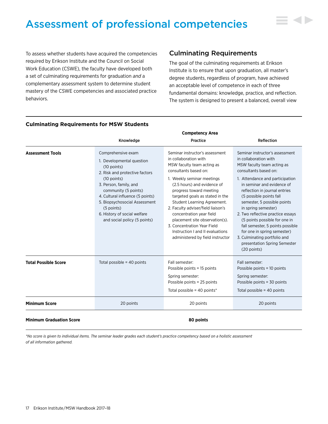# <span id="page-17-0"></span>Assessment of professional competencies

To assess whether students have acquired the competencies required by Erikson Institute and the Council on Social Work Education (CSWE), the faculty have developed both a set of culminating requirements for graduation *and* a complementary assessment system to determine student mastery of the CSWE competencies and associated practice behaviors.

# Culminating Requirements

The goal of the culminating requirements at Erikson Institute is to ensure that upon graduation, all master's degree students, regardless of program, have achieved an acceptable level of competence in each of three fundamental domains: knowledge, practice, and reflection. The system is designed to present a balanced, overall view

**d** b

|                                 |                                                                                                                                                                                                                                                                                                                          | <b>Competency Area</b>                                                                                                                                                                                                                                                                                                                                                                                                                                                               |                                                                                                                                                                                                                                                                                                                                                                                                                                                                                                                            |
|---------------------------------|--------------------------------------------------------------------------------------------------------------------------------------------------------------------------------------------------------------------------------------------------------------------------------------------------------------------------|--------------------------------------------------------------------------------------------------------------------------------------------------------------------------------------------------------------------------------------------------------------------------------------------------------------------------------------------------------------------------------------------------------------------------------------------------------------------------------------|----------------------------------------------------------------------------------------------------------------------------------------------------------------------------------------------------------------------------------------------------------------------------------------------------------------------------------------------------------------------------------------------------------------------------------------------------------------------------------------------------------------------------|
|                                 | Knowledge                                                                                                                                                                                                                                                                                                                | Practice                                                                                                                                                                                                                                                                                                                                                                                                                                                                             | Reflection                                                                                                                                                                                                                                                                                                                                                                                                                                                                                                                 |
| <b>Assessment Tools</b>         | Comprehensive exam<br>1. Developmental question<br>$(10$ points)<br>2. Risk and protective factors<br>$(10$ points)<br>3. Person, family, and<br>community (5 points)<br>4. Cultural influence (5 points)<br>5. Biopsychosocial Assessment<br>(5 points)<br>6. History of social welfare<br>and social policy (5 points) | Seminar instructor's assessment<br>in collaboration with<br>MSW faculty team acting as<br>consultants based on:<br>1. Weekly seminar meetings<br>(2.5 hours) and evidence of<br>progress toward meeting<br>targeted goals as stated in the<br>Student Learning Agreement.<br>2. Faculty adviser/field liaison's<br>concentration year field<br>placement site observation(s).<br>3. Concentration Year Field<br>Instruction I and II evaluations<br>administered by field instructor | Seminar instructor's assessment<br>in collaboration with<br>MSW faculty team acting as<br>consultants based on:<br>1. Attendance and participation<br>in seminar and evidence of<br>reflection in journal entries<br>(5 possible points fall<br>semester, 5 possible points<br>in spring semester)<br>2. Two reflective practice essays<br>(5 points possible for one in<br>fall semester, 5 points possible<br>for one in spring semester)<br>3. Culminating portfolio and<br>presentation Spring Semester<br>(20 points) |
| <b>Total Possible Score</b>     | Total possible = $40$ points                                                                                                                                                                                                                                                                                             | Fall semester:<br>Possible points = 15 points<br>Spring semester:<br>Possible points = 25 points<br>Total possible = 40 points*                                                                                                                                                                                                                                                                                                                                                      | Fall semester:<br>Possible points = 10 points<br>Spring semester:<br>Possible points = 30 points<br>Total possible = 40 points                                                                                                                                                                                                                                                                                                                                                                                             |
| <b>Minimum Score</b>            | 20 points                                                                                                                                                                                                                                                                                                                | 20 points                                                                                                                                                                                                                                                                                                                                                                                                                                                                            | 20 points                                                                                                                                                                                                                                                                                                                                                                                                                                                                                                                  |
| <b>Minimum Graduation Score</b> |                                                                                                                                                                                                                                                                                                                          | 80 points                                                                                                                                                                                                                                                                                                                                                                                                                                                                            |                                                                                                                                                                                                                                                                                                                                                                                                                                                                                                                            |

## **Culminating Requirements for MSW Students**

*\*No score is given to individual items. The seminar leader grades each student's practice competency based on a holistic assessment of all information gathered.*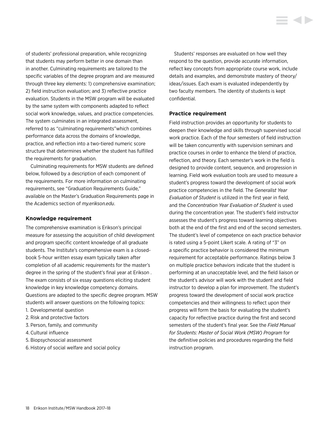of students' professional preparation, while recognizing that students may perform better in one domain than in another. Culminating requirements are tailored to the specific variables of the degree program and are measured through three key elements: 1) comprehensive examination; 2) field instruction evaluation; and 3) reflective practice evaluation. Students in the MSW program will be evaluated by the same system with components adapted to reflect social work knowledge, values, and practice competencies. The system culminates in an integrated assessment, referred to as "culminating requirements"which combines performance data across the domains of knowledge, practice, and reflection into a two-tiered numeric score structure that determines whether the student has fulfilled the requirements for graduation.

Culminating requirements for MSW students are defined below, followed by a description of each component of the requirements. For more information on culminating requirements, see "Graduation Requirements Guide," available on the Master's Graduation Requirements page in the Academics section of *my.erikson.edu*.

### **Knowledge requirement**

The comprehensive examination is Erikson's principal measure for assessing the acquisition of child development and program specific content knowledge of all graduate students. The Institute's comprehensive exam is a closedbook 5-hour written essay exam typically taken after completion of all academic requirements for the master's degree in the spring of the student's final year at Erikson . The exam consists of six essay questions eliciting student knowledge in key knowledge competency domains. Questions are adapted to the specific degree program. MSW students will answer questions on the following topics:

- 1. Developmental question
- 2. Risk and protective factors
- 3. Person, family, and community
- 4.Cultural influence
- 5. Biopsychosocial assessment
- 6.History of social welfare and social policy

Students' responses are evaluated on how well they respond to the question, provide accurate information, reflect key concepts from appropriate course work, include details and examples, and demonstrate mastery of theory/ ideas/issues. Each exam is evaluated independently by two faculty members. The identity of students is kept confidential.

## **Practice requirement**

Field instruction provides an opportunity for students to deepen their knowledge and skills through supervised social work practice. Each of the four semesters of field instruction will be taken concurrently with supervision seminars and practice courses in order to enhance the blend of practice, reflection, and theory. Each semester's work in the field is designed to provide content, sequence, and progression in learning. Field work evaluation tools are used to measure a student's progress toward the development of social work practice competencies in the field. The *Generalist Year Evaluation of Student* is utilized in the first year in field, and the *Concentration Year Evaluation of Student* is used during the concentration year. The student's field instructor assesses the student's progress toward learning objectives both at the end of the first and end of the second semesters. The student's level of competence on each practice behavior is rated using a 5-point Likert scale. A rating of "3" on a specific practice behavior is considered the minimum requirement for acceptable performance. Ratings below 3 on multiple practice behaviors indicate that the student is performing at an unacceptable level, and the field liaison or the student's advisor will work with the student and field instructor to develop a plan for improvement. The student's progress toward the development of social work practice competencies and their willingness to reflect upon their progress will form the basis for evaluating the student's capacity for reflective practice during the first and second semesters of the student's final year. See the *Field Manual for Students: Master of Social Work (MSW) Program* for the definitive policies and procedures regarding the field instruction program.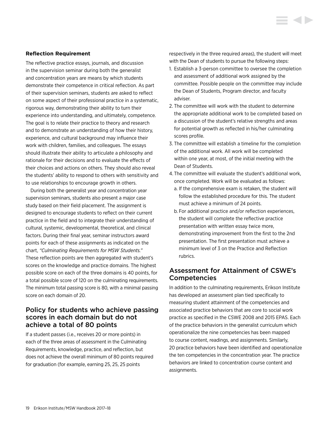## **Reflection Requirement**

The reflective practice essays, journals, and discussion in the supervision seminar during both the generalist and concentration years are means by which students demonstrate their competence in critical reflection. As part of their supervision seminars, students are asked to reflect on some aspect of their professional practice in a systematic, rigorous way, demonstrating their ability to turn their experience into understanding, and ultimately, competence. The goal is to relate their practice to theory and research and to demonstrate an understanding of how their history, experience, and cultural background may influence their work with children, families, and colleagues. The essays should illustrate their ability to articulate a philosophy and rationale for their decisions and to evaluate the effects of their choices and actions on others. They should also reveal the students' ability to respond to others with sensitivity and to use relationships to encourage growth in others.

During both the generalist year and concentration year supervision seminars, students also present a major case study based on their field placement. The assignment is designed to encourage students to reflect on their current practice in the field and to integrate their understanding of cultural, systemic, developmental, theoretical, and clinical factors. During their final year, seminar instructors award points for each of these assignments as indicated on the chart, *"Culminating Requirements for MSW Students."* These reflection points are then aggregated with student's scores on the knowledge and practice domains. The highest possible score on each of the three domains is 40 points, for a total possible score of 120 on the culminating requirements. The minimum total passing score is 80, with a minimal passing score on each domain of 20.

# Policy for students who achieve passing scores in each domain but do not achieve a total of 80 points

If a student passes (i.e., receives 20 or more points) in each of the three areas of assessment in the Culminating Requirements, knowledge, practice, and reflection, but does not achieve the overall minimum of 80 points required for graduation (for example, earning 25, 25, 25 points

respectively in the three required areas), the student will meet with the Dean of students to pursue the following steps:

- 1. Establish a 3-person committee to oversee the completion and assessment of additional work assigned by the committee. Possible people on the committee may include the Dean of Students, Program director, and faculty adviser.
- 2. The committee will work with the student to determine the appropriate additional work to be completed based on a discussion of the student's relative strengths and areas for potential growth as reflected in his/her culminating scores profile.
- 3. The committee will establish a timeline for the completion of the additional work. All work will be completed within one year, at most, of the initial meeting with the Dean of Students.
- 4. The committee will evaluate the student's additional work, once completed. Work will be evaluated as follows:
	- a. If the comprehensive exam is retaken, the student will follow the established procedure for this. The student must achieve a minimum of 24 points.
	- b. For additional practice and/or reflection experiences, the student will complete the reflective practice presentation with written essay twice more, demonstrating improvement from the first to the 2nd presentation. The first presentation must achieve a minimum level of 3 on the Practice and Reflection rubrics.

# Assessment for Attainment of CSWE's Competencies

In addition to the culminating requirements, Erikson Institute has developed an assessment plan tied specifically to measuring student attainment of the competencies and associated practice behaviors that are core to social work practice as specified in the CSWE 2008 and 2015 EPAS. Each of the practice behaviors in the generalist curriculum which operationalize the nine competencies has been mapped to course content, readings, and assignments. Similarly, 20 practice behaviors have been identified and operationalize the ten competencies in the concentration year. The practice behaviors are linked to concentration course content and assignments.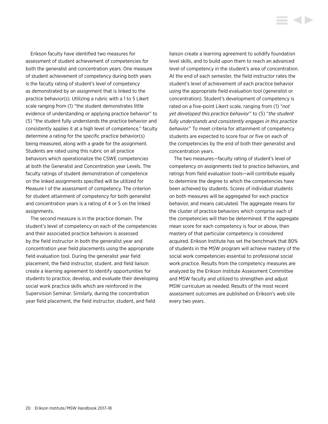Erikson faculty have identified two measures for assessment of student achievement of competencies for both the generalist and concentration years. One measure of student achievement of competency during both years is the faculty rating of student's level of competency as demonstrated by an assignment that is linked to the practice behavior(s). Utilizing a rubric with a 1 to 5 Likert scale ranging from (1) "the student demonstrates little evidence of understanding or applying practice behavior" to (5) "the student fully understands the practice behavior and consistently applies it at a high level of competence," faculty determine a rating for the specific practice behavior(s) being measured, along with a grade for the assignment. Students are rated using this rubric on all practice behaviors which operationalize the CSWE competencies at both the Generalist and Concentration year Levels. The faculty ratings of student demonstration of competence on the linked assignments specified will be utilized for Measure I of the assessment of competency. The criterion for student attainment of competency for both generalist and concentration years is a rating of 4 or 5 on the linked assignments.

The second measure is in the practice domain. The student's level of competency on each of the competencies and their associated practice behaviors is assessed by the field instructor in both the generalist year and concentration year field placements using the appropriate field evaluation tool. During the generalist year field placement, the field instructor, student, and field liaison create a learning agreement to identify opportunities for students to practice, develop, and evaluate their developing social work practice skills which are reinforced in the Supervision Seminar. Similarly, during the concentration year field placement, the field instructor, student, and field

liaison create a learning agreement to solidify foundation level skills, and to build upon them to reach an advanced level of competency in the student's area of concentration. At the end of each semester, the field instructor rates the student's level of achievement of each practice behavior using the appropriate field evaluation tool (generalist or concentration). Student's development of competency is rated on a five-point Likert scale, ranging from (1) "*not yet developed this practice behavior*" to (5) "*the student fully understands and consistently engages in this practice behavior*." To meet criteria for attainment of competency students are expected to score four or five on each of the competencies by the end of both their generalist and concentration years.

The two measures—faculty rating of student's level of competency on assignments tied to practice behaviors, and ratings from field evaluation tools—will contribute equally to determine the degree to which the competencies have been achieved by students. Scores of individual students on both measures will be aggregated for each practice behavior, and means calculated. The aggregate means for the cluster of practice behaviors which comprise each of the competencies will then be determined. If the aggregate mean score for each competency is four or above, then mastery of that particular competency is considered acquired. Erikson Institute has set the benchmark that 80% of students in the MSW program will achieve mastery of the social work competencies essential to professional social work practice. Results from the competency measures are analyzed by the Erikson Institute Assessment Committee and MSW faculty and utilized to strengthen and adjust MSW curriculum as needed. Results of the most recent assessment outcomes are published on Erikson's web site every two years.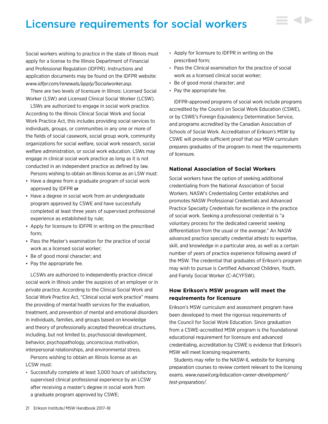# <span id="page-21-0"></span>Licensure requirements for social workers

Social workers wishing to practice in the state of Illinois must apply for a license to the Illinois Department of Financial and Professional Regulation (IDFPR). Instructions and application documents may be found on the IDFPR website: *[www.idfpr.com/renewals/apply/Socialworker.asp.](http://www.idfpr.com/renewals/apply/Socialworker.asp)*

There are two levels of licensure in Illinois: Licensed Social Worker (LSW) and Licensed Clinical Social Worker (LCSW).

LSWs are authorized to engage in social work practice. According to the Illinois Clinical Social Work and Social Work Practice Act, this includes providing social services to individuals, groups, or communities in any one or more of the fields of social casework, social group work, community organizations for social welfare, social work research, social welfare administration, or social work education. LSWs may engage in clinical social work practice as long as it is not conducted in an independent practice as defined by law.

Persons wishing to obtain an Illinois license as an LSW must:

- Have a degree from a graduate program of social work approved by IDFPR or
- Have a degree in social work from an undergraduate program approved by CSWE and have successfully completed at least three years of supervised professional experience as established by rule;
- Apply for licensure to IDFPR in writing on the prescribed form;
- Pass the Master's examination for the practice of social work as a licensed social worker;
- Be of good moral character; and
- Pay the appropriate fee.

LCSWs are authorized to independently practice clinical social work in Illinois under the auspices of an employer or in private practice. According to the Clinical Social Work and Social Work Practice Act, "Clinical social work practice" means the providing of mental health services for the evaluation, treatment, and prevention of mental and emotional disorders in individuals, families, and groups based on knowledge and theory of professionally accepted theoretical structures, including, but not limited to, psychosocial development, behavior, psychopathology, unconscious motivation, interpersonal relationships, and environmental stress.

Persons wishing to obtain an Illinois license as an LCSW must:

• Successfully complete at least 3,000 hours of satisfactory, supervised clinical professional experience by an LCSW after receiving a master's degree in social work from a graduate program approved by CSWE;

- Apply for licensure to IDFPR in writing on the prescribed form;
- Pass the Clinical examination for the practice of social work as a licensed clinical social worker;

- 4 b

- Be of good moral character; and
- Pay the appropriate fee.

IDFPR-approved programs of social work include programs accredited by the Council on Social Work Education (CSWE), or by CSWE's Foreign Equivalency Determination Service, and programs accredited by the Canadian Association of Schools of Social Work. Accreditation of Erikson's MSW by CSWE will provide sufficient proof that our MSW curriculum prepares graduates of the program to meet the requirements of licensure.

## **National Association of Social Workers**

Social workers have the option of seeking additional credentialing from the National Association of Social Workers. NASW's Credentialing Center establishes and promotes NASW Professional Credentials and Advanced Practice Specialty Credentials for excellence in the practice of social work. Seeking a professional credential is "a voluntary process for the dedicated careerist seeking differentiation from the usual or the average." An NASW advanced practice specialty credential attests to expertise, skill, and knowledge in a particular area, as well as a certain number of years of practice experience following award of the MSW. The credential that graduates of Erikson's program may wish to pursue is Certified Advanced Children, Youth, and Family Social Worker (C-ACYFSW).

## **How Erikson's MSW program will meet the requirements for licensure**

Erikson's MSW curriculum and assessment program have been developed to meet the rigorous requirements of the Council for Social Work Education. Since graduation from a CSWE-accredited MSW program is the foundational educational requirement for licensure and advanced credentialing, accreditation by CSWE is evidence that Erikson's MSW will meet licensing requirements.

Students may refer to the NASW-IL website for licensing preparation courses to review content relevant to the licensing exams. *[www.naswil.org/education-career-development/](www.naswil.org/education-career-development/test-preparation/) [test-](www.naswil.org/education-career-development/test-preparation/)preparation/.*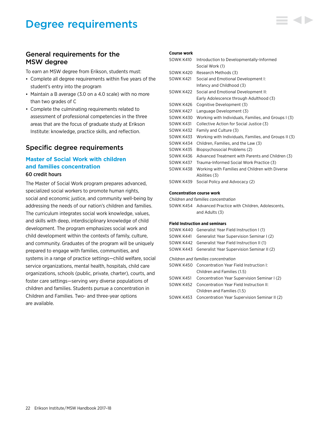# <span id="page-22-0"></span>Degree requirements

# General requirements for the MSW degree

To earn an MSW degree from Erikson, students must:

- Complete all degree requirements within five years of the student's entry into the program
- Maintain a B average (3.0 on a 4.0 scale) with no more than two grades of C
- Complete the culminating requirements related to assessment of professional competencies in the three areas that are the focus of graduate study at Erikson Institute: knowledge, practice skills, and reflection.

# Specific degree requirements

## **Master of Social Work with children and families concentration** 60 credit hours

The Master of Social Work program prepares advanced, specialized social workers to promote human rights, social and economic justice, and community well-being by addressing the needs of our nation's children and families. The curriculum integrates social work knowledge, values, and skills with deep, interdisciplinary knowledge of child development. The program emphasizes social work and child development within the contexts of family, culture, and community. Graduates of the program will be uniquely prepared to engage with families, communities, and systems in a range of practice settings—child welfare, social service organizations, mental health, hospitals, child care organizations, schools (public, private, charter), courts, and foster care settings—serving very diverse populations of children and families. Students pursue a concentration in Children and Families. Two- and three-year options are available.

#### **Course work**

| SOWK K410 | Introduction to Developmentally-Informed              |
|-----------|-------------------------------------------------------|
|           | Social Work (1)                                       |
| SOWK K420 | Research Methods (3)                                  |
| SOWK K421 | Social and Emotional Development I:                   |
|           | Infancy and Childhood (3)                             |
| SOWK K422 | Social and Emotional Development II:                  |
|           | Early Adolescence through Adulthood (3)               |
| SOWK K426 | Cognitive Development (3)                             |
| SOWK K427 | Language Development (3)                              |
| SOWK K430 | Working with Individuals, Families, and Groups I (3)  |
| SOWK K431 | Collective Action for Social Justice (3)              |
| SOWK K432 | Family and Culture (3)                                |
| SOWK K433 | Working with Individuals, Families, and Groups II (3) |
| SOWK K434 | Children, Families, and the Law (3)                   |
| SOWK K435 | Biopsychosocial Problems (2)                          |
| SOWK K436 | Advanced Treatment with Parents and Children (3)      |
| SOWK K437 | Trauma-Informed Social Work Practice (3)              |
| SOWK K438 | Working with Families and Children with Diverse       |
|           | Abilities (3)                                         |
| SOWK K439 | Social Policy and Advocacy (2)                        |
|           |                                                       |

#### **Concentration course work**

*Children and families concentration*

SOWK K454 Advanced Practice with Children, Adolescents, and Adults (3)

#### **Field Instruction and seminars**

|                                     | SOWK K440 Generalist Year Field Instruction I (1)       |  |  |
|-------------------------------------|---------------------------------------------------------|--|--|
| SOWK K441                           | Generalist Year Supervision Seminar I (2)               |  |  |
|                                     | SOWK K442 Generalist Year Field Instruction II (1)      |  |  |
| SOWK K443                           | Generalist Year Supervision Seminar II (2)              |  |  |
| Children and families concentration |                                                         |  |  |
|                                     | SOWK K450 Concentration Year Field Instruction I:       |  |  |
|                                     | Children and Families (1.5)                             |  |  |
| SOWK K451                           | Concentration Year Supervision Seminar I (2)            |  |  |
| SOWK K452                           | Concentration Year Field Instruction II:                |  |  |
|                                     | Children and Families (1.5)                             |  |  |
|                                     | SOWK K453 Concentration Year Supervision Seminar II (2) |  |  |
|                                     |                                                         |  |  |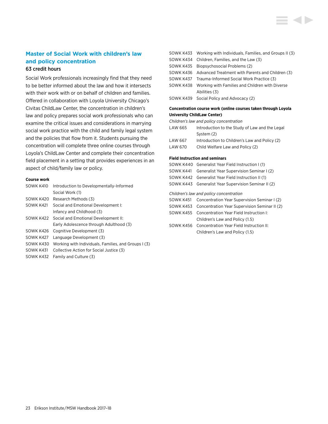# **Master of Social Work with children's law and policy concentration**

## 63 credit hours

Social Work professionals increasingly find that they need to be better informed about the law and how it intersects with their work with or on behalf of children and families. Offered in collaboration with Loyola University Chicago's Civitas ChildLaw Center, the concentration in children's law and policy prepares social work professionals who can examine the critical issues and considerations in marrying social work practice with the child and family legal system and the policies that flow from it. Students pursuing the concentration will complete three online courses through Loyola's ChildLaw Center and complete their concentration field placement in a setting that provides experiences in an aspect of child/family law or policy.

#### **Course work**

| SOWK K410 | Introduction to Developmentally-Informed             |
|-----------|------------------------------------------------------|
|           | Social Work (1)                                      |
| SOWK K420 | Research Methods (3)                                 |
| SOWK K421 | Social and Emotional Development I:                  |
|           | Infancy and Childhood (3)                            |
| SOWK K422 | Social and Emotional Development II:                 |
|           | Early Adolescence through Adulthood (3)              |
| SOWK K426 | Cognitive Development (3)                            |
| SOWK K427 | Language Development (3)                             |
| SOWK K430 | Working with Individuals, Families, and Groups I (3) |
| SOWK K431 | Collective Action for Social Justice (3)             |
| SOWK K432 | Family and Culture (3)                               |

| SOWK K433 Working with Individuals, Families, and Groups II (3) |
|-----------------------------------------------------------------|
| SOWK K434 Children. Families, and the Law (3)                   |
| SOWK K435 Biopsychosocial Problems (2)                          |
| SOWK K436 Advanced Treatment with Parents and Children (3)      |
| SOWK K437 Trauma-Informed Social Work Practice (3)              |
| SOWK K438 Working with Families and Children with Diverse       |
| Abilities (3)                                                   |
| SOWK K439 Social Policy and Advocacy (2)                        |
|                                                                 |

#### **Concentration course work (online courses taken through Loyola University ChildLaw Center)**

*Children's law and policy concentration*

| LAW 665 | Introduction to the Study of Law and the Legal |
|---------|------------------------------------------------|
|         | System $(2)$                                   |
| LAW 667 | Introduction to Children's Law and Policy (2)  |
| LAW 670 | Child Welfare Law and Policy (2)               |

#### **Field Instruction and seminars**

|           | SOWK K440 Generalist Year Field Instruction I (1)       |
|-----------|---------------------------------------------------------|
| SOWK K441 | <b>Generalist Year Supervision Seminar I (2)</b>        |
|           | SOWK K442 Generalist Year Field Instruction II (1)      |
|           | SOWK K443 Generalist Year Supervision Seminar II (2)    |
|           | Children's law and policy concentration                 |
| SOWK K451 | Concentration Year Supervision Seminar I (2)            |
|           | SOWK K453 Concentration Year Supervision Seminar II (2) |
|           | SOWK K455 Concentration Year Field Instruction I:       |
|           | Children's Law and Policy (1.5)                         |
|           | SOWK K456 Concentration Year Field Instruction II:      |
|           | Children's Law and Policy (1.5)                         |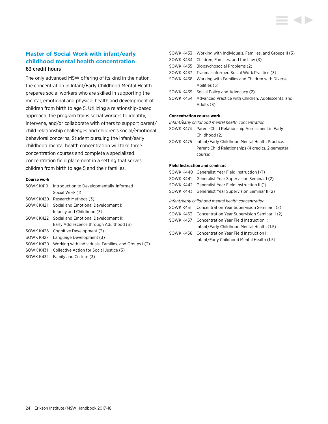## **Master of Social Work with infant/early childhood mental health concentration** 63 credit hours

The only advanced MSW offering of its kind in the nation, the concentration in Infant/Early Childhood Mental Health prepares social workers who are skilled in supporting the mental, emotional and physical health and development of children from birth to age 5. Utilizing a relationship-based approach, the program trains social workers to identify, intervene, and/or collaborate with others to support parent/ child relationship challenges and children's social/emotional behavioral concerns. Student pursuing the infant/early childhood mental health concentration will take three concentration courses and complete a specialized concentration field placement in a setting that serves children from birth to age 5 and their families.

#### **Course work**

| SOWK K410 | Introduction to Developmentally-Informed             |
|-----------|------------------------------------------------------|
|           | Social Work (1)                                      |
| SOWK K420 | Research Methods (3)                                 |
| SOWK K421 | Social and Emotional Development I:                  |
|           | Infancy and Childhood (3)                            |
|           | SOWK K422 Social and Emotional Development II:       |
|           | Early Adolescence through Adulthood (3)              |
| SOWK K426 | Cognitive Development (3)                            |
| SOWK K427 | Language Development (3)                             |
| SOWK K430 | Working with Individuals, Families, and Groups I (3) |
| SOWK K431 | Collective Action for Social Justice (3)             |
| SOWK K432 | Family and Culture (3)                               |

| SOWK K433 | Working with Individuals, Families, and Groups II (3)       |
|-----------|-------------------------------------------------------------|
| SOWK K434 | Children, Families, and the Law (3)                         |
| SOWK K435 | Biopsychosocial Problems (2)                                |
| SOWK K437 | Trauma-Informed Social Work Practice (3)                    |
| SOWK K438 | Working with Families and Children with Diverse             |
|           | Abilities (3)                                               |
|           | SOWK K439 Social Policy and Advocacy (2)                    |
|           | SOWK K454 Advanced Practice with Children, Adolescents, and |
|           | Adults (3)                                                  |
|           |                                                             |

#### **Concentration course work**

*Infant/early childhood mental health concentration*

- SOWK K474 Parent-Child Relationship Assessment in Early Childhood (2)
- SOWK K475 Infant/Early Childhood Mental Health Practice: Parent-Child Relationships (4 credits, 2-semester course)

#### **Field Instruction and seminars**

SOWK K440 Generalist Year Field Instruction I (1) SOWK K441 Generalist Year Supervision Seminar I (2) SOWK K442 Generalist Year Field Instruction II (1) SOWK K443 Generalist Year Supervision Seminar II (2)

*Infant/early childhood mental health concentration*

- SOWK K451 Concentration Year Supervision Seminar I (2)
- SOWK K453 Concentration Year Supervision Seminar II (2)
- SOWK K457 Concentration Year Field Instruction I:
	- Infant/Early Childhood Mental Health (1.5)
- SOWK K458 Concentration Year Field Instruction II: Infant/Early Childhood Mental Health (1.5)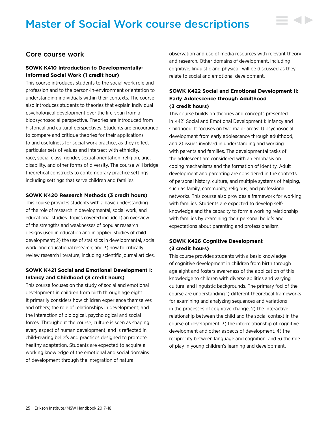# <span id="page-25-0"></span>Master of Social Work course descriptions

# Core course work

## **SOWK K410 Introduction to Developmentally-Informed Social Work (1 credit hour)**

This course introduces students to the social work role and profession and to the person-in-environment orientation to understanding individuals within their contexts. The course also introduces students to theories that explain individual psychological development over the life-span from a biopsychosocial perspective. Theories are introduced from historical and cultural perspectives. Students are encouraged to compare and critique theories for their applications to and usefulness for social work practice, as they reflect particular sets of values and intersect with ethnicity, race, social class, gender, sexual orientation, religion, age, disability, and other forms of diversity. The course will bridge theoretical constructs to contemporary practice settings, including settings that serve children and families.

## **SOWK K420 Research Methods (3 credit hours)**

This course provides students with a basic understanding of the role of research in developmental, social work, and educational studies. Topics covered include 1) an overview of the strengths and weaknesses of popular research designs used in education and in applied studies of child development; 2) the use of statistics in developmental, social work, and educational research; and 3) how to critically review research literature, including scientific journal articles.

## **SOWK K421 Social and Emotional Development I: Infancy and Childhood (3 credit hours)**

This course focuses on the study of social and emotional development in children from birth through age eight. It primarily considers how children experience themselves and others; the role of relationships in development; and the interaction of biological, psychological and social forces. Throughout the course, culture is seen as shaping every aspect of human development, and is reflected in child-rearing beliefs and practices designed to promote healthy adaptation. Students are expected to acquire a working knowledge of the emotional and social domains of development through the integration of natural

observation and use of media resources with relevant theory and research. Other domains of development, including cognitive, linguistic and physical, will be discussed as they relate to social and emotional development.

## **SOWK K422 Social and Emotional Development II: Early Adolescence through Adulthood (3 credit hours)**

This course builds on theories and concepts presented in K421 Social and Emotional Development I: Infancy and Childhood. It focuses on two major areas: 1) psychosocial development from early adolescence through adulthood, and 2) issues involved in understanding and working with parents and families. The developmental tasks of the adolescent are considered with an emphasis on coping mechanisms and the formation of identity. Adult development and parenting are considered in the contexts of personal history, culture, and multiple systems of helping, such as family, community, religious, and professional networks. This course also provides a framework for working with families. Students are expected to develop selfknowledge and the capacity to form a working relationship with families by examining their personal beliefs and expectations about parenting and professionalism.

## **SOWK K426 Cognitive Development (3 credit hours)**

This course provides students with a basic knowledge of cognitive development in children from birth through age eight and fosters awareness of the application of this knowledge to children with diverse abilities and varying cultural and linguistic backgrounds. The primary foci of the course are understanding 1) different theoretical frameworks for examining and analyzing sequences and variations in the processes of cognitive change, 2) the interactive relationship between the child and the social context in the course of development, 3) the interrelationship of cognitive development and other aspects of development, 4) the reciprocity between language and cognition, and 5) the role of play in young children's learning and development.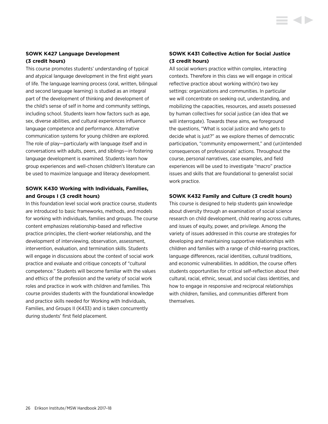## **SOWK K427 Language Development (3 credit hours)**

This course promotes students' understanding of typical and atypical language development in the first eight years of life. The language learning process (oral, written, bilingual and second language learning) is studied as an integral part of the development of thinking and development of the child's sense of self in home and community settings, including school. Students learn how factors such as age, sex, diverse abilities, and cultural experiences influence language competence and performance. Alternative communication systems for young children are explored. The role of play—particularly with language itself and in conversations with adults, peers, and siblings—in fostering language development is examined. Students learn how group experiences and well-chosen children's literature can be used to maximize language and literacy development.

## **SOWK K430 Working with Individuals, Families, and Groups I (3 credit hours)**

In this foundation level social work practice course, students are introduced to basic frameworks, methods, and models for working with individuals, families and groups. The course content emphasizes relationship-based and reflective practice principles, the client-worker relationship, and the development of interviewing, observation, assessment, intervention, evaluation, and termination skills. Students will engage in discussions about the context of social work practice and evaluate and critique concepts of "cultural competence." Students will become familiar with the values and ethics of the profession and the variety of social work roles and practice in work with children and families. This course provides students with the foundational knowledge and practice skills needed for Working with Individuals, Families, and Groups II (K433) and is taken concurrently during students' first field placement.

# **SOWK K431 Collective Action for Social Justice (3 credit hours)**

All social workers practice within complex, interacting contexts. Therefore in this class we will engage in critical reflective practice about working with(in) two key settings: organizations and communities. In particular we will concentrate on seeking out, understanding, and mobilizing the capacities, resources, and assets possessed by human collectives for social justice (an idea that we will interrogate). Towards these aims, we foreground the questions, "What is social justice and who gets to decide what is just?" as we explore themes of democratic participation, "community empowerment," and (un)intended consequences of professionals' actions. Throughout the course, personal narratives, case examples, and field experiences will be used to investigate "macro" practice issues and skills that are foundational to generalist social work practice.

## **SOWK K432 Family and Culture (3 credit hours)**

This course is designed to help students gain knowledge about diversity through an examination of social science research on child development, child rearing across cultures, and issues of equity, power, and privilege. Among the variety of issues addressed in this course are strategies for developing and maintaining supportive relationships with children and families with a range of child-rearing practices, language differences, racial identities, cultural traditions, and economic vulnerabilities. In addition, the course offers students opportunities for critical self-reflection about their cultural, racial, ethnic, sexual, and social class identities, and how to engage in responsive and reciprocal relationships with children, families, and communities different from themselves.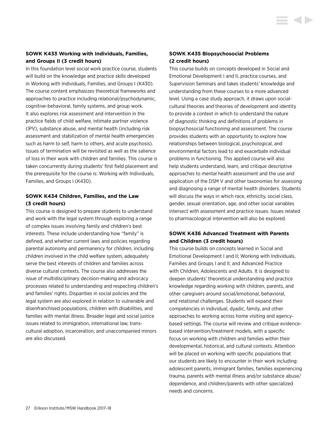## **SOWK K433 Working with Individuals, Families, and Groups II (3 credit hours)**

In this foundation level social work practice course, students will build on the knowledge and practice skills developed in Working with Individuals, Families, and Groups I (K430). The course content emphasizes theoretical frameworks and approaches to practice including relational/psychodynamic, cognitive-behavioral, family systems, and group work. It also explores risk assessment and intervention in the practice fields of child welfare, intimate partner violence (IPV), substance abuse, and mental health (including risk assessment and stabilization of mental health emergencies such as harm to self, harm to others, and acute psychosis). Issues of termination will be revisited as well as the salience of loss in their work with children and families. This course is taken concurrently during students' first field placement and the prerequisite for the course is: Working with Individuals, Families, and Groups I (K430).

## **SOWK K434 Children, Families, and the Law (3 credit hours)**

This course is designed to prepare students to understand and work with the legal system through exploring a range of complex issues involving family and children's best interests. These include understanding how "family" is defined, and whether current laws and policies regarding parental autonomy and permanency for children, including children involved in the child welfare system, adequately serve the best interests of children and families across diverse cultural contexts. The course also addresses the issue of multidisciplinary decision-making and advocacy processes related to understanding and respecting children's and families' rights. Disparities in social policies and the legal system are also explored in relation to vulnerable and disenfranchised populations, children with disabilities, and families with mental illness. Broader legal and social justice issues related to immigration, international law, transcultural adoption, incarceration, and unaccompanied minors are also discussed.

## **SOWK K435 Biopsychosocial Problems (2 credit hours)**

This course builds on concepts developed in Social and Emotional Development I and II, practice courses, and Supervision Seminars and takes students' knowledge and understanding from these courses to a more advanced level. Using a case study approach, it draws upon socialcultural theories and theories of development and identity to provide a context in which to understand the nature of diagnostic thinking and definitions of problems in biopsychosocial functioning and assessment. The course provides students with an opportunity to explore how relationships between biological, psychological, and environmental factors lead to and exacerbate individual problems in functioning. This applied course will also help students understand, learn, and critique descriptive approaches to mental health assessment and the use and application of the DSM V and other taxonomies for assessing and diagnosing a range of mental health disorders. Students will discuss the ways in which race, ethnicity, social class, gender, sexual orientation, age, and other social variables intersect with assessment and practice issues. Issues related to pharmacological intervention will also be explored.

## **SOWK K436 Advanced Treatment with Parents and Children (3 credit hours)**

This course builds on concepts learned in Social and Emotional Development I and II; Working with Individuals, Families and Groups I and II; and Advanced Practice with Children, Adolescents and Adults. It is designed to deepen students' theoretical understanding and practice knowledge regarding working with children, parents, and other caregivers around social/emotional, behavioral, and relational challenges. Students will expand their competencies in individual, dyadic, family, and other approaches to working across home visiting and agencybased settings. The course will review and critique evidencebased intervention/treatment models, with a specific focus on working with children and families within their developmental, historical, and cultural contexts. Attention will be placed on working with specific populations that our students are likely to encounter in their work including: adolescent parents, immigrant families, families experiencing trauma, parents with mental illness and/or substance abuse/ dependence, and children/parents with other specialized needs and concerns.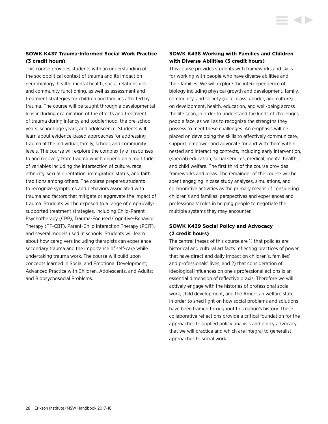## **SOWK K437 Trauma-Informed Social Work Practice (3 credit hours)**

This course provides students with an understanding of the sociopolitical context of trauma and its impact on neurobiology, health, mental health, social relationships, and community functioning, as well as assessment and treatment strategies for children and families affected by trauma. The course will be taught through a developmental lens including examination of the effects and treatment of trauma during infancy and toddlerhood, the pre-school years, school-age years, and adolescence. Students will learn about evidence-based approaches for addressing trauma at the individual, family, school, and community levels. The course will explore the complexity of responses to and recovery from trauma which depend on a multitude of variables including the intersection of culture, race, ethnicity, sexual orientation, immigration status, and faith traditions among others. The course prepares students to recognize symptoms and behaviors associated with trauma and factors that mitigate or aggravate the impact of trauma. Students will be exposed to a range of empiricallysupported treatment strategies, including Child-Parent Psychotherapy (CPP), Trauma-Focused Cognitive-Behavior Therapy (TF-CBT), Parent-Child Interaction Therapy (PCIT), and several models used in schools. Students will learn about how caregivers including therapists can experience secondary trauma and the importance of self-care while undertaking trauma work. The course will build upon concepts learned in Social and Emotional Development, Advanced Practice with Children, Adolescents, and Adults; and Biopsychosocial Problems.

## **SOWK K438 Working with Families and Children with Diverse Abilities (3 credit hours)**

This course provides students with frameworks and skills for working with people who have diverse abilities and their families. We will explore the interdependence of biology including physical growth and development, family, community, and society (race, class, gender, and culture) on development, health, education, and well-being across the life span, in order to understand the kinds of challenges people face, as well as to recognize the strengths they possess to meet these challenges. An emphasis will be placed on developing the skills to effectively communicate, support, empower and advocate for and with them within nested and interacting contexts, including early intervention, (special) education, social services, medical, mental health, and child welfare. The first third of the course provides frameworks and ideas. The remainder of the course will be spent engaging in case study analyses, simulations, and collaborative activities as the primary means of considering children's and families' perspectives and experiences and professionals' roles in helping people to negotiate the multiple systems they may encounter.

# **SOWK K439 Social Policy and Advocacy (2 credit hours)**

The central theses of this course are 1) that policies are historical and cultural artifacts reflecting practices of power that have direct and daily impact on children's, families' and professionals' lives; and 2) that consideration of ideological influences on one's professional actions is an essential dimension of reflective praxis. Therefore we will actively engage with the histories of professional social work, child development, and the American welfare state in order to shed light on how social problems and solutions have been framed throughout this nation's history. These collaborative reflections provide a critical foundation for the approaches to applied policy analysis and policy advocacy that we will practice and which are integral to generalist approaches to social work.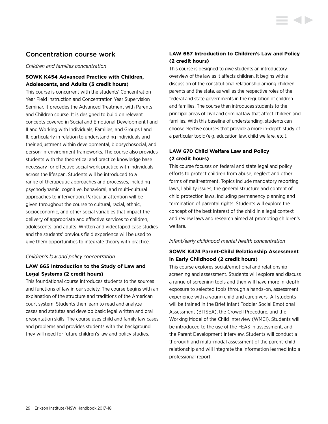# Concentration course work

*Children and families concentration*

## **SOWK K454 Advanced Practice with Children, Adolescents, and Adults (3 credit hours)**

This course is concurrent with the students' Concentration Year Field Instruction and Concentration Year Supervision Seminar. It precedes the Advanced Treatment with Parents and Children course. It is designed to build on relevant concepts covered in Social and Emotional Development I and II and Working with Individuals, Families, and Groups I and II, particularly in relation to understanding individuals and their adjustment within developmental, biopsychosocial, and person-in-environment frameworks. The course also provides students with the theoretical and practice knowledge base necessary for effective social work practice with individuals across the lifespan. Students will be introduced to a range of therapeutic approaches and processes, including psychodynamic, cognitive, behavioral, and multi-cultural approaches to intervention. Particular attention will be given throughout the course to cultural, racial, ethnic, socioeconomic, and other social variables that impact the delivery of appropriate and effective services to children, adolescents, and adults. Written and videotaped case studies and the students' previous field experience will be used to give them opportunities to integrate theory with practice.

### *Children's law and policy concentration*

## **LAW 665 Introduction to the Study of Law and Legal Systems (2 credit hours)**

This foundational course introduces students to the sources and functions of law in our society. The course begins with an explanation of the structure and traditions of the American court system. Students then learn to read and analyze cases and statutes and develop basic legal written and oral presentation skills. The course uses child and family law cases and problems and provides students with the background they will need for future children's law and policy studies.

## **LAW 667 Introduction to Children's Law and Policy (2 credit hours)**

**SALE** 

This course is designed to give students an introductory overview of the law as it affects children. It begins with a discussion of the constitutional relationship among children, parents and the state, as well as the respective roles of the federal and state governments in the regulation of children and families. The course then introduces students to the principal areas of civil and criminal law that affect children and families. With this baseline of understanding, students can choose elective courses that provide a more in-depth study of a particular topic (e.g. education law, child welfare, etc.).

## **LAW 670 Child Welfare Law and Policy (2 credit hours)**

This course focuses on federal and state legal and policy efforts to protect children from abuse, neglect and other forms of maltreatment. Topics include mandatory reporting laws, liability issues, the general structure and content of child protection laws, including permanency planning and termination of parental rights. Students will explore the concept of the best interest of the child in a legal context and review laws and research aimed at promoting children's welfare.

### *Infant/early childhood mental health concentration*

## **SOWK K474 Parent-Child Relationship Assessment in Early Childhood (2 credit hours)**

This course explores social/emotional and relationship screening and assessment. Students will explore and discuss a range of screening tools and then will have more in-depth exposure to selected tools through a hands-on, assessment experience with a young child and caregivers. All students will be trained in the Brief Infant Toddler Social Emotional Assessment (BITSEA), the Crowell Procedure, and the Working Model of the Child Interview (WMCI). Students will be introduced to the use of the FEAS in assessment, and the Parent Development Interview. Students will conduct a thorough and multi-modal assessment of the parent-child relationship and will integrate the information learned into a professional report.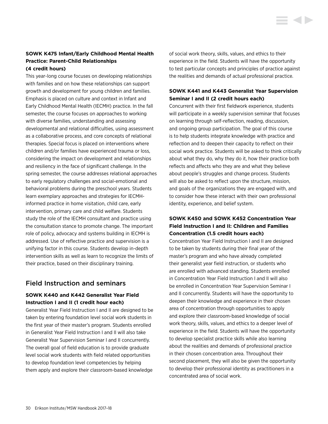## **SOWK K475 Infant/Early Childhood Mental Health Practice: Parent-Child Relationships (4 credit hours)**

This year-long course focuses on developing relationships with families and on how these relationships can support growth and development for young children and families. Emphasis is placed on culture and context in Infant and Early Childhood Mental Health (IECMH) practice. In the fall semester, the course focuses on approaches to working with diverse families, understanding and assessing developmental and relational difficulties, using assessment as a collaborative process, and core concepts of relational therapies. Special focus is placed on interventions where children and/or families have experienced trauma or loss, considering the impact on development and relationships and resiliency in the face of significant challenge. In the spring semester, the course addresses relational approaches to early regulatory challenges and social-emotional and behavioral problems during the preschool years. Students learn exemplary approaches and strategies for IECMHinformed practice in home visitation, child care, early intervention, primary care and child welfare. Students study the role of the IECMH consultant and practice using the consultation stance to promote change. The important role of policy, advocacy and systems building in IECMH is addressed. Use of reflective practice and supervision is a unifying factor in this course. Students develop in-depth intervention skills as well as learn to recognize the limits of their practice, based on their disciplinary training.

# Field Instruction and seminars

## **SOWK K440 and K442 Generalist Year Field Instruction I and II (1 credit hour each)**

Generalist Year Field Instruction I and II are designed to be taken by entering foundation level social work students in the first year of their master's program. Students enrolled in Generalist Year Field Instruction I and II will also take Generalist Year Supervision Seminar I and II concurrently. The overall goal of field education is to provide graduate level social work students with field related opportunities to develop foundation level competencies by helping them apply and explore their classroom-based knowledge

of social work theory, skills, values, and ethics to their experience in the field. Students will have the opportunity to test particular concepts and principles of practice against the realities and demands of actual professional practice.

## **SOWK K441 and K443 Generalist Year Supervision Seminar I and II (2 credit hours each)**

Concurrent with their first fieldwork experience, students will participate in a weekly supervision seminar that focuses on learning through self-reflection, reading, discussion, and ongoing group participation. The goal of this course is to help students integrate knowledge with practice and reflection and to deepen their capacity to reflect on their social work practice. Students will be asked to think critically about what they do, why they do it, how their practice both reflects and affects who they are and what they believe about people's struggles and change process. Students will also be asked to reflect upon the structure, mission, and goals of the organizations they are engaged with, and to consider how these interact with their own professional identity, experience, and belief system.

## **SOWK K450 and SOWK K452 Concentration Year Field Instruction I and II: Children and Families Concentration (1.5 credit hours each)**

Concentration Year Field Instruction I and II are designed to be taken by students during their final year of the master's program and who have already completed their generalist year field instruction, or students who are enrolled with advanced standing. Students enrolled in Concentration Year Field Instruction I and II will also be enrolled in Concentration Year Supervision Seminar I and II concurrently. Students will have the opportunity to deepen their knowledge and experience in their chosen area of concentration through opportunities to apply and explore their classroom-based knowledge of social work theory, skills, values, and ethics to a deeper level of experience in the field. Students will have the opportunity to develop specialist practice skills while also learning about the realities and demands of professional practice in their chosen concentration area. Throughout their second placement, they will also be given the opportunity to develop their professional identity as practitioners in a concentrated area of social work.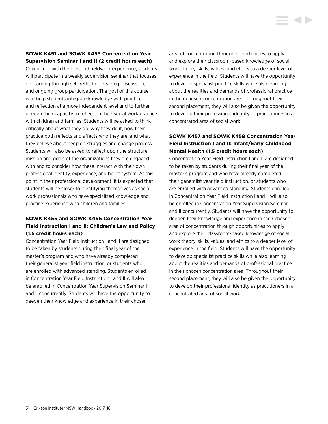## **SOWK K451 and SOWK K453 Concentration Year Supervision Seminar I and II (2 credit hours each)**

Concurrent with their second fieldwork experience, students will participate in a weekly supervision seminar that focuses on learning through self-reflection, reading, discussion, and ongoing group participation. The goal of this course is to help students integrate knowledge with practice and reflection at a more independent level and to further deepen their capacity to reflect on their social work practice with children and families. Students will be asked to think critically about what they do, why they do it, how their practice both reflects and affects who they are, and what they believe about people's struggles and change process. Students will also be asked to reflect upon the structure, mission and goals of the organizations they are engaged with and to consider how these interact with their own professional identity, experience, and belief system. At this point in their professional development, it is expected that students will be closer to identifying themselves as social work professionals who have specialized knowledge and practice experience with children and families.

# **SOWK K455 and SOWK K456 Concentration Year Field Instruction I and II: Children's Law and Policy (1.5 credit hours each)**

Concentration Year Field Instruction I and II are designed to be taken by students during their final year of the master's program and who have already completed their generalist year field instruction, or students who are enrolled with advanced standing. Students enrolled in Concentration Year Field Instruction I and II will also be enrolled in Concentration Year Supervision Seminar I and II concurrently. Students will have the opportunity to deepen their knowledge and experience in their chosen

area of concentration through opportunities to apply and explore their classroom-based knowledge of social work theory, skills, values, and ethics to a deeper level of experience in the field. Students will have the opportunity to develop specialist practice skills while also learning about the realities and demands of professional practice in their chosen concentration area. Throughout their second placement, they will also be given the opportunity to develop their professional identity as practitioners in a concentrated area of social work.

## **SOWK K457 and SOWK K458 Concentration Year Field Instruction I and II: Infant/Early Childhood Mental Health (1.5 credit hours each)**

Concentration Year Field Instruction I and II are designed to be taken by students during their final year of the master's program and who have already completed their generalist year field instruction, or students who are enrolled with advanced standing. Students enrolled in Concentration Year Field Instruction I and II will also be enrolled in Concentration Year Supervision Seminar I and II concurrently. Students will have the opportunity to deepen their knowledge and experience in their chosen area of concentration through opportunities to apply and explore their classroom-based knowledge of social work theory, skills, values, and ethics to a deeper level of experience in the field. Students will have the opportunity to develop specialist practice skills while also learning about the realities and demands of professional practice in their chosen concentration area. Throughout their second placement, they will also be given the opportunity to develop their professional identity as practitioners in a concentrated area of social work.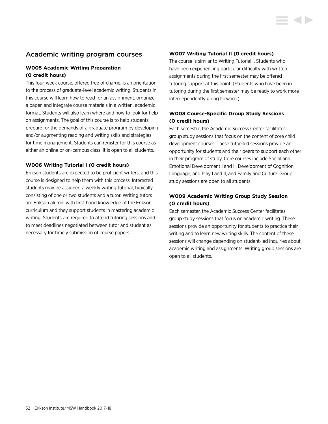# Academic writing program courses

## **W005 Academic Writing Preparation (0 credit hours)**

This four-week course, offered free of charge, is an orientation to the process of graduate-level academic writing. Students in this course will learn how to read for an assignment, organize a paper, and integrate course materials in a written, academic format. Students will also learn where and how to look for help on assignments. The goal of this course is to help students prepare for the demands of a graduate program by developing and/or augmenting reading and writing skills and strategies for time management. Students can register for this course as either an online or on-campus class. It is open to all students.

## **W006 Writing Tutorial I (0 credit hours)**

Erikson students are expected to be proficient writers, and this course is designed to help them with this process. Interested students may be assigned a weekly writing tutorial, typically consisting of one or two students and a tutor. Writing tutors are Erikson alumni with first-hand knowledge of the Erikson curriculum and they support students in mastering academic writing. Students are required to attend tutoring sessions and to meet deadlines negotiated between tutor and student as necessary for timely submission of course papers.

### **W007 Writing Tutorial II (0 credit hours)**

The course is similar to Writing Tutorial I. Students who have been experiencing particular difficulty with written assignments during the first semester may be offered tutoring support at this point. (Students who have been in tutoring during the first semester may be ready to work more interdependently going forward.)

## **W008 Course-Specific Group Study Sessions (0 credit hours)**

Each semester, the Academic Success Center facilitates group study sessions that focus on the content of core child development courses. These tutor-led sessions provide an opportunity for students and their peers to support each other in their program of study. Core courses include Social and Emotional Development I and II, Development of Cognition, Language, and Play I and II, and Family and Culture. Group study sessions are open to all students.

## **W009 Academic Writing Group Study Session (0 credit hours)**

Each semester, the Academic Success Center facilitates group study sessions that focus on academic writing. These sessions provide an opportunity for students to practice their writing and to learn new writing skills. The content of these sessions will change depending on student-led inquiries about academic writing and assignments. Writing group sessions are open to all students.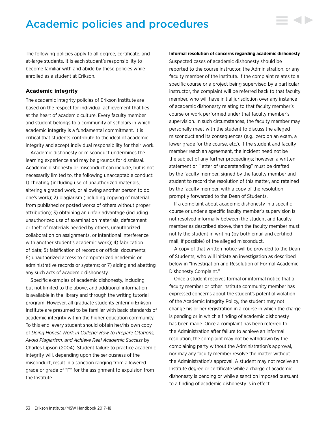# <span id="page-33-0"></span>Academic policies and procedures

The following policies apply to all degree, certificate, and at-large students. It is each student's responsibility to become familiar with and abide by these policies while enrolled as a student at Erikson.

## **Academic integrity**

The academic integrity policies of Erikson Institute are based on the respect for individual achievement that lies at the heart of academic culture. Every faculty member and student belongs to a community of scholars in which academic integrity is a fundamental commitment. It is critical that students contribute to the ideal of academic integrity and accept individual responsibility for their work.

Academic dishonesty or misconduct undermines the learning experience and may be grounds for dismissal. Academic dishonesty or misconduct can include, but is not necessarily limited to, the following unacceptable conduct: 1) cheating (including use of unauthorized materials, altering a graded work, or allowing another person to do one's work); 2) plagiarism (including copying of material from published or posted works of others without proper attribution); 3) obtaining an unfair advantage (including unauthorized use of examination materials, defacement or theft of materials needed by others, unauthorized collaboration on assignments, or intentional interference with another student's academic work); 4) fabrication of data; 5) falsification of records or official documents; 6) unauthorized access to computerized academic or administrative records or systems; or 7) aiding and abetting any such acts of academic dishonesty.

Specific examples of academic dishonesty, including but not limited to the above, and additional information is available in the library and through the writing tutorial program. However, all graduate students entering Erikson Institute are presumed to be familiar with basic standards of academic integrity within the higher education community. To this end, every student should obtain her/his own copy of *Doing Honest Work in College: How to Prepare Citations, Avoid Plagiarism, and Achieve Real Academic Success* by Charles Lipson (2004). Student failure to practice academic integrity will, depending upon the seriousness of the misconduct, result in a sanction ranging from a lowered grade or grade of "F" for the assignment to expulsion from the Institute.

#### **Informal resolution of concerns regarding academic dishonesty**

▄▗▖▅

Suspected cases of academic dishonesty should be reported to the course instructor, the Administration, or any faculty member of the Institute. If the complaint relates to a specific course or a project being supervised by a particular instructor, the complaint will be referred back to that faculty member, who will have initial jurisdiction over any instance of academic dishonesty relating to that faculty member's course or work performed under that faculty member's supervision. In such circumstances, the faculty member may personally meet with the student to discuss the alleged misconduct and its consequences (e.g., zero on an exam, a lower grade for the course, etc.). If the student and faculty member reach an agreement, the incident need not be the subject of any further proceedings; however, a written statement or "letter of understanding" must be drafted by the faculty member, signed by the faculty member and student to record the resolution of this matter, and retained by the faculty member, with a copy of the resolution promptly forwarded to the Dean of Students.

If a complaint about academic dishonesty in a specific course or under a specific faculty member's supervision is not resolved informally between the student and faculty member as described above, then the faculty member must notify the student in writing (by both email and certified mail, if possible) of the alleged misconduct.

A copy of that written notice will be provided to the Dean of Students, who will initiate an investigation as described below in "Investigation and Resolution of Formal Academic Dishonesty Complaint."

Once a student receives formal or informal notice that a faculty member or other Institute community member has expressed concerns about the student's potential violation of the Academic Integrity Policy, the student may not change his or her registration in a course in which the charge is pending or in which a finding of academic dishonesty has been made. Once a complaint has been referred to the Administration after failure to achieve an informal resolution, the complaint may not be withdrawn by the complaining party without the Administration's approval, nor may any faculty member resolve the matter without the Administration's approval. A student may not receive an Institute degree or certificate while a charge of academic dishonesty is pending or while a sanction imposed pursuant to a finding of academic dishonesty is in effect.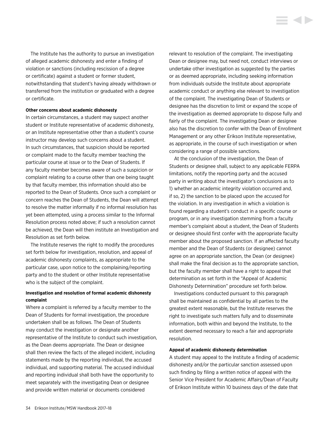The Institute has the authority to pursue an investigation of alleged academic dishonesty and enter a finding of violation or sanctions (including rescission of a degree or certificate) against a student or former student, notwithstanding that student's having already withdrawn or transferred from the institution or graduated with a degree or certificate.

#### **Other concerns about academic dishonesty**

In certain circumstances, a student may suspect another student or Institute representative of academic dishonesty, or an Institute representative other than a student's course instructor may develop such concerns about a student. In such circumstances, that suspicion should be reported or complaint made to the faculty member teaching the particular course at issue or to the Dean of Students. If any faculty member becomes aware of such a suspicion or complaint relating to a course other than one being taught by that faculty member, this information should also be reported to the Dean of Students. Once such a complaint or concern reaches the Dean of Students, the Dean will attempt to resolve the matter informally if no informal resolution has yet been attempted, using a process similar to the Informal Resolution process noted above; if such a resolution cannot be achieved, the Dean will then institute an Investigation and Resolution as set forth below.

The Institute reserves the right to modify the procedures set forth below for investigation, resolution, and appeal of academic dishonesty complaints, as appropriate to the particular case, upon notice to the complaining/reporting party and to the student or other Institute representative who is the subject of the complaint.

## **Investigation and resolution of formal academic dishonesty complaint**

Where a complaint is referred by a faculty member to the Dean of Students for formal investigation, the procedure undertaken shall be as follows. The Dean of Students may conduct the investigation or designate another representative of the Institute to conduct such investigation, as the Dean deems appropriate. The Dean or designee shall then review the facts of the alleged incident, including statements made by the reporting individual, the accused individual, and supporting material. The accused individual and reporting individual shall both have the opportunity to meet separately with the investigating Dean or designee and provide written material or documents considered

relevant to resolution of the complaint. The investigating Dean or designee may, but need not, conduct interviews or undertake other investigation as suggested by the parties or as deemed appropriate, including seeking information from individuals outside the Institute about appropriate academic conduct or anything else relevant to investigation of the complaint. The investigating Dean of Students or designee has the discretion to limit or expand the scope of the investigation as deemed appropriate to dispose fully and fairly of the complaint. The investigating Dean or designee also has the discretion to confer with the Dean of Enrollment Management or any other Erikson Institute representative, as appropriate, in the course of such investigation or when considering a range of possible sanctions.

At the conclusion of the investigation, the Dean of Students or designee shall, subject to any applicable FERPA limitations, notify the reporting party and the accused party in writing about the investigator's conclusions as to 1) whether an academic integrity violation occurred and, if so, 2) the sanction to be placed upon the accused for the violation. In any investigation in which a violation is found regarding a student's conduct in a specific course or program, or in any investigation stemming from a faculty member's complaint about a student, the Dean of Students or designee should first confer with the appropriate faculty member about the proposed sanction. If an affected faculty member and the Dean of Students (or designee) cannot agree on an appropriate sanction, the Dean (or designee) shall make the final decision as to the appropriate sanction, but the faculty member shall have a right to appeal that determination as set forth in the "Appeal of Academic Dishonesty Determination" procedure set forth below.

Investigations conducted pursuant to this paragraph shall be maintained as confidential by all parties to the greatest extent reasonable, but the Institute reserves the right to investigate such matters fully and to disseminate information, both within and beyond the Institute, to the extent deemed necessary to reach a fair and appropriate resolution.

#### **Appeal of academic dishonesty determination**

A student may appeal to the Institute a finding of academic dishonesty and/or the particular sanction assessed upon such finding by filing a written notice of appeal with the Senior Vice President for Academic Affairs/Dean of Faculty of Erikson Institute within 10 business days of the date that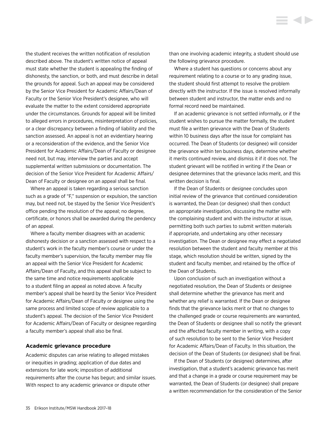<span id="page-35-0"></span>the student receives the written notification of resolution described above. The student's written notice of appeal must state whether the student is appealing the finding of dishonesty, the sanction, or both, and must describe in detail the grounds for appeal. Such an appeal may be considered by the Senior Vice President for Academic Affairs/Dean of Faculty or the Senior Vice President's designee, who will evaluate the matter to the extent considered appropriate under the circumstances. Grounds for appeal will be limited to alleged errors in procedures, misinterpretation of policies, or a clear discrepancy between a finding of liability and the sanction assessed. An appeal is not an evidentiary hearing or a reconsideration of the evidence, and the Senior Vice President for Academic Affairs/Dean of Faculty or designee need not, but may, interview the parties and accept supplemental written submissions or documentation. The decision of the Senior Vice President for Academic Affairs/ Dean of Faculty or designee on an appeal shall be final.

Where an appeal is taken regarding a serious sanction such as a grade of "F," suspension or expulsion, the sanction may, but need not, be stayed by the Senior Vice President's office pending the resolution of the appeal; no degree, certificate, or honors shall be awarded during the pendency of an appeal.

Where a faculty member disagrees with an academic dishonesty decision or a sanction assessed with respect to a student's work in the faculty member's course or under the faculty member's supervision, the faculty member may file an appeal with the Senior Vice President for Academic Affairs/Dean of Faculty, and this appeal shall be subject to the same time and notice requirements applicable to a student filing an appeal as noted above. A faculty member's appeal shall be heard by the Senior Vice President for Academic Affairs/Dean of Faculty or designee using the same process and limited scope of review applicable to a student's appeal. The decision of the Senior Vice President for Academic Affairs/Dean of Faculty or designee regarding a faculty member's appeal shall also be final.

## **Academic grievance procedure**

Academic disputes can arise relating to alleged mistakes or inequities in grading; application of due dates and extensions for late work; imposition of additional requirements after the course has begun; and similar issues. With respect to any academic grievance or dispute other

than one involving academic integrity, a student should use the following grievance procedure.

Where a student has questions or concerns about any requirement relating to a course or to any grading issue, the student should first attempt to resolve the problem directly with the instructor. If the issue is resolved informally between student and instructor, the matter ends and no formal record need be maintained.

If an academic grievance is not settled informally, or if the student wishes to pursue the matter formally, the student must file a written grievance with the Dean of Students within 10 business days after the issue for complaint has occurred. The Dean of Students (or designee) will consider the grievance within ten business days, determine whether it merits continued review, and dismiss it if it does not. The student grievant will be notified in writing if the Dean or designee determines that the grievance lacks merit, and this written decision is final.

If the Dean of Students or designee concludes upon initial review of the grievance that continued consideration is warranted, the Dean (or designee) shall then conduct an appropriate investigation, discussing the matter with the complaining student and with the instructor at issue, permitting both such parties to submit written materials if appropriate, and undertaking any other necessary investigation. The Dean or designee may effect a negotiated resolution between the student and faculty member at this stage, which resolution should be written, signed by the student and faculty member, and retained by the office of the Dean of Students.

Upon conclusion of such an investigation without a negotiated resolution, the Dean of Students or designee shall determine whether the grievance has merit and whether any relief is warranted. If the Dean or designee finds that the grievance lacks merit or that no changes to the challenged grade or course requirements are warranted, the Dean of Students or designee shall so notify the grievant and the affected faculty member in writing, with a copy of such resolution to be sent to the Senior Vice President for Academic Affairs/Dean of Faculty. In this situation, the decision of the Dean of Students (or designee) shall be final.

If the Dean of Students (or designee) determines, after investigation, that a student's academic grievance has merit and that a change in a grade or course requirement may be warranted, the Dean of Students (or designee) shall prepare a written recommendation for the consideration of the Senior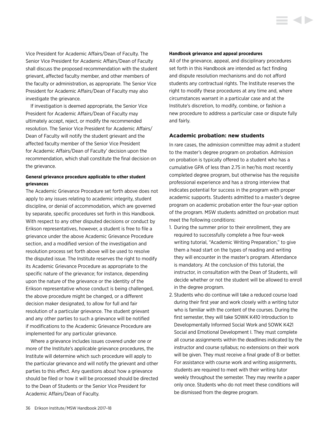Vice President for Academic Affairs/Dean of Faculty. The Senior Vice President for Academic Affairs/Dean of Faculty shall discuss the proposed recommendation with the student grievant, affected faculty member, and other members of the faculty or administration, as appropriate. The Senior Vice President for Academic Affairs/Dean of Faculty may also investigate the grievance.

If investigation is deemed appropriate, the Senior Vice President for Academic Affairs/Dean of Faculty may ultimately accept, reject, or modify the recommended resolution. The Senior Vice President for Academic Affairs/ Dean of Faculty will notify the student grievant and the affected faculty member of the Senior Vice President for Academic Affairs/Dean of Faculty' decision upon the recommendation, which shall constitute the final decision on the grievance.

# **General grievance procedure applicable to other student grievances**

The Academic Grievance Procedure set forth above does not apply to any issues relating to academic integrity, student discipline, or denial of accommodation, which are governed by separate, specific procedures set forth in this Handbook. With respect to any other disputed decisions or conduct by Erikson representatives, however, a student is free to file a grievance under the above Academic Grievance Procedure section, and a modified version of the investigation and resolution process set forth above will be used to resolve the disputed issue. The Institute reserves the right to modify its Academic Grievance Procedure as appropriate to the specific nature of the grievance; for instance, depending upon the nature of the grievance or the identity of the Erikson representative whose conduct is being challenged, the above procedure might be changed, or a different decision maker designated, to allow for full and fair resolution of a particular grievance. The student grievant and any other parties to such a grievance will be notified if modifications to the Academic Grievance Procedure are implemented for any particular grievance.

Where a grievance includes issues covered under one or more of the Institute's applicable grievance procedures, the Institute will determine which such procedure will apply to the particular grievance and will notify the grievant and other parties to this effect. Any questions about how a grievance should be filed or how it will be processed should be directed to the Dean of Students or the Senior Vice President for Academic Affairs/Dean of Faculty.

#### **Handbook grievance and appeal procedures**

All of the grievance, appeal, and disciplinary procedures set forth in this Handbook are intended as fact finding and dispute resolution mechanisms and do not afford students any contractual rights. The Institute reserves the right to modify these procedures at any time and, where circumstances warrant in a particular case and at the Institute's discretion, to modify, combine, or fashion a new procedure to address a particular case or dispute fully and fairly.

**KID** 

#### **Academic probation: new students**

In rare cases, the admission committee may admit a student to the master's degree program on probation. Admission on probation is typically offered to a student who has a cumulative GPA of less than 2.75 in her/his most recently completed degree program, but otherwise has the requisite professional experience and has a strong interview that indicates potential for success in the program with proper academic supports. Students admitted to a master's degree program on academic probation enter the four-year option of the program. MSW students admitted on probation must meet the following conditions:

- 1. During the summer prior to their enrollment, they are required to successfully complete a free four-week writing tutorial, "Academic Writing Preparation," to give them a head start on the types of reading and writing they will encounter in the master's program. Attendance is mandatory. At the conclusion of this tutorial, the instructor, in consultation with the Dean of Students, will decide whether or not the student will be allowed to enroll in the degree program.
- 2. Students who do continue will take a reduced course load during their first year and work closely with a writing tutor who is familiar with the content of the courses. During the first semester, they will take SOWK K410 Introduction to Developmentally Informed Social Work and SOWK K421 Social and Emotional Development I. They must complete all course assignments within the deadlines indicated by the instructor and course syllabus; no extensions on their work will be given. They must receive a final grade of B or better. For assistance with course work and writing assignments, students are required to meet with their writing tutor weekly throughout the semester. They may rewrite a paper only once. Students who do not meet these conditions will be dismissed from the degree program.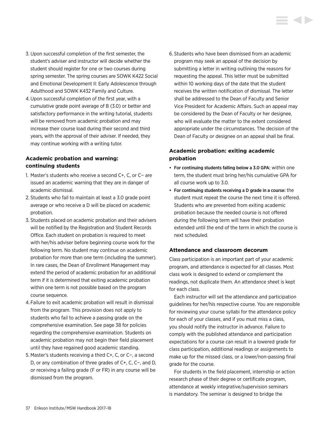- 3. Upon successful completion of the first semester, the student's adviser and instructor will decide whether the student should register for one or two courses during spring semester. The spring courses are SOWK K422 Social and Emotional Development II: Early Adolescence through Adulthood and SOWK K432 Family and Culture.
- 4.Upon successful completion of the first year, with a cumulative grade point average of B (3.0) or better and satisfactory performance in the writing tutorial, students will be removed from academic probation and may increase their course load during their second and third years, with the approval of their adviser. If needed, they may continue working with a writing tutor.

# **Academic probation and warning: continuing students**

- 1. Master's students who receive a second C+, C, or C− are issued an academic warning that they are in danger of academic dismissal.
- 2. Students who fail to maintain at least a 3.0 grade point average or who receive a D will be placed on academic probation.
- 3. Students placed on academic probation and their advisers will be notified by the Registration and Student Records Office. Each student on probation is required to meet with her/his adviser before beginning course work for the following term. No student may continue on academic probation for more than one term (including the summer). In rare cases, the Dean of Enrollment Management may extend the period of academic probation for an additional term if it is determined that exiting academic probation within one term is not possible based on the program course sequence.
- 4. Failure to exit academic probation will result in dismissal from the program. This provision does not apply to students who fail to achieve a passing grade on the comprehensive examination. See page 38 for policies regarding the comprehensive examination. Students on academic probation may not begin their field placement until they have regained good academic standing.
- 5. Master's students receiving a third C+, C, or C−, a second D, or any combination of three grades of C+, C, C−, and D, or receiving a failing grade (F or FR) in any course will be dismissed from the program.

6. Students who have been dismissed from an academic program may seek an appeal of the decision by submitting a letter in writing outlining the reasons for requesting the appeal. This letter must be submitted within 10 working days of the date that the student receives the written notification of dismissal. The letter shall be addressed to the Dean of Faculty and Senior Vice President for Academic Affairs. Such an appeal may be considered by the Dean of Faculty or her designee, who will evaluate the matter to the extent considered appropriate under the circumstances. The decision of the Dean of Faculty or designee on an appeal shall be final.

# **Academic probation: exiting academic probation**

- For continuing students falling below a 3.0 GPA: within one term, the student must bring her/his cumulative GPA for all course work up to 3.0.
- For continuing students receiving a D grade in a course: the student must repeat the course the next time it is offered. Students who are prevented from exiting academic probation because the needed course is not offered during the following term will have their probation extended until the end of the term in which the course is next scheduled.

# **Attendance and classroom decorum**

Class participation is an important part of your academic program, and attendance is expected for all classes. Most class work is designed to extend or complement the readings, not duplicate them. An attendance sheet is kept for each class.

Each instructor will set the attendance and participation guidelines for her/his respective course. You are responsible for reviewing your course syllabi for the attendance policy for each of your classes, and if you must miss a class, you should notify the instructor in advance. Failure to comply with the published attendance and participation expectations for a course can result in a lowered grade for class participation, additional readings or assignments to make up for the missed class, or a lower/non-passing final grade for the course.

For students in the field placement, internship or action research phase of their degree or certificate program, attendance at weekly integrative/supervision seminars is mandatory. The seminar is designed to bridge the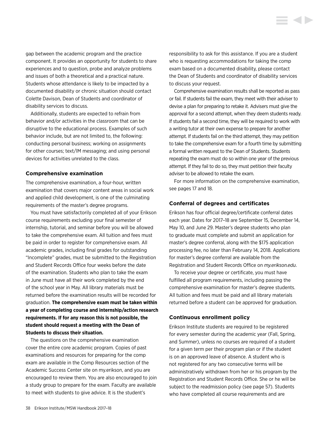gap between the academic program and the practice component. It provides an opportunity for students to share experiences and to question, probe and analyze problems and issues of both a theoretical and a practical nature. Students whose attendance is likely to be impacted by a documented disability or chronic situation should contact Colette Davison, Dean of Students and coordinator of disability services to discuss.

Additionally, students are expected to refrain from behavior and/or activities in the classroom that can be disruptive to the educational process. Examples of such behavior include, but are not limited to, the following: conducting personal business; working on assignments for other courses; text/IM messaging; and using personal devices for activities unrelated to the class.

#### **Comprehensive examination**

The comprehensive examination, a four-hour, written examination that covers major content areas in social work and applied child development, is one of the culminating requirements of the master's degree programs.

You must have satisfactorily completed all of your Erikson course requirements excluding your final semester of internship, tutorial, and seminar before you will be allowed to take the comprehensive exam. All tuition and fees must be paid in order to register for comprehensive exam. All academic grades, including final grades for outstanding "Incomplete" grades, must be submitted to the Registration and Student Records Office four weeks before the date of the examination. Students who plan to take the exam in June must have all their work completed by the end of the school year in May. All library materials must be returned before the examination results will be recorded for graduation. **The comprehensive exam must be taken within a year of completing course and internship/action research requirements. If for any reason this is not possible, the student should request a meeting with the Dean of Students to discuss their situation.**

The questions on the comprehensive examination cover the entire core academic program. Copies of past examinations and resources for preparing for the comp exam are available in the Comp Resources section of the Academic Success Center site on my.erikson, and you are encouraged to review them. You are also encouraged to join a study group to prepare for the exam. Faculty are available to meet with students to give advice. It is the student's

responsibility to ask for this assistance. If you are a student who is requesting accommodations for taking the comp exam based on a documented disability, please contact the Dean of Students and coordinator of disability services to discuss your request.

**STATISTICS** 

Comprehensive examination results shall be reported as pass or fail. If students fail the exam, they meet with their adviser to devise a plan for preparing to retake it. Advisers must give the approval for a second attempt, when they deem students ready. If students fail a second time, they will be required to work with a writing tutor at their own expense to prepare for another attempt. If students fail on the third attempt, they may petition to take the comprehensive exam for a fourth time by submitting a formal written request to the Dean of Students. Students repeating the exam must do so within one year of the previous attempt. If they fail to do so, they must petition their faculty adviser to be allowed to retake the exam.

For more information on the comprehensive examination, see pages 17 and 18.

#### **Conferral of degrees and certificates**

Erikson has four official degree/certificate conferral dates each year. Dates for 2017–18 are September 15, December 14, May 10, and June 29. Master's degree students who plan to graduate must complete and submit an application for master's degree conferral, along with the \$175 application processing fee, no later than February 14, 2018. Applications for master's degree conferral are available from the Registration and Student Records Office on *my.erikson.edu*.

To receive your degree or certificate, you must have fulfilled all program requirements, including passing the comprehensive examination for master's degree students. All tuition and fees must be paid and all library materials returned before a student can be approved for graduation.

#### **Continuous enrollment policy**

Erikson Institute students are required to be registered for every semester during the academic year (Fall, Spring, and Summer), unless no courses are required of a student for a given term per their program plan or if the student is on an approved leave of absence. A student who is not registered for any two consecutive terms will be administratively withdrawn from her or his program by the Registration and Student Records Office. She or he will be subject to the readmission policy (see page 57). Students who have completed all course requirements and are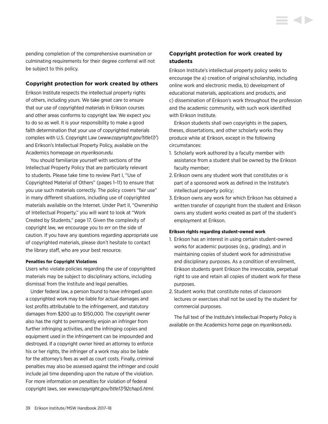pending completion of the comprehensive examination or culminating requirements for their degree conferral will not be subject to this policy.

## **Copyright protection for work created by others**

Erikson Institute respects the intellectual property rights of others, including yours. We take great care to ensure that our use of copyrighted materials in Erikson courses and other areas conforms to copyright law. We expect you to do so as well. It is your responsibility to make a good faith determination that your use of copyrighted materials complies with U.S. Copyright Law (*[www.copyright.gov/title](www.copyright.gov/title17/)17/*) and Erikson's Intellectual Property Policy, available on the Academics homepage on *my.erikson.edu.*

You should familiarize yourself with sections of the Intellectual Property Policy that are particularly relevant to students. Please take time to review Part I, "Use of Copyrighted Material of Others" (pages 1–11) to ensure that you use such materials correctly. The policy covers "fair use" in many different situations, including use of copyrighted materials available on the Internet. Under Part II, "Ownership of Intellectual Property," you will want to look at "Work Created by Students," page 17. Given the complexity of copyright law, we encourage you to err on the side of caution. If you have any questions regarding appropriate use of copyrighted materials, please don't hesitate to contact the library staff, who are your best resource.

#### **Penalties for Copyright Violations**

Users who violate policies regarding the use of copyrighted materials may be subject to disciplinary actions, including dismissal from the Institute and legal penalties.

Under federal law, a person found to have infringed upon a copyrighted work may be liable for actual damages and lost profits attributable to the infringement, and statutory damages from \$200 up to \$150,000. The copyright owner also has the right to permanently enjoin an infringer from further infringing activities, and the infringing copies and equipment used in the infringement can be impounded and destroyed. If a copyright owner hired an attorney to enforce his or her rights, the infringer of a work may also be liable for the attorney's fees as well as court costs. Finally, criminal penalties may also be assessed against the infringer and could include jail time depending upon the nature of the violation. For more information on penalties for violation of federal copyright laws, see *<www.copyright.gov/title17/92chap5.html>*.

# **Copyright protection for work created by students**

Erikson Institute's intellectual property policy seeks to encourage the a) creation of original scholarship, including online work and electronic media, b) development of educational materials, applications and products, and c) dissemination of Erikson's work throughout the profession and the academic community, with such work identified with Erikson Institute.

Erikson students shall own copyrights in the papers, theses, dissertations, and other scholarly works they produce while at Erikson, except in the following circumstances:

- 1. Scholarly work authored by a faculty member with assistance from a student shall be owned by the Erikson faculty member;
- 2. Erikson owns any student work that constitutes or is part of a sponsored work as defined in the Institute's intellectual property policy;
- 3. Erikson owns any work for which Erikson has obtained a written transfer of copyright from the student and Erikson owns any student works created as part of the student's employment at Erikson.

#### **Erikson rights regarding student-owned work**

- 1. Erikson has an interest in using certain student-owned works for academic purposes (e.g., grading), and in maintaining copies of student work for administrative and disciplinary purposes. As a condition of enrollment, Erikson students grant Erikson the irrevocable, perpetual right to use and retain all copies of student work for these purposes.
- 2. Student works that constitute notes of classroom lectures or exercises shall not be used by the student for commercial purposes.

The full text of the Institute's Intellectual Property Policy is available on the Academics home page on *my.erikson.edu*.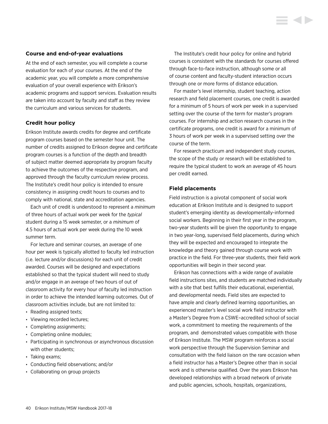## **Course and end-of-year evaluations**

At the end of each semester, you will complete a course evaluation for each of your courses. At the end of the academic year, you will complete a more comprehensive evaluation of your overall experience with Erikson's academic programs and support services. Evaluation results are taken into account by faculty and staff as they review the curriculum and various services for students.

## **Credit hour policy**

Erikson Institute awards credits for degree and certificate program courses based on the semester hour unit. The number of credits assigned to Erikson degree and certificate program courses is a function of the depth and breadth of subject matter deemed appropriate by program faculty to achieve the outcomes of the respective program, and approved through the faculty curriculum review process. The Institute's credit hour policy is intended to ensure consistency in assigning credit hours to courses and to comply with national, state and accreditation agencies.

Each unit of credit is understood to represent a *minimum* of three hours of actual work per week for the *typical* student during a 15 week semester, or a *minimum* of 4.5 hours of actual work per week during the 10 week summer term.

For lecture and seminar courses, an average of one hour per week is typically allotted to faculty led instruction (i.e. lecture and/or discussions) for each unit of credit awarded. Courses will be designed and expectations established so that the typical student will need to study and/or engage in an average of two hours of out of classroom activity for every hour of faculty led instruction in order to achieve the intended learning outcomes. Out of classroom activities include, but are not limited to:

- Reading assigned texts;
- Viewing recorded lectures;
- Completing assignments;
- Completing online modules;
- Participating in synchronous or asynchronous discussion with other students;
- Taking exams;
- Conducting field observations; and/or
- Collaborating on group projects

The Institute's credit hour policy for online and hybrid courses is consistent with the standards for courses offered through face-to-face instruction, although some or all of course content and faculty-student interaction occurs through one or more forms of distance education.

For master's level internship, student teaching, action research and field placement courses, one credit is awarded for a minimum of 5 hours of work per week in a supervised setting over the course of the term for master's program courses. For internship and action research courses in the certificate programs, one credit is award for a minimum of 3 hours of work per week in a supervised setting over the course of the term.

For research practicum and independent study courses, the scope of the study or research will be established to require the typical student to work an average of 45 hours per credit earned.

## **Field placements**

Field instruction is a pivotal component of social work education at Erikson Institute and is designed to support student's emerging identity as developmentally-informed social workers. Beginning in their first year in the program, two-year students will be given the opportunity to engage in two year-long, supervised field placements, during which they will be expected and encouraged to integrate the knowledge and theory gained through course work with practice in the field. For three-year students, their field work opportunities will begin in their second year.

Erikson has connections with a wide range of available field instructions sites, and students are matched individually with a site that best fulfills their educational, experiential, and developmental needs. Field sites are expected to have ample and clearly defined learning opportunities, an experienced master's level social work field instructor with a Master's Degree from a CSWE–accredited school of social work, a commitment to meeting the requirements of the program, and demonstrated values compatible with those of Erikson Institute. The MSW program reinforces a social work perspective through the Supervision Seminar and consultation with the field liaison on the rare occasion when a field instructor has a Master's Degree other than in social work and is otherwise qualified. Over the years Erikson has developed relationships with a broad network of private and public agencies, schools, hospitals, organizations,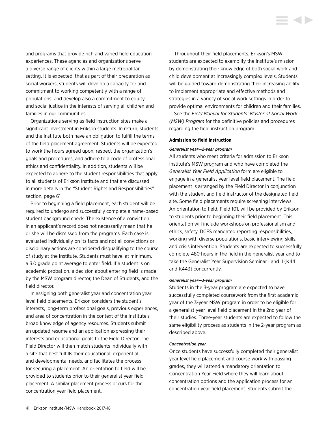and programs that provide rich and varied field education experiences. These agencies and organizations serve a diverse range of clients within a large metropolitan setting. It is expected, that as part of their preparation as social workers, students will develop a capacity for and commitment to working competently with a range of populations, and develop also a commitment to equity and social justice in the interests of serving all children and families in our communities.

Organizations serving as field instruction sites make a significant investment in Erikson students. In return, students and the Institute both have an obligation to fulfill the terms of the field placement agreement. Students will be expected to work the hours agreed upon, respect the organization's goals and procedures, and adhere to a code of professional ethics and confidentiality. In addition, students will be expected to adhere to the student responsibilities that apply to all students of Erikson Institute and that are discussed in more details in the "Student Rights and Responsibilities" section, page 61.

Prior to beginning a field placement, each student will be required to undergo and successfully complete a name-based student background check. The existence of a conviction in an applicant's record does not necessarily mean that he or she will be dismissed from the programs. Each case is evaluated individually on its facts and not all convictions or disciplinary actions are considered disqualifying to the course of study at the Institute. Students must have, at minimum, a 3.0 grade point average to enter field. If a student is on academic probation, a decision about entering field is made by the MSW program director, the Dean of Students, and the field director.

In assigning both generalist year and concentration year level field placements, Erikson considers the student's interests, long-term professional goals, previous experiences, and area of concentration in the context of the Institute's broad knowledge of agency resources. Students submit an updated resume and an application expressing their interests and educational goals to the Field Director. The Field Director will then match students individually with a site that best fulfills their educational, experiential, and developmental needs, and facilitates the process for securing a placement. An orientation to field will be provided to students prior to their generalist year field placement. A similar placement process occurs for the concentration year field placement.

Throughout their field placements, Erikson's MSW students are expected to exemplify the Institute's mission by demonstrating their knowledge of both social work and child development at increasingly complex levels. Students will be guided toward demonstrating their increasing ability to implement appropriate and effective methods and strategies in a variety of social work settings in order to provide optimal environments for children and their families.

See the *Field Manual for Students: Master of Social Work (MSW) Program* for the definitive policies and procedures regarding the field instruction program.

#### **Admission to field instruction**

#### *Generalist year—2-year program*

All students who meet criteria for admission to Erikson Institute's MSW program and who have completed the *Generalist Year Field Application* form are eligible to engage in a generalist year level field placement. The field placement is arranged by the Field Director in conjunction with the student and field instructor of the designated field site. Some field placements require screening interviews. An orientation to field, Field 101, will be provided by Erikson to students prior to beginning their field placement. This orientation will include workshops on professionalism and ethics, safety, DCFS mandated reporting responsibilities, working with diverse populations, basic interviewing skills, and crisis intervention. Students are expected to successfully complete 480 hours in the field in the generalist year and to take the Generalist Year Supervision Seminar I and II (K441 and K443) concurrently.

#### *Generalist year—3-year program*

Students in the 3-year program are expected to have successfully completed coursework from the first academic year of the 3-year MSW program in order to be eligible for a generalist year level field placement in the 2nd year of their studies. Three-year students are expected to follow the same eligibility process as students in the 2-year program as described above.

#### *Concentration year*

Once students have successfully completed their generalist year level field placement and course work with passing grades, they will attend a mandatory orientation to Concentration Year Field where they will learn about concentration options and the application process for an concentration year field placement. Students submit the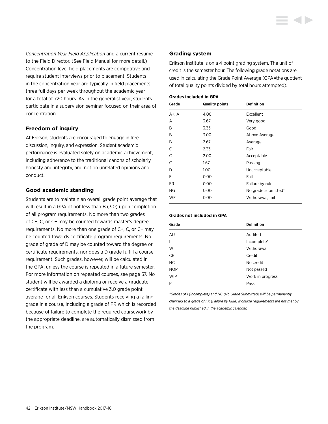*Concentration Year Field Application* and a current resume to the Field Director. (See Field Manual for more detail.) Concentration level field placements are competitive and require student interviews prior to placement. Students in the concentration year are typically in field placements three full days per week throughout the academic year for a total of 720 hours. As in the generalist year, students participate in a supervision seminar focused on their area of concentration.

# **Freedom of inquiry**

At Erikson, students are encouraged to engage in free discussion, inquiry, and expression. Student academic performance is evaluated solely on academic achievement, including adherence to the traditional canons of scholarly honesty and integrity, and not on unrelated opinions and conduct.

# **Good academic standing**

Students are to maintain an overall grade point average that will result in a GPA of not less than B (3.0) upon completion of all program requirements. No more than two grades of C+, C, or C− may be counted towards master's degree requirements. No more than one grade of C+, C, or C− may be counted towards certificate program requirements. No grade of grade of D may be counted toward the degree or certificate requirements, nor does a D grade fulfill a course requirement. Such grades, however, will be calculated in the GPA, unless the course is repeated in a future semester. For more information on repeated courses, see page 57. No student will be awarded a diploma or receive a graduate certificate with less than a cumulative 3.0 grade point average for all Erikson courses. Students receiving a failing grade in a course, including a grade of FR which is recorded because of failure to complete the required coursework by the appropriate deadline, are automatically dismissed from the program.

### **Grading system**

Erikson Institute is on a 4 point grading system. The unit of credit is the semester hour. The following grade notations are used in calculating the Grade Point Average (GPA=the quotient of total quality points divided by total hours attempted).

# **Grades included in GPA**

| Grade     | <b>Quality points</b> | <b>Definition</b>   |
|-----------|-----------------------|---------------------|
| A+, A     | 4.00                  | Excellent           |
| A-        | 3.67                  | Very good           |
| B+        | 3.33                  | Good                |
| B         | 3.00                  | Above Average       |
| B-        | 2.67                  | Average             |
| $C+$      | 2.33                  | Fair                |
| C         | 2.00                  | Acceptable          |
| $C-$      | 1.67                  | Passing             |
| D         | 1.00                  | Unacceptable        |
| F         | 0.00                  | Fail                |
| <b>FR</b> | 0.00                  | Failure by rule     |
| NG        | 0.00                  | No grade submitted* |
| WF        | 0.00                  | Withdrawal, fail    |

## **Grades not included in GPA**

| Grade          | <b>Definition</b> |
|----------------|-------------------|
| AU             | Audited           |
| $\overline{1}$ | Incomplete*       |
| W              | Withdrawal        |
| CR.            | Credit            |
| <b>NC</b>      | No credit         |
| <b>NOP</b>     | Not passed        |
| <b>WIP</b>     | Work in progress  |
| P              | Pass              |

*\*Grades of I (Incomplete) and NG (No Grade Submitted) will be permanently changed to a grade of FR (Failure by Rule) if course requirements are not met by the deadline published in the academic calendar.*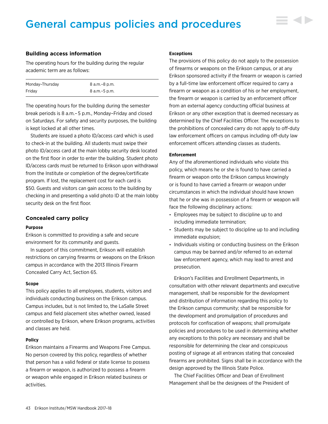# General campus policies and procedures

#### **Building access information**

The operating hours for the building during the regular academic term are as follows:

| Monday-Thursday | 8 a.m.–8 p.m. |
|-----------------|---------------|
| Fridav          | 8 a.m.–5 p.m. |

The operating hours for the building during the semester break periods is 8 a.m.– 5 p.m., Monday–Friday and closed on Saturdays. For safety and security purposes, the building is kept locked at all other times.

Students are issued a photo ID/access card which is used to check-in at the building. All students must swipe their photo ID/access card at the main lobby security desk located on the first floor in order to enter the building. Student photo ID/access cards must be returned to Erikson upon withdrawal from the Institute or completion of the degree/certificate program. If lost, the replacement cost for each card is \$50. Guests and visitors can gain access to the building by checking in and presenting a valid photo ID at the main lobby security desk on the first floor.

#### **Concealed carry policy**

#### **Purpose**

Erikson is committed to providing a safe and secure environment for its community and guests.

In support of this commitment, Erikson will establish restrictions on carrying firearms or weapons on the Erikson campus in accordance with the 2013 Illinois Firearm Concealed Carry Act, Section 65.

#### **Scope**

This policy applies to all employees, students, visitors and individuals conducting business on the Erikson campus. Campus includes, but is not limited to, the LaSalle Street campus and field placement sites whether owned, leased or controlled by Erikson, where Erikson programs, activities and classes are held.

#### **Policy**

Erikson maintains a Firearms and Weapons Free Campus. No person covered by this policy, regardless of whether that person has a valid federal or state license to possess a firearm or weapon, is authorized to possess a firearm or weapon while engaged in Erikson related business or activities.

#### **Exceptions**

The provisions of this policy do not apply to the possession of firearms or weapons on the Erikson campus, or at any Erikson sponsored activity if the firearm or weapon is carried by a full-time law enforcement officer required to carry a firearm or weapon as a condition of his or her employment, the firearm or weapon is carried by an enforcement officer from an external agency conducting official business at Erikson or any other exception that is deemed necessary as determined by the Chief Facilities Officer. The exceptions to the prohibitions of concealed carry do not apply to off-duty law enforcement officers on campus including off-duty law enforcement officers attending classes as students.

## **Enforcement**

Any of the aforementioned individuals who violate this policy, which means he or she is found to have carried a firearm or weapon onto the Erikson campus knowingly or is found to have carried a firearm or weapon under circumstances in which the individual should have known that he or she was in possession of a firearm or weapon will face the following disciplinary actions:

- Employees may be subject to discipline up to and including immediate termination;
- Students may be subject to discipline up to and including immediate expulsion;
- Individuals visiting or conducting business on the Erikson campus may be banned and/or referred to an external law enforcement agency, which may lead to arrest and prosecution.

Erikson's Facilities and Enrollment Departments, in consultation with other relevant departments and executive management, shall be responsible for the development and distribution of information regarding this policy to the Erikson campus community; shall be responsible for the development and promulgation of procedures and protocols for confiscation of weapons; shall promulgate policies and procedures to be used in determining whether any exceptions to this policy are necessary and shall be responsible for determining the clear and conspicuous posting of signage at all entrances stating that concealed firearms are prohibited. Signs shall be in accordance with the design approved by the Illinois State Police.

The Chief Facilities Officer and Dean of Enrollment Management shall be the designees of the President of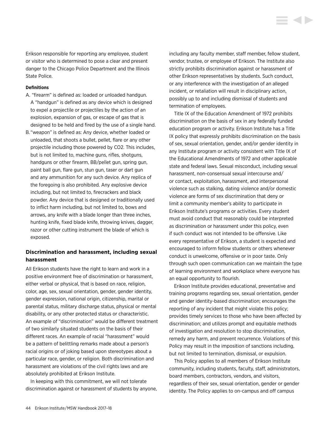Erikson responsible for reporting any employee, student or visitor who is determined to pose a clear and present danger to the Chicago Police Department and the Illinois State Police.

#### **Definitions**

- A. "firearm" is defined as: loaded or unloaded handgun. A "handgun" is defined as any device which is designed to expel a projectile or projectiles by the action of an explosion, expansion of gas, or escape of gas that is designed to be held and fired by the use of a single hand.
- B. "weapon" is defined as: Any device, whether loaded or unloaded, that shoots a bullet, pellet, flare or any other projectile including those powered by CO2. This includes, but is not limited to, machine guns, rifles, shotguns, handguns or other firearm, BB/pellet gun, spring gun, paint ball gun, flare gun, stun gun, taser or dart gun and any ammunition for any such device. Any replica of the foregoing is also prohibited. Any explosive device including, but not limited to, firecrackers and black powder. Any device that is designed or traditionally used to inflict harm including, but not limited to, bows and arrows, any knife with a blade longer than three inches, hunting knife, fixed blade knife, throwing knives, dagger, razor or other cutting instrument the blade of which is exposed.

# **Discrimination and harassment, including sexual harassment**

All Erikson students have the right to learn and work in a positive environment free of discrimination or harassment, either verbal or physical, that is based on race, religion, color, age, sex, sexual orientation, gender, gender identity, gender expression, national origin, citizenship, marital or parental status, military discharge status, physical or mental disability, or any other protected status or characteristic. An example of "discrimination" would be different treatment of two similarly situated students on the basis of their different races. An example of racial "harassment" would be a pattern of belittling remarks made about a person's racial origins or of joking based upon stereotypes about a particular race, gender, or religion. Both discrimination and harassment are violations of the civil rights laws and are absolutely prohibited at Erikson Institute.

In keeping with this commitment, we will not tolerate discrimination against or harassment of students by anyone, including any faculty member, staff member, fellow student, vendor, trustee, or employee of Erikson. The Institute also strictly prohibits discrimination against or harassment of other Erikson representatives by students. Such conduct, or any interference with the investigation of an alleged incident, or retaliation will result in disciplinary action, possibly up to and including dismissal of students and termination of employees.

Title IX of the Education Amendment of 1972 prohibits discrimination on the basis of sex in any federally funded education program or activity. Erikson Institute has a Title IX policy that expressly prohibits discrimination on the basis of sex, sexual orientation, gender, and/or gender identity in any Institute program or activity consistent with Title IX of the Educational Amendments of 1972 and other applicable state and federal laws. Sexual misconduct, including sexual harassment, non-consensual sexual intercourse and/ or contact, exploitation, harassment, and interpersonal violence such as stalking, dating violence and/or domestic violence are forms of sex discrimination that deny or limit a community member's ability to participate in Erikson Institute's programs or activities. Every student must avoid conduct that reasonably could be interpreted as discrimination or harassment under this policy, even if such conduct was not intended to be offensive. Like every representative of Erikson, a student is expected and encouraged to inform fellow students or others whenever conduct is unwelcome, offensive or in poor taste. Only through such open communication can we maintain the type of learning environment and workplace where everyone has an equal opportunity to flourish.

Erikson Institute provides educational, preventative and training programs regarding sex, sexual orientation, gender and gender identity-based discrimination; encourages the reporting of any incident that might violate this policy; provides timely services to those who have been affected by discrimination; and utilizes prompt and equitable methods of investigation and resolution to stop discrimination, remedy any harm, and prevent recurrence. Violations of this Policy may result in the imposition of sanctions including, but not limited to termination, dismissal, or expulsion.

This Policy applies to all members of Erikson Institute community, including students, faculty, staff, administrators, board members, contractors, vendors, and visitors, regardless of their sex, sexual orientation, gender or gender identity. The Policy applies to on-campus and off campus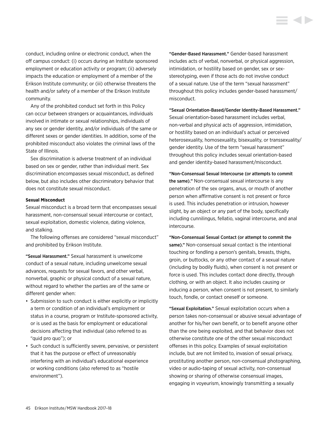conduct, including online or electronic conduct, when the off campus conduct: (i) occurs during an Institute sponsored employment or education activity or program; (ii) adversely impacts the education or employment of a member of the Erikson Institute community; or (iii) otherwise threatens the health and/or safety of a member of the Erikson Institute community.

Any of the prohibited conduct set forth in this Policy can occur between strangers or acquaintances, individuals involved in intimate or sexual relationships, individuals of any sex or gender identity, and/or individuals of the same or different sexes or gender identities. In addition, some of the prohibited misconduct also violates the criminal laws of the State of Illinois.

Sex discrimination is adverse treatment of an individual based on sex or gender, rather than individual merit. Sex discrimination encompasses sexual misconduct, as defined below, but also includes other discriminatory behavior that does not constitute sexual misconduct.

#### **Sexual Misconduct**

Sexual misconduct is a broad term that encompasses sexual harassment, non-consensual sexual intercourse or contact, sexual exploitation, domestic violence, dating violence, and stalking.

The following offenses are considered "sexual misconduct" and prohibited by Erikson Institute.

"Sexual Harassment." Sexual harassment is unwelcome conduct of a sexual nature, including unwelcome sexual advances, requests for sexual favors, and other verbal, nonverbal, graphic or physical conduct of a sexual nature, without regard to whether the parties are of the same or different gender when:

- Submission to such conduct is either explicitly or implicitly a term or condition of an individual's employment or status in a course, program or Institute-sponsored activity, or is used as the basis for employment or educational decisions affecting that individual (also referred to as "quid pro quo"); or
- Such conduct is sufficiently severe, pervasive, or persistent that it has the purpose or effect of unreasonably interfering with an individual's educational experience or working conditions (also referred to as "hostile environment").

"Gender-Based Harassment." Gender-based harassment includes acts of verbal, nonverbal, or physical aggression, intimidation, or hostility based on gender, sex or sexstereotyping, even if those acts do not involve conduct of a sexual nature. Use of the term "sexual harassment" throughout this policy includes gender-based harassment/ misconduct.

"Sexual Orientation-Based/Gender Identity-Based Harassment." Sexual orientation-based harassment includes verbal, non-verbal and physical acts of aggression, intimidation, or hostility based on an individual's actual or perceived heterosexuality, homosexuality, bisexuality, or transsexuality/ gender identity. Use of the term "sexual harassment" throughout this policy includes sexual orientation-based and gender identity-based harassment/misconduct.

"Non-Consensual Sexual Intercourse (or attempts to commit the same)." Non-consensual sexual intercourse is any penetration of the sex organs, anus, or mouth of another person when affirmative consent is not present or force is used. This includes penetration or intrusion, however slight, by an object or any part of the body, specifically including cunnilingus, fellatio, vaginal intercourse, and anal intercourse.

"Non-Consensual Sexual Contact (or attempt to commit the same)." Non-consensual sexual contact is the intentional touching or fondling a person's genitals, breasts, thighs, groin, or buttocks, or any other contact of a sexual nature (including by bodily fluids), when consent is not present or force is used. This includes contact done directly, through clothing, or with an object. It also includes causing or inducing a person, when consent is not present, to similarly touch, fondle, or contact oneself or someone.

"Sexual Exploitation." Sexual exploitation occurs when a person takes non-consensual or abusive sexual advantage of another for his/her own benefit, or to benefit anyone other than the one being exploited, and that behavior does not otherwise constitute one of the other sexual misconduct offenses in this policy. Examples of sexual exploitation include, but are not limited to, invasion of sexual privacy, prostituting another person, non-consensual photographing, video or audio-taping of sexual activity, non-consensual showing or sharing of otherwise consensual images, engaging in voyeurism, knowingly transmitting a sexually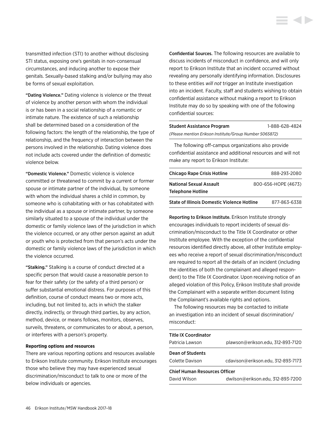transmitted infection (STI) to another without disclosing STI status, exposing one's genitals in non-consensual circumstances, and inducing another to expose their genitals. Sexually-based stalking and/or bullying may also be forms of sexual exploitation.

"Dating Violence." Dating violence is violence or the threat of violence by another person with whom the individual is or has been in a social relationship of a romantic or intimate nature. The existence of such a relationship shall be determined based on a consideration of the following factors: the length of the relationship, the type of relationship, and the frequency of interaction between the persons involved in the relationship. Dating violence does not include acts covered under the definition of domestic violence below.

"Domestic Violence." Domestic violence is violence committed or threatened to commit by a current or former spouse or intimate partner of the individual, by someone with whom the individual shares a child in common, by someone who is cohabitating with or has cohabitated with the individual as a spouse or intimate partner, by someone similarly situated to a spouse of the individual under the domestic or family violence laws of the jurisdiction in which the violence occurred, or any other person against an adult or youth who is protected from that person's acts under the domestic or family violence laws of the jurisdiction in which the violence occurred.

"Stalking." Stalking is a course of conduct directed at a specific person that would cause a reasonable person to fear for their safety (or the safety of a third person) or suffer substantial emotional distress. For purposes of this definition, course of conduct means two or more acts, including, but not limited to, acts in which the stalker directly, indirectly, or through third parties, by any action, method, device, or means follows, monitors, observes, surveils, threatens, or communicates to or about, a person, or interferes with a person's property.

#### **Reporting options and resources**

There are various reporting options and resources available to Erikson Institute community. Erikson Institute encourages those who believe they may have experienced sexual discrimination/misconduct to talk to one or more of the below individuals or agencies.

Confidential Sources. The following resources are available to discuss incidents of misconduct in confidence, and will only report to Erikson Institute that an incident occurred without revealing any personally identifying information. Disclosures to these entities *will not* trigger an Institute investigation into an incident. Faculty, staff and students wishing to obtain confidential assistance without making a report to Erikson Institute may do so by speaking with one of the following confidential sources:

| Student Assistance Program                              | 1-888-628-4824 |
|---------------------------------------------------------|----------------|
| (Please mention Erikson Institute/Group Number 5065872) |                |

The following off-campus organizations also provide confidential assistance and additional resources and will not make any report to Erikson Institute:

| <b>Chicago Rape Crisis Hotline</b>          | 888-293-2080        |
|---------------------------------------------|---------------------|
| National Sexual Assault                     | 800-656-HOPE (4673) |
| Telephone Hotline                           |                     |
| State of Illinois Domestic Violence Hotline | 877-863-6338        |

Reporting to Erikson Institute. Erikson Institute strongly encourages individuals to report incidents of sexual discrimination/misconduct to the Title IX Coordinator or other Institute employee. With the exception of the confidential resources identified directly above, all other Institute employees who receive a report of sexual discrimination/misconduct are required to report all the details of an incident (including the identities of both the complainant and alleged respondent) to the Title IX Coordinator. Upon receiving notice of an alleged violation of this Policy, Erikson Institute shall provide the Complainant with a separate written document listing the Complainant's available rights and options.

The following resources may be contacted to initiate an investigation into an incident of sexual discrimination/ misconduct:

| <b>Title IX Coordinator</b>          |                                    |
|--------------------------------------|------------------------------------|
| Patricia Lawson                      | plawson@erikson.edu, 312-893-7120  |
| <b>Dean of Students</b>              |                                    |
| Colette Davison                      | cdavison@erikson.edu, 312-893-7173 |
| <b>Chief Human Resources Officer</b> |                                    |
| David Wilson                         | dwilson@erikson.edu, 312-893-7200  |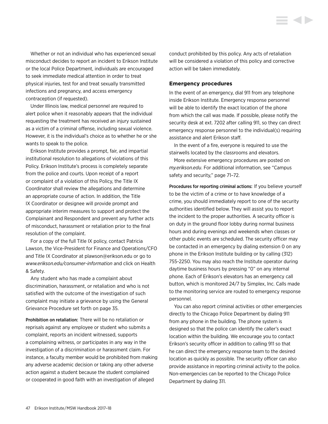Whether or not an individual who has experienced sexual misconduct decides to report an incident to Erikson Institute or the local Police Department, individuals are encouraged to seek immediate medical attention in order to treat physical injuries, test for and treat sexually transmitted infections and pregnancy, and access emergency contraception (if requested).

Under Illinois law, medical personnel are required to alert police when it reasonably appears that the individual requesting the treatment has received an injury sustained as a victim of a criminal offense, including sexual violence. However, it is the individual's choice as to whether he or she wants to speak to the police.

Erikson Institute provides a prompt, fair, and impartial institutional resolution to allegations of violations of this Policy. Erikson Institute's process is completely separate from the police and courts. Upon receipt of a report or complaint of a violation of this Policy, the Title IX Coordinator shall review the allegations and determine an appropriate course of action. In addition, the Title IX Coordinator or designee will provide prompt and appropriate interim measures to support and protect the Complainant and Respondent and prevent any further acts of misconduct, harassment or retaliation prior to the final resolution of the complaint.

For a copy of the full Title IX policy, contact Patricia Lawson, the Vice-President for Finance and Operations/CFO and Title IX Coordinator at plawson@erikson.edu or go to *[www.erikson.edu/consumer-information](https://www.erikson.edu/consumer-information/)* and click on Health & Safety.

Any student who has made a complaint about discrimination, harassment, or retaliation and who is not satisfied with the outcome of the investigation of such complaint may initiate a grievance by using the General Grievance Procedure set forth on page 35.

Prohibition on retaliation: There will be no retaliation or reprisals against any employee or student who submits a complaint, reports an incident witnessed, supports a complaining witness, or participates in any way in the investigation of a discrimination or harassment claim. For instance, a faculty member would be prohibited from making any adverse academic decision or taking any other adverse action against a student because the student complained or cooperated in good faith with an investigation of alleged

conduct prohibited by this policy. Any acts of retaliation will be considered a violation of this policy and corrective action will be taken immediately.

#### **Emergency procedures**

In the event of an emergency, dial 911 from any telephone inside Erikson Institute. Emergency response personnel will be able to identify the exact location of the phone from which the call was made. If possible, please notify the security desk at ext. 7202 after calling 911, so they can direct emergency response personnel to the individual(s) requiring assistance and alert Erikson staff.

In the event of a fire, everyone is required to use the stairwells located by the classrooms and elevators.

More extensive emergency procedures are posted on *my.erikson.edu*. For additional information, see "Campus safety and security," page 71–72.

Procedures for reporting criminal actions: If you believe yourself to be the victim of a crime or to have knowledge of a crime, you should immediately report to one of the security authorities identified below. They will assist you to report the incident to the proper authorities. A security officer is on duty in the ground floor lobby during normal business hours and during evenings and weekends when classes or other public events are scheduled. The security officer may be contacted in an emergency by dialing extension 0 on any phone in the Erikson Institute building or by calling (312) 755-2250. You may also reach the Institute operator during daytime business hours by pressing "0" on any internal phone. Each of Erikson's elevators has an emergency call button, which is monitored 24/7 by Simplex, Inc. Calls made to the monitoring service are routed to emergency response personnel.

You can also report criminal activities or other emergencies directly to the Chicago Police Department by dialing 911 from any phone in the building. The phone system is designed so that the police can identify the caller's exact location within the building. We encourage you to contact Erikson's security officer in addition to calling 911 so that he can direct the emergency response team to the desired location as quickly as possible. The security officer can also provide assistance in reporting criminal activity to the police. Non-emergencies can be reported to the Chicago Police Department by dialing 311.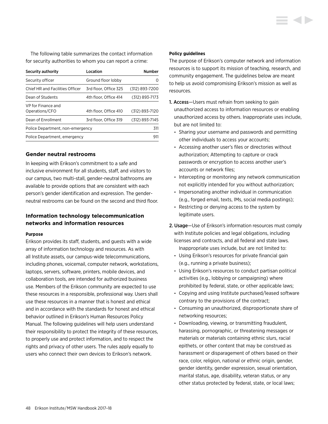The following table summarizes the contact information for security authorities to whom you can report a crime:

| Security authority                   | Location              | <b>Number</b>  |
|--------------------------------------|-----------------------|----------------|
| Security officer                     | Ground floor lobby    | O              |
| Chief HR and Facilities Officer      | 3rd floor, Office 325 | (312) 893-7200 |
| Dean of Students                     | 4th floor. Office 414 | (312) 893-7173 |
| VP for Finance and<br>Operations/CFO | 4th floor, Office 410 | (312) 893-7120 |
| Dean of Enrollment                   | 3rd floor, Office 319 | (312) 893-7145 |
| Police Department, non-emergency     |                       | 311            |
| Police Department, emergency         |                       | 911            |

## **Gender neutral restrooms**

In keeping with Erikson's commitment to a safe and inclusive environment for all students, staff, and visitors to our campus, two multi-stall, gender-neutral bathrooms are available to provide options that are consistent with each person's gender identification and expression. The genderneutral restrooms can be found on the second and third floor.

# **Information technology telecommunication networks and information resources**

#### **Purpose**

Erikson provides its staff, students, and guests with a wide array of information technology and resources. As with all Institute assets, our campus-wide telecommunications, including phones, voicemail, computer network, workstations, laptops, servers, software, printers, mobile devices, and collaboration tools, are intended for authorized business use. Members of the Erikson community are expected to use these resources in a responsible, professional way. Users shall use these resources in a manner that is honest and ethical and in accordance with the standards for honest and ethical behavior outlined in Erikson's Human Resources Policy Manual. The following guidelines will help users understand their responsibility to protect the integrity of these resources, to properly use and protect information, and to respect the rights and privacy of other users. The rules apply equally to users who connect their own devices to Erikson's network.

#### **Policy guidelines**

The purpose of Erikson's computer network and information resources is to support its mission of teaching, research, and community engagement. The guidelines below are meant to help us avoid compromising Erikson's mission as well as resources.

- 1. Access—Users must refrain from seeking to gain unauthorized access to information resources or enabling unauthorized access by others. Inappropriate uses include, but are not limited to:
	- Sharing your username and passwords and permitting other individuals to access your accounts;
	- Accessing another user's files or directories without authorization; Attempting to capture or crack passwords or encryption to access another user's accounts or network files;
	- Intercepting or monitoring any network communication not explicitly intended for you without authorization;
	- Impersonating another individual in communication (e.g., forged email, texts, IMs, social media postings);
	- Restricting or denying access to the system by legitimate users.
- 2. Usage—Use of Erikson's information resources must comply with Institute policies and legal obligations, including licenses and contracts, and all federal and state laws. Inappropriate uses include, but are not limited to:
	- Using Erikson's resources for private financial gain (e.g., running a private business);
	- Using Erikson's resources to conduct partisan political activities (e.g., lobbying or campaigning) where prohibited by federal, state, or other applicable laws;
	- Copying and using Institute purchased/leased software contrary to the provisions of the contract;
	- Consuming an unauthorized, disproportionate share of networking resources;
	- Downloading, viewing, or transmitting fraudulent, harassing, pornographic, or threatening messages or materials or materials containing ethnic slurs, racial epithets, or other content that may be construed as harassment or disparagement of others based on their race, color, religion, national or ethnic origin, gender, gender identity, gender expression, sexual orientation, marital status, age, disability, veteran status, or any other status protected by federal, state, or local laws;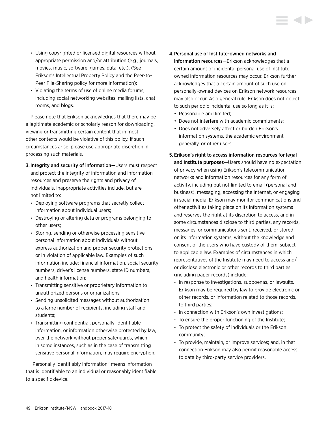- Using copyrighted or licensed digital resources without appropriate permission and/or attribution (e.g., journals, movies, music, software, games, data, etc.). (See Erikson's Intellectual Property Policy and the Peer-to-Peer File-Sharing policy for more information);
- Violating the terms of use of online media forums, including social networking websites, mailing lists, chat rooms, and blogs.

Please note that Erikson acknowledges that there may be a legitimate academic or scholarly reason for downloading, viewing or transmitting certain content that in most other contexts would be violative of this policy. If such circumstances arise, please use appropriate discretion in processing such materials.

- 3. Integrity and security of information—Users must respect and protect the integrity of information and information resources and preserve the rights and privacy of individuals. Inappropriate activities include, but are not limited to:
	- Deploying software programs that secretly collect information about individual users;
	- Destroying or altering data or programs belonging to other users;
	- Storing, sending or otherwise processing sensitive personal information about individuals without express authorization and proper security protections or in violation of applicable law. Examples of such information include: financial information, social security numbers, driver's license numbers, state ID numbers, and health information;
	- Transmitting sensitive or proprietary information to unauthorized persons or organizations;
	- Sending unsolicited messages without authorization to a large number of recipients, including staff and students;
	- Transmitting confidential, personally-identifiable information, or information otherwise protected by law, over the network without proper safeguards, which in some instances, such as in the case of transmitting sensitive personal information, may require encryption.

"Personally identifiably information" means information that is identifiable to an individual or reasonably identifiable to a specific device.

- 4.Personal use of Institute-owned networks and information resources—Erikson acknowledges that a certain amount of incidental personal use of Instituteowned information resources may occur. Erikson further acknowledges that a certain amount of such use on personally-owned devices on Erikson network resources may also occur. As a general rule, Erikson does not object to such periodic incidental use so long as it is:
	- Reasonable and limited;
	- Does not interfere with academic commitments;
	- Does not adversely affect or burden Erikson's information systems, the academic environment generally, or other users.

# 5. Erikson's right to access information resources for legal and Institute purposes—Users should have no expectation of privacy when using Erikson's telecommunication networks and information resources for any form of activity, including but not limited to email (personal and business), messaging, accessing the Internet, or engaging in social media. Erikson may monitor communications and other activities taking place on its information systems and reserves the right at its discretion to access, and in some circumstances disclose to third parties, any records, messages, or communications sent, received, or stored on its information systems, without the knowledge and consent of the users who have custody of them, subject to applicable law. Examples of circumstances in which representatives of the Institute may need to access and/ or disclose electronic or other records to third parties (including paper records) include:

- In response to investigations, subpoenas, or lawsuits. Erikson may be required by law to provide electronic or other records, or information related to those records, to third parties;
- In connection with Erikson's own investigations;
- To ensure the proper functioning of the Institute;
- To protect the safety of individuals or the Erikson community;
- To provide, maintain, or improve services; and, in that connection Erikson may also permit reasonable access to data by third-party service providers.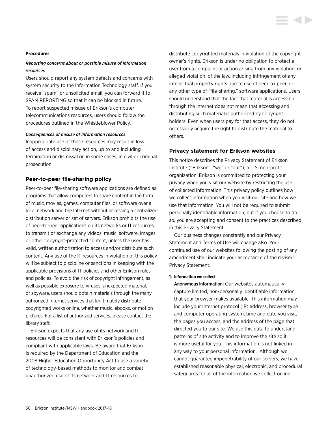#### **Procedures**

# *Reporting concerns about or possible misuse of information resources*

Users should report any system defects and concerns with system security to the Information Technology staff. If you receive "spam" or unsolicited email, you can forward it to SPAM REPORTING so that it can be blocked in future. To report suspected misuse of Erikson's computer telecommunications resources, users should follow the procedures outlined in the Whistleblower Policy.

#### *Consequences of misuse of information resources*

Inappropriate use of these resources may result in loss of access and disciplinary action, up to and including termination or dismissal or, in some cases, in civil or criminal prosecution.

# **Peer-to-peer file-sharing policy**

Peer-to-peer file-sharing software applications are defined as programs that allow computers to share content in the form of music, movies, games, computer files, or software over a local network and the Internet without accessing a centralized distribution server or set of servers. Erikson prohibits the use of peer-to-peer applications on its networks or IT resources to transmit or exchange any videos, music, software, images, or other copyright-protected content, unless the user has valid, written authorization to access and/or distribute such content. Any use of the IT resources in violation of this policy will be subject to discipline or sanctions in keeping with the applicable provisions of IT policies and other Erikson rules and policies. To avoid the risk of copyright infringement, as well as possible exposure to viruses, unexpected material, or spyware, users should obtain materials through the many authorized Internet services that legitimately distribute copyrighted works online, whether music, ebooks, or motion pictures. For a list of authorized services, please contact the library staff.

Erikson expects that any use of its network and IT resources will be consistent with Erikson's policies and compliant with applicable laws. Be aware that Erikson is required by the Department of Education and the 2008 Higher Education Opportunity Act to use a variety of technology-based methods to monitor and combat unauthorized use of its network and IT resources to

distribute copyrighted materials in violation of the copyright owner's rights. Erikson is under no obligation to protect a user from a complaint or action arising from any violation, or alleged violation, of the law, including infringement of any intellectual property rights due to use of peer-to-peer, or any other type of "file-sharing," software applications. Users should understand that the fact that material is accessible through the Internet does not mean that accessing and distributing such material is authorized by copyrightholders. Even when users pay for that access, they do not necessarily acquire the right to distribute the material to others.

#### **Privacy statement for Erikson websites**

This notice describes the Privacy Statement of Erikson Institute ("Erikson", "we" or "our"), a U.S. non-profit organization. Erikson is committed to protecting your privacy when you visit our website by restricting the use of collected information. This privacy policy outlines how we collect information when you visit our site and how we use that information. You will not be required to submit personally identifiable information, but if you choose to do so, you are accepting and consent to the practices described in this Privacy Statement.

Our business changes constantly and our Privacy Statement and Terms of Use will change also. Your continued use of our websites following the posting of any amendment shall indicate your acceptance of the revised Privacy Statement.

#### **1. Information we collect**

Anonymous information: Our websites automatically capture limited, non-personally identifiable information that your browser makes available. This information may include your Internet protocol (IP) address, browser type and computer operating system, time and date you visit, the pages you access, and the address of the page that directed you to our site. We use this data to understand patterns of site activity and to improve the site so it is more useful for you. This information is not linked in any way to your personal information. Although we cannot guarantee impenetrability of our servers, we have established reasonable physical, electronic, and procedural safeguards for all of the information we collect online.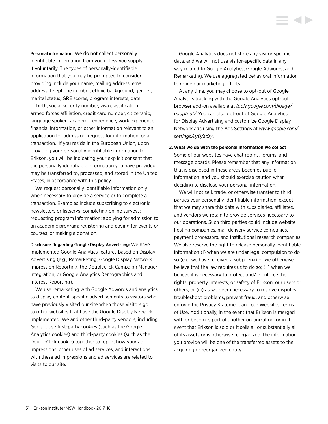Personal information: We do not collect personally identifiable information from you unless you supply it voluntarily. The types of personally-identifiable information that you may be prompted to consider providing include your name, mailing address, email address, telephone number, ethnic background, gender, marital status, GRE scores, program interests, date of birth, social security number, visa classification, armed forces affiliation, credit card number, citizenship, language spoken, academic experience, work experience, financial information, or other information relevant to an application for admission, request for information, or a transaction. If you reside in the European Union, upon providing your personally identifiable information to Erikson, you will be indicating your explicit consent that the personally identifiable information you have provided may be transferred to, processed, and stored in the United States, in accordance with this policy.

We request personally identifiable information only when necessary to provide a service or to complete a transaction. Examples include subscribing to electronic newsletters or listservs; completing online surveys; requesting program information; applying for admission to an academic program; registering and paying for events or courses; or making a donation.

Disclosure Regarding Google Display Advertising: We have implemented Google Analytics features based on Display Advertising (e.g., Remarketing, Google Display Network Impression Reporting, the Doubleclick Campaign Manager integration, or Google Analytics Demographics and Interest Reporting).

We use remarketing with Google Adwords and analytics to display content-specific advertisements to visitors who have previously visited our site when those visitors go to other websites that have the Google Display Network implemented. We and other third-party vendors, including Google, use first-party cookies (such as the Google Analytics cookies) and third-party cookies (such as the DoubleClick cookie) together to report how your ad impressions, other uses of ad services, and interactions with these ad impressions and ad services are related to visits to our site.

Google Analytics does not store any visitor specific data, and we will not use visitor-specific data in any way related to Google Analytics, Google Adwords, and Remarketing. We use aggregated behavioral information to refine our marketing efforts.

At any time, you may choose to opt-out of Google Analytics tracking with the Google Analytics opt-out browser add-on available at *[tools.google.com/dlpage/](tools.google.com/dlpage/gaoptout/) [gaoptout](tools.google.com/dlpage/gaoptout/)/*. You can also opt-out of Google Analytics for Display Advertising and customize Google Display Network ads using the Ads Settings at *[www.google.com/](http://www.google.com/settings/u/0/ads/) [settings/u/0/ads/](http://www.google.com/settings/u/0/ads/)*.

#### **2. What we do with the personal information we collect**

Some of our websites have chat rooms, forums, and message boards. Please remember that any information that is disclosed in these areas becomes public information, and you should exercise caution when deciding to disclose your personal information.

We will not sell, trade, or otherwise transfer to third parties your personally identifiable information, except that we may share this data with subsidiaries, affiliates, and vendors we retain to provide services necessary to our operations. Such third parties could include website hosting companies, mail delivery service companies, payment processors, and institutional research companies. We also reserve the right to release personally identifiable information (i) when we are under legal compulsion to do so (e.g. we have received a subpoena) or we otherwise believe that the law requires us to do so; (ii) when we believe it is necessary to protect and/or enforce the rights, property interests, or safety of Erikson, our users or others; or (iii) as we deem necessary to resolve disputes, troubleshoot problems, prevent fraud, and otherwise enforce the Privacy Statement and our Websites Terms of Use. Additionally, in the event that Erikson is merged with or becomes part of another organization, or in the event that Erikson is sold or it sells all or substantially all of its assets or is otherwise reorganized, the information you provide will be one of the transferred assets to the acquiring or reorganized entity.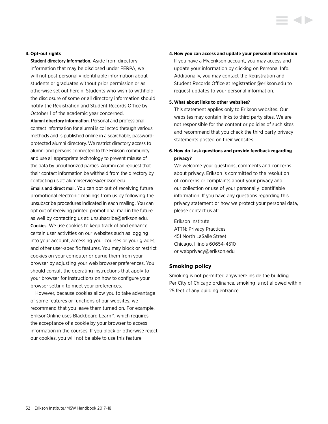#### **3. Opt-out rights**

Student directory information. Aside from directory information that may be disclosed under FERPA, we will not post personally identifiable information about students or graduates without prior permission or as otherwise set out herein. Students who wish to withhold the disclosure of some or all directory information should notify the Registration and Student Records Office by October 1 of the academic year concerned.

Alumni directory information. Personal and professional contact information for alumni is collected through various methods and is published online in a searchable, passwordprotected alumni directory. We restrict directory access to alumni and persons connected to the Erikson community and use all appropriate technology to prevent misuse of the data by unauthorized parties. Alumni can request that their contact information be withheld from the directory by contacting us at: alumniservices@erikson.edu.

Emails and direct mail. You can opt out of receiving future promotional electronic mailings from us by following the unsubscribe procedures indicated in each mailing. You can opt out of receiving printed promotional mail in the future as well by contacting us at: unsubscribe@erikson.edu. Cookies. We use cookies to keep track of and enhance certain user activities on our websites such as logging into your account, accessing your courses or your grades, and other user-specific features. You may block or restrict cookies on your computer or purge them from your browser by adjusting your web browser preferences. You should consult the operating instructions that apply to your browser for instructions on how to configure your browser setting to meet your preferences.

However, because cookies allow you to take advantage of some features or functions of our websites, we recommend that you leave them turned on. For example, EriksonOnline uses Blackboard Learn™, which requires the acceptance of a cookie by your browser to access information in the courses. If you block or otherwise reject our cookies, you will not be able to use this feature.

#### **4.How you can access and update your personal information**

If you have a My.Erikson account, you may access and update your information by clicking on Personal Info. Additionally, you may contact the Registration and Student Records Office at registration@erikson.edu to request updates to your personal information.

#### **5. What about links to other websites?**

This statement applies only to Erikson websites. Our websites may contain links to third party sites. We are not responsible for the content or policies of such sites and recommend that you check the third party privacy statements posted on their websites.

# **6. How do I ask questions and provide feedback regarding privacy?**

We welcome your questions, comments and concerns about privacy. Erikson is committed to the resolution of concerns or complaints about your privacy and our collection or use of your personally identifiable information. If you have any questions regarding this privacy statement or how we protect your personal data, please contact us at:

Erikson Institute ATTN: Privacy Practices 451 North LaSalle Street Chicago, Illinois 60654-4510 or webprivacy@erikson.edu

#### **Smoking policy**

Smoking is not permitted anywhere inside the building. Per City of Chicago ordinance, smoking is not allowed within 25 feet of any building entrance.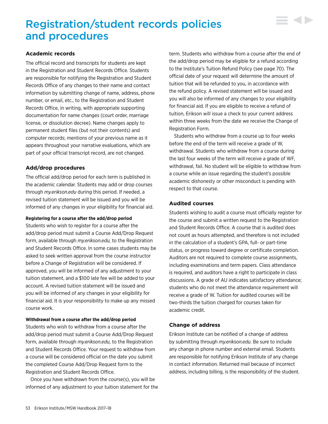# Registration/student records policies and procedures

# **Academic records**

The official record and transcripts for students are kept in the Registration and Student Records Office. Students are responsible for notifying the Registration and Student Records Office of any changes to their name and contact information by submitting change of name, address, phone number, or email, etc., to the Registration and Student Records Office, in writing, with appropriate supporting documentation for name changes (court order, marriage license, or dissolution decree). Name changes apply to permanent student files (but not their contents) and computer records; mentions of your previous name as it appears throughout your narrative evaluations, which are part of your official transcript record, are not changed.

# **Add/drop procedures**

The official add/drop period for each term is published in the academic calendar. Students may add or drop courses through *my.erikson.edu* during this period. If needed, a revised tuition statement will be issued and you will be informed of any changes in your eligibility for financial aid.

# **Registering for a course after the add/drop period**

Students who wish to register for a course after the add/drop period must submit a Course Add/Drop Request form, available through *my.erikson.edu,* to the Registration and Student Records Office. In some cases students may be asked to seek written approval from the course instructor before a Change of Registration will be considered. If approved, you will be informed of any adjustment to your tuition statement, and a \$100 late fee will be added to your account. A revised tuition statement will be issued and you will be informed of any changes in your eligibility for financial aid. It is your responsibility to make up any missed course work.

# **Withdrawal from a course after the add/drop period**

Students who wish to withdraw from a course after the add/drop period must submit a Course Add/Drop Request form, available through *my.erikson.edu,* to the Registration and Student Records Office. Your request to withdraw from a course will be considered official on the date you submit the completed Course Add/Drop Request form to the Registration and Student Records Office.

Once you have withdrawn from the course(s), you will be informed of any adjustment to your tuition statement for the term. Students who withdraw from a course after the end of the add/drop period may be eligible for a refund according to the Institute's Tuition Refund Policy (see page 70). The official date of your request will determine the amount of tuition that will be refunded to you, in accordance with the refund policy. A revised statement will be issued and you will also be informed of any changes to your eligibility for financial aid. If you are eligible to receive a refund of tuition, Erikson will issue a check to your current address within three weeks from the date we receive the Change of Registration Form.

= 4 D

Students who withdraw from a course up to four weeks before the end of the term will receive a grade of W, withdrawal. Students who withdraw from a course during the last four weeks of the term will receive a grade of WF, withdrawal, fail. No student will be eligible to withdraw from a course while an issue regarding the student's possible academic dishonesty or other misconduct is pending with respect to that course.

# **Audited courses**

Students wishing to audit a course must officially register for the course and submit a written request to the Registration and Student Records Office. A course that is audited does not count as hours attempted, and therefore is not included in the calculation of a student's GPA, full- or part-time status, or progress toward degree or certificate completion. Auditors are not required to complete course assignments, including examinations and term papers. Class attendance is required, and auditors have a right to participate in class discussions. A grade of AU indicates satisfactory attendance; students who do not meet the attendance requirement will receive a grade of W. Tuition for audited courses will be two-thirds the tuition charged for courses taken for academic credit.

# **Change of address**

Erikson Institute can be notified of a change of address by submitting through *my.erikson.edu*. Be sure to include any change in phone number and external email. Students are responsible for notifying Erikson Institute of any change in contact information. Returned mail because of incorrect address, including billing, is the responsibility of the student.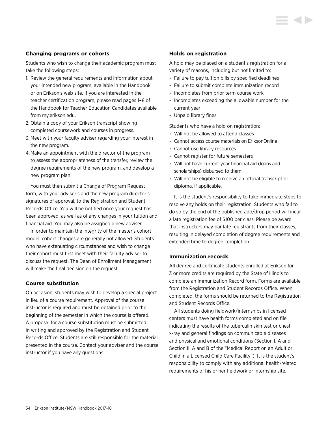# **Changing programs or cohorts**

Students who wish to change their academic program must take the following steps:

- 1. Review the general requirements and information about your intended new program, available in the Handbook or on Erikson's web site. If you are interested in the teacher certification program, please read pages 1–8 of the Handbook for Teacher Education Candidates available from my.erikson.edu.
- 2. Obtain a copy of your Erikson transcript showing completed coursework and courses in progress.
- 3. Meet with your faculty adviser regarding your interest in the new program.
- 4.Make an appointment with the director of the program to assess the appropriateness of the transfer, review the degree requirements of the new program, and develop a new program plan.

You must then submit a Change of Program Request form, with your adviser's and the new program director's signatures of approval, to the Registration and Student Records Office. You will be notified once your request has been approved, as well as of any changes in your tuition and financial aid. You may also be assigned a new adviser.

In order to maintain the integrity of the master's cohort model, cohort changes are generally not allowed. Students who have extenuating circumstances and wish to change their cohort must first meet with their faculty adviser to discuss the request. The Dean of Enrollment Management will make the final decision on the request.

# **Course substitution**

On occasion, students may wish to develop a special project in lieu of a course requirement. Approval of the course instructor is required and must be obtained prior to the beginning of the semester in which the course is offered. A proposal for a course substitution must be submitted in writing and approved by the Registration and Student Records Office. Students are still responsible for the material presented in the course. Contact your adviser and the course instructor if you have any questions.

#### **Holds on registration**

A hold may be placed on a student's registration for a variety of reasons, including but not limited to:

- Failure to pay tuition bills by specified deadlines
- Failure to submit complete immunization record
- Incompletes from prior term course work
- Incompletes exceeding the allowable number for the current year
- Unpaid library fines

Students who have a hold on registration:

- Will not be allowed to attend classes
- Cannot access course materials on EriksonOnline
- Cannot use library resources
- Cannot register for future semesters
- Will not have current year financial aid (loans and scholarships) disbursed to them
- Will not be eligible to receive an official transcript or diploma, if applicable.

It is the student's responsibility to take immediate steps to resolve any holds on their registration. Students who fail to do so by the end of the published add/drop period will incur a late registration fee of \$100 per class. Please be aware that instructors may bar late registrants from their classes, resulting in delayed completion of degree requirements and extended time to degree completion.

#### **Immunization records**

All degree and certificate students enrolled at Erikson for 3 or more credits are required by the State of Illinois to complete an Immunization Record form. Forms are available from the Registration and Student Records Office. When completed, the forms should be returned to the Registration and Student Records Office.

All students doing fieldwork/internships in licensed centers must have health forms completed and on file indicating the results of the tuberculin skin test or chest x-ray and general findings on communicable diseases and physical and emotional conditions (Section I, A and Section II, A and B of the "Medical Report on an Adult or Child in a Licensed Child Care Facility"). It is the student's responsibility to comply with any additional health-related requirements of his or her fieldwork or internship site.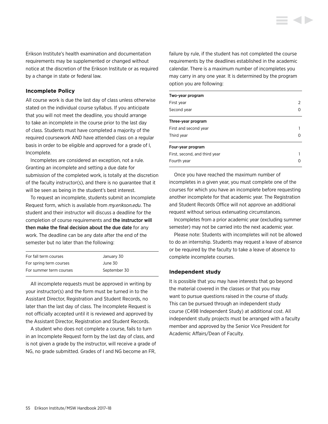Erikson Institute's health examination and documentation requirements may be supplemented or changed without notice at the discretion of the Erikson Institute or as required by a change in state or federal law.

# **Incomplete Policy**

All course work is due the last day of class unless otherwise stated on the individual course syllabus. If you anticipate that you will not meet the deadline, you should arrange to take an incomplete in the course prior to the last day of class. Students must have completed a majority of the required coursework AND have attended class on a regular basis in order to be eligible and approved for a grade of I, Incomplete.

Incompletes are considered an exception, not a rule. Granting an incomplete and setting a due date for submission of the completed work, is totally at the discretion of the faculty instructor(s), and there is no guarantee that it will be seen as being in the student's best interest.

To request an incomplete, students submit an Incomplete Request form, which is available from *my.erikson.edu*. The student and their instructor will discuss a deadline for the completion of course requirements and the instructor will then make the final decision about the due date for any work. The deadline can be any date after the end of the semester but no later than the following:

| For fall term courses   | January 30   |
|-------------------------|--------------|
| For spring term courses | June 30      |
| For summer term courses | September 30 |

All incomplete requests must be approved in writing by your instructor(s) and the form must be turned in to the Assistant Director, Registration and Student Records, no later than the last day of class. The Incomplete Request is not officially accepted until it is reviewed and approved by the Assistant Director, Registration and Student Records.

A student who does not complete a course, fails to turn in an Incomplete Request form by the last day of class, and is not given a grade by the instructor, will receive a grade of NG, no grade submitted. Grades of I and NG become an FR,

failure by rule, if the student has not completed the course requirements by the deadlines established in the academic calendar. There is a maximum number of incompletes you may carry in any one year. It is determined by the program option you are following:

| Two-year program              |   |
|-------------------------------|---|
| First year                    | 2 |
| Second year                   | 0 |
| Three-year program            |   |
| First and second year         |   |
| Third year                    | Ω |
| Four-year program             |   |
| First, second, and third year |   |
| Fourth year                   |   |

Once you have reached the maximum number of incompletes in a given year, you must complete one of the courses for which you have an incomplete before requesting another incomplete for that academic year. The Registration and Student Records Office will not approve an additional request without serious extenuating circumstances.

Incompletes from a prior academic year (excluding summer semester) may not be carried into the next academic year.

Please note: Students with incompletes will not be allowed to do an internship. Students may request a leave of absence or be required by the faculty to take a leave of absence to complete incomplete courses.

#### **Independent study**

It is possible that you may have interests that go beyond the material covered in the classes or that you may want to pursue questions raised in the course of study. This can be pursued through an independent study course (C498 Independent Study) at additional cost. All independent study projects must be arranged with a faculty member and approved by the Senior Vice President for Academic Affairs/Dean of Faculty.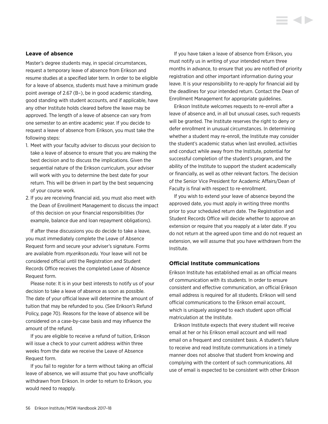#### **Leave of absence**

Master's degree students may, in special circumstances, request a temporary leave of absence from Erikson and resume studies at a specified later term. In order to be eligible for a leave of absence, students must have a minimum grade point average of 2.67 (B–), be in good academic standing, good standing with student accounts, and if applicable, have any other Institute holds cleared before the leave may be approved. The length of a leave of absence can vary from one semester to an entire academic year. If you decide to request a leave of absence from Erikson, you must take the following steps:

- 1. Meet with your faculty adviser to discuss your decision to take a leave of absence to ensure that you are making the best decision and to discuss the implications. Given the sequential nature of the Erikson curriculum, your adviser will work with you to determine the best date for your return. This will be driven in part by the best sequencing of your course work.
- 2. If you are receiving financial aid, you must also meet with the Dean of Enrollment Management to discuss the impact of this decision on your financial responsibilities (for example, balance due and loan repayment obligations).

If after these discussions you do decide to take a leave, you must immediately complete the Leave of Absence Request form and secure your adviser's signature. Forms are available from *my.erikson.edu*. Your leave will not be considered official until the Registration and Student Records Office receives the completed Leave of Absence Request form.

Please note: It is in your best interests to notify us of your decision to take a leave of absence as soon as possible. The date of your official leave will determine the amount of tuition that may be refunded to you. (See Erikson's Refund Policy, page 70). Reasons for the leave of absence will be considered on a case-by-case basis and may influence the amount of the refund.

If you are eligible to receive a refund of tuition, Erikson will issue a check to your current address within three weeks from the date we receive the Leave of Absence Request form.

If you fail to register for a term without taking an official leave of absence, we will assume that you have unofficially withdrawn from Erikson. In order to return to Erikson, you would need to reapply.

If you have taken a leave of absence from Erikson, you must notify us in writing of your intended return three months in advance, to ensure that you are notified of priority registration and other important information during your leave. It is your responsibility to re-apply for financial aid by the deadlines for your intended return. Contact the Dean of Enrollment Management for appropriate guidelines.

Erikson Institute welcomes requests to re-enroll after a leave of absence and, in all but unusual cases, such requests will be granted. The Institute reserves the right to deny or defer enrollment in unusual circumstances. In determining whether a student may re-enroll, the Institute may consider the student's academic status when last enrolled, activities and conduct while away from the Institute, potential for successful completion of the student's program, and the ability of the Institute to support the student academically or financially, as well as other relevant factors. The decision of the Senior Vice President for Academic Affairs/Dean of Faculty is final with respect to re-enrollment.

If you wish to extend your leave of absence beyond the approved date, you must apply in writing three months prior to your scheduled return date. The Registration and Student Records Office will decide whether to approve an extension or require that you reapply at a later date. If you do not return at the agreed upon time and do not request an extension, we will assume that you have withdrawn from the Institute.

## **Official Institute communications**

Erikson Institute has established email as an official means of communication with its students. In order to ensure consistent and effective communication, an official Erikson email address is required for all students. Erikson will send official communications to the Erikson email account, which is uniquely assigned to each student upon official matriculation at the Institute.

Erikson Institute expects that every student will receive email at her or his Erikson email account and will read email on a frequent and consistent basis. A student's failure to receive and read Institute communications in a timely manner does not absolve that student from knowing and complying with the content of such communications. All use of email is expected to be consistent with other Erikson

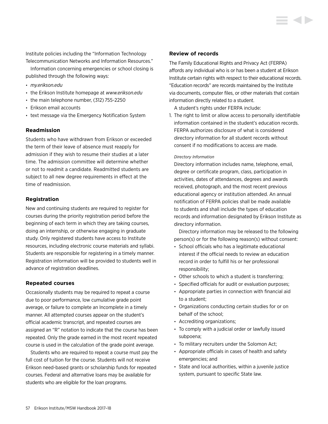Institute policies including the "Information Technology Telecommunication Networks and Information Resources."

Information concerning emergencies or school closing is published through the following ways:

- *my.erikson.edu*
- the Erikson Institute homepage at *<www.erikson.edu>*
- the main telephone number, (312) 755-2250
- Erikson email accounts
- text message via the Emergency Notification System

# **Readmission**

Students who have withdrawn from Erikson or exceeded the term of their leave of absence must reapply for admission if they wish to resume their studies at a later time. The admission committee will determine whether or not to readmit a candidate. Readmitted students are subject to all new degree requirements in effect at the time of readmission.

# **Registration**

New and continuing students are required to register for courses during the priority registration period before the beginning of each term in which they are taking courses, doing an internship, or otherwise engaging in graduate study. Only registered students have access to Institute resources, including electronic course materials and syllabi. Students are responsible for registering in a timely manner. Registration information will be provided to students well in advance of registration deadlines.

# **Repeated courses**

Occasionally students may be required to repeat a course due to poor performance, low cumulative grade point average, or failure to complete an Incomplete in a timely manner. All attempted courses appear on the student's official academic transcript, and repeated courses are assigned an "R" notation to indicate that the course has been repeated. Only the grade earned in the most recent repeated course is used in the calculation of the grade point average.

Students who are required to repeat a course must pay the full cost of tuition for the course. Students will not receive Erikson need-based grants or scholarship funds for repeated courses. Federal and alternative loans may be available for students who are eligible for the loan programs.

### **Review of records**

The Family Educational Rights and Privacy Act (FERPA) affords any individual who is or has been a student at Erikson Institute certain rights with respect to their educational records. "Education records" are records maintained by the Institute via documents, computer files, or other materials that contain information directly related to a student.

A student's rights under FERPA include:

1. The right to limit or allow access to personally identifiable information contained in the student's education records. FERPA authorizes disclosure of what is considered directory information for all student records without consent if no modifications to access are made.

#### *Directory Information*

Directory information includes name, telephone, email, degree or certificate program, class, participation in activities, dates of attendances, degrees and awards received, photograph, and the most recent previous educational agency or institution attended. An annual notification of FERPA policies shall be made available to students and shall include the types of education records and information designated by Erikson Institute as directory information.

 Directory information may be released to the following person(s) or for the following reason(s) without consent:

- School officials who has a legitimate educational interest if the official needs to review an education record in order to fulfill his or her professional responsibility;
- Other schools to which a student is transferring;
- Specified officials for audit or evaluation purposes;
- Appropriate parties in connection with financial aid to a student;
- Organizations conducting certain studies for or on behalf of the school;
- Accrediting organizations;
- To comply with a judicial order or lawfully issued subpoena;
- To military recruiters under the Solomon Act;
- Appropriate officials in cases of health and safety emergencies; and
- State and local authorities, within a juvenile justice system, pursuant to specific State law.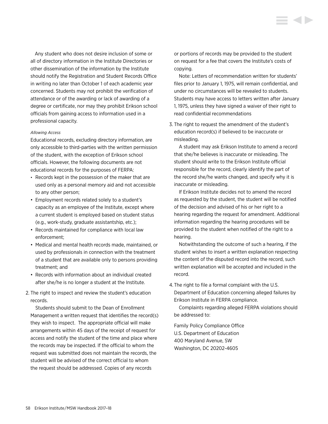Any student who does not desire inclusion of some or all of directory information in the Institute Directories or other dissemination of the information by the Institute should notify the Registration and Student Records Office in writing no later than October 1 of each academic year concerned. Students may not prohibit the verification of attendance or of the awarding or lack of awarding of a degree or certificate, nor may they prohibit Erikson school officials from gaining access to information used in a professional capacity.

#### *Allowing Access*

Educational records, excluding directory information, are only accessible to third-parties with the written permission of the student, with the exception of Erikson school officials. However, the following documents are not educational records for the purposes of FERPA:

- Records kept in the possession of the maker that are used only as a personal memory aid and not accessible to any other person;
- Employment records related solely to a student's capacity as an employee of the Institute, except where a current student is employed based on student status (e.g., work-study, graduate assistantship, etc.);
- Records maintained for compliance with local law enforcement;
- Medical and mental health records made, maintained, or used by professionals in connection with the treatment of a student that are available only to persons providing treatment; and
- Records with information about an individual created after she/he is no longer a student at the Institute.
- 2. The right to inspect and review the student's education records.

 Students should submit to the Dean of Enrollment Management a written request that identifies the record(s) they wish to inspect. The appropriate official will make arrangements within 45 days of the receipt of request for access and notify the student of the time and place where the records may be inspected. If the official to whom the request was submitted does not maintain the records, the student will be advised of the correct official to whom the request should be addressed. Copies of any records

or portions of records may be provided to the student on request for a fee that covers the Institute's costs of copying.

 Note: Letters of recommendation written for students' files prior to January 1, 1975, will remain confidential, and under no circumstances will be revealed to students. Students may have access to letters written after January 1, 1975, unless they have signed a waiver of their right to read confidential recommendations

3. The right to request the amendment of the student's education record(s) if believed to be inaccurate or misleading.

 A student may ask Erikson Institute to amend a record that she/he believes is inaccurate or misleading. The student should write to the Erikson Institute official responsible for the record, clearly identify the part of the record she/he wants changed, and specify why it is inaccurate or misleading.

 If Erikson Institute decides not to amend the record as requested by the student, the student will be notified of the decision and advised of his or her right to a hearing regarding the request for amendment. Additional information regarding the hearing procedures will be provided to the student when notified of the right to a hearing.

 Notwithstanding the outcome of such a hearing, if the student wishes to insert a written explanation respecting the content of the disputed record into the record, such written explanation will be accepted and included in the record.

4. The right to file a formal complaint with the U.S. Department of Education concerning alleged failures by Erikson Institute in FERPA compliance.

 Complaints regarding alleged FERPA violations should be addressed to:

Family Policy Compliance Office U.S. Department of Education 400 Maryland Avenue, SW Washington, DC 20202-4605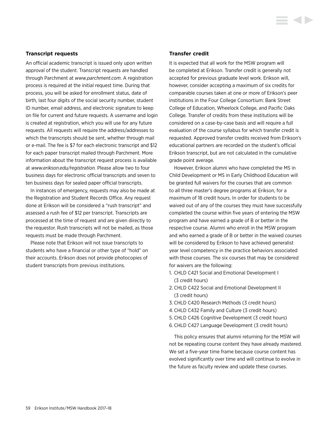#### **Transcript requests**

An official academic transcript is issued only upon written approval of the student. Transcript requests are handled through Parchment at *<www.parchment.com>*. A registration process is required at the initial request time. During that process, you will be asked for enrollment status, date of birth, last four digits of the social security number, student ID number, email address, and electronic signature to keep on file for current and future requests. A username and login is created at registration, which you will use for any future requests. All requests will require the address/addresses to which the transcripts should be sent, whether through mail or e-mail. The fee is \$7 for each electronic transcript and \$12 for each paper transcript mailed through Parchment. More information about the transcript request process is available at *[www.erikson.edu/registration.](www.erikson.edu/registration)* Please allow two to four business days for electronic official transcripts and seven to ten business days for sealed paper official transcripts.

In instances of emergency, requests may also be made at the Registration and Student Records Office. Any request done at Erikson will be considered a "rush transcript" and assessed a rush fee of \$12 per transcript. Transcripts are processed at the time of request and are given directly to the requestor. Rush transcripts will not be mailed, as those requests must be made through Parchment.

Please note that Erikson will not issue transcripts to students who have a financial or other type of "hold" on their accounts. Erikson does not provide photocopies of student transcripts from previous institutions.

#### **Transfer credit**

It is expected that all work for the MSW program will be completed at Erikson. Transfer credit is generally not accepted for previous graduate level work. Erikson will, however, consider accepting a maximum of six credits for comparable courses taken at one or more of Erikson's peer institutions in the Four College Consortium: Bank Street College of Education, Wheelock College, and Pacific Oaks College. Transfer of credits from these institutions will be considered on a case-by-case basis and will require a full evaluation of the course syllabus for which transfer credit is requested. Approved transfer credits received from Erikson's educational partners are recorded on the student's official Erikson transcript, but are not calculated in the cumulative grade point average.

However, Erikson alumni who have completed the MS in Child Development or MS in Early Childhood Education will be granted full waivers for the courses that are common to all three master's degree programs at Erikson, for a maximum of 18 credit hours. In order for students to be waived out of any of the courses they must have successfully completed the course within five years of entering the MSW program and have earned a grade of B or better in the respective course. Alumni who enroll in the MSW program and who earned a grade of B or better in the waived courses will be considered by Erikson to have achieved generalist year level competency in the practice behaviors associated with those courses. The six courses that may be considered for waivers are the following:

- 1. CHLD C421 Social and Emotional Development I (3 credit hours)
- 2. CHLD C422 Social and Emotional Development II (3 credit hours)
- 3. CHLD C420 Research Methods (3 credit hours)
- 4.CHLD C432 Family and Culture (3 credit hours)
- 5. CHLD C426 Cognitive Development (3 credit hours)
- 6. CHLD C427 Language Development (3 credit hours)

This policy ensures that alumni returning for the MSW will not be repeating course content they have already mastered. We set a five-year time frame because course content has evolved significantly over time and will continue to evolve in the future as faculty review and update these courses.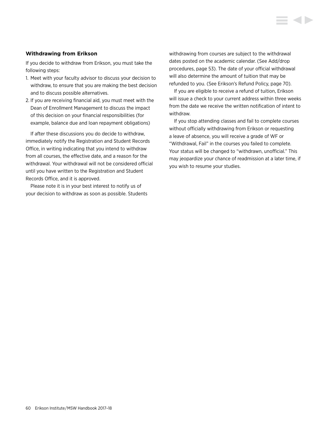# **Withdrawing from Erikson**

If you decide to withdraw from Erikson, you must take the following steps:

- 1. Meet with your faculty advisor to discuss your decision to withdraw, to ensure that you are making the best decision and to discuss possible alternatives.
- 2. If you are receiving financial aid, you must meet with the Dean of Enrollment Management to discuss the impact of this decision on your financial responsibilities (for example, balance due and loan repayment obligations)

If after these discussions you do decide to withdraw, immediately notify the Registration and Student Records Office, in writing indicating that you intend to withdraw from all courses, the effective date, and a reason for the withdrawal. Your withdrawal will not be considered official until you have written to the Registration and Student Records Office, and it is approved.

Please note it is in your best interest to notify us of your decision to withdraw as soon as possible. Students withdrawing from courses are subject to the withdrawal dates posted on the academic calendar. (See Add/drop procedures, page 53). The date of your official withdrawal will also determine the amount of tuition that may be refunded to you. (See Erikson's Refund Policy, page 70).

If you are eligible to receive a refund of tuition, Erikson will issue a check to your current address within three weeks from the date we receive the written notification of intent to withdraw.

If you stop attending classes and fail to complete courses without officially withdrawing from Erikson or requesting a leave of absence, you will receive a grade of WF or "Withdrawal, Fail" in the courses you failed to complete. Your status will be changed to "withdrawn, unofficial." This may jeopardize your chance of readmission at a later time, if you wish to resume your studies.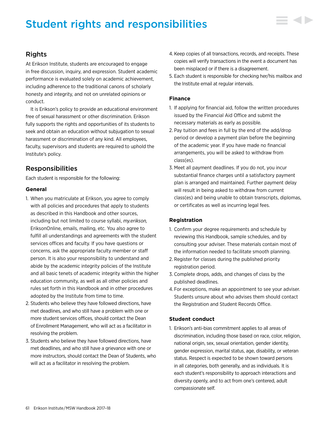# Student rights and responsibilities



# Rights

At Erikson Institute, students are encouraged to engage in free discussion, inquiry, and expression. Student academic performance is evaluated solely on academic achievement, including adherence to the traditional canons of scholarly honesty and integrity, and not on unrelated opinions or conduct.

It is Erikson's policy to provide an educational environment free of sexual harassment or other discrimination. Erikson fully supports the rights and opportunities of its students to seek and obtain an education without subjugation to sexual harassment or discrimination of any kind. All employees, faculty, supervisors and students are required to uphold the Institute's policy.

# Responsibilities

Each student is responsible for the following:

# **General**

- 1. When you matriculate at Erikson, you agree to comply with all policies and procedures that apply to students as described in this Handbook and other sources, including but not limited to course syllabi, *my.erikson,* EriksonOnline, emails, mailing, etc. You also agree to fulfill all understandings and agreements with the student services offices and faculty. If you have questions or concerns, ask the appropriate faculty member or staff person. It is also your responsibility to understand and abide by the academic integrity policies of the Institute and all basic tenets of academic integrity within the higher education community, as well as all other policies and rules set forth in this Handbook and in other procedures adopted by the Institute from time to time.
- 2. Students who believe they have followed directions, have met deadlines, and who still have a problem with one or more student services offices, should contact the Dean of Enrollment Management, who will act as a facilitator in resolving the problem.
- 3. Students who believe they have followed directions, have met deadlines, and who still have a grievance with one or more instructors, should contact the Dean of Students, who will act as a facilitator in resolving the problem.
- 4. Keep copies of all transactions, records, and receipts. These copies will verify transactions in the event a document has been misplaced or if there is a disagreement.
- 5. Each student is responsible for checking her/his mailbox and the Institute email at regular intervals.

# **Finance**

- 1. If applying for financial aid, follow the written procedures issued by the Financial Aid Office and submit the necessary materials as early as possible.
- 2. Pay tuition and fees in full by the end of the add/drop period or develop a payment plan before the beginning of the academic year. If you have made no financial arrangements, you will be asked to withdraw from class(es).
- 3. Meet all payment deadlines. If you do not, you incur substantial finance charges until a satisfactory payment plan is arranged and maintained. Further payment delay will result in being asked to withdraw from current class(es) and being unable to obtain transcripts, diplomas, or certificates as well as incurring legal fees.

# **Registration**

- 1. Confirm your degree requirements and schedule by reviewing this Handbook, sample schedules, and by consulting your adviser. These materials contain most of the information needed to facilitate smooth planning.
- 2. Register for classes during the published priority registration period.
- 3. Complete drops, adds, and changes of class by the published deadlines.
- 4. For exceptions, make an appointment to see your adviser. Students unsure about who advises them should contact the Registration and Student Records Office.

# **Student conduct**

1. Erikson's anti-bias commitment applies to all areas of discrimination, including those based on race, color, religion, national origin, sex, sexual orientation, gender identity, gender expression, marital status, age, disability, or veteran status. Respect is expected to be shown toward persons in all categories, both generally, and as individuals. It is each student's responsibility to approach interactions and diversity openly, and to act from one's centered, adult compassionate self.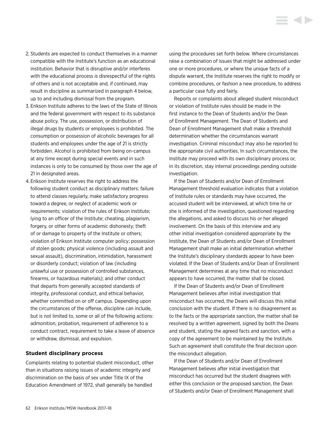- 2. Students are expected to conduct themselves in a manner compatible with the Institute's function as an educational institution. Behavior that is disruptive and/or interferes with the educational process is disrespectful of the rights of others and is not acceptable and, if continued, may result in discipline as summarized in paragraph 4 below, up to and including dismissal from the program.
- 3. Erikson Institute adheres to the laws of the State of Illinois and the federal government with respect to its substance abuse policy. The use, possession, or distribution of illegal drugs by students or employees is prohibited. The consumption or possession of alcoholic beverages for all students and employees under the age of 21 is strictly forbidden. Alcohol is prohibited from being on-campus at any time except during special events and in such instances is only to be consumed by those over the age of 21 in designated areas.
- 4. Erikson Institute reserves the right to address the following student conduct as disciplinary matters: failure to attend classes regularly, make satisfactory progress toward a degree, or neglect of academic work or requirements; violation of the rules of Erikson Institute; lying to an officer of the Institute; cheating, plagiarism, forgery, or other forms of academic dishonesty; theft of or damage to property of the Institute or others; violation of Erikson Institute computer policy; possession of stolen goods; physical violence (including assault and sexual assault), discrimination, intimidation, harassment or disorderly conduct; violation of law (including unlawful use or possession of controlled substances, firearms, or hazardous materials); and other conduct that departs from generally accepted standards of integrity, professional conduct, and ethical behavior, whether committed on or off campus. Depending upon the circumstances of the offense, discipline can include, but is not limited to, some or all of the following actions: admonition, probation, requirement of adherence to a conduct contract, requirement to take a leave of absence or withdraw, dismissal, and expulsion.

## **Student disciplinary process**

Complaints relating to potential student misconduct, other than in situations raising issues of academic integrity and discrimination on the basis of sex under Title IX of the Education Amendment of 1972, shall generally be handled

using the procedures set forth below. Where circumstances raise a combination of issues that might be addressed under one or more procedures, or where the unique facts of a dispute warrant, the Institute reserves the right to modify or combine procedures, or fashion a new procedure, to address a particular case fully and fairly.

**KID** 

Reports or complaints about alleged student misconduct or violation of Institute rules should be made in the first instance to the Dean of Students and/or the Dean of Enrollment Management. The Dean of Students and Dean of Enrollment Management shall make a threshold determination whether the circumstances warrant investigation. Criminal misconduct may also be reported to the appropriate civil authorities. In such circumstances, the Institute may proceed with its own disciplinary process or, in its discretion, stay internal proceedings pending outside investigation.

If the Dean of Students and/or Dean of Enrollment Management threshold evaluation indicates that a violation of Institute rules or standards may have occurred, the accused student will be interviewed, at which time he or she is informed of the investigation, questioned regarding the allegations, and asked to discuss his or her alleged involvement. On the basis of this interview and any other initial investigation considered appropriate by the Institute, the Dean of Students and/or Dean of Enrollment Management shall make an initial determination whether the Institute's disciplinary standards appear to have been violated. If the Dean of Students and/or Dean of Enrollment Management determines at any time that no misconduct appears to have occurred, the matter shall be closed.

If the Dean of Students and/or Dean of Enrollment Management believes after initial investigation that misconduct has occurred, the Deans will discuss this initial conclusion with the student. If there is no disagreement as to the facts or the appropriate sanction, the matter shall be resolved by a written agreement, signed by both the Deans and student, stating the agreed facts and sanction, with a copy of the agreement to be maintained by the Institute. Such an agreement shall constitute the final decision upon the misconduct allegation.

If the Dean of Students and/or Dean of Enrollment Management believes after initial investigation that misconduct has occurred but the student disagrees with either this conclusion or the proposed sanction, the Dean of Students and/or Dean of Enrollment Management shall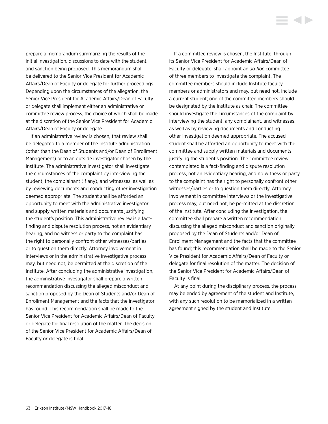prepare a memorandum summarizing the results of the initial investigation, discussions to date with the student, and sanction being proposed. This memorandum shall be delivered to the Senior Vice President for Academic Affairs/Dean of Faculty or delegate for further proceedings. Depending upon the circumstances of the allegation, the Senior Vice President for Academic Affairs/Dean of Faculty or delegate shall implement either an administrative or committee review process, the choice of which shall be made at the discretion of the Senior Vice President for Academic Affairs/Dean of Faculty or delegate.

If an administrative review is chosen, that review shall be delegated to a member of the Institute administration (other than the Dean of Students and/or Dean of Enrollment Management) or to an outside investigator chosen by the Institute. The administrative investigator shall investigate the circumstances of the complaint by interviewing the student, the complainant (if any), and witnesses, as well as by reviewing documents and conducting other investigation deemed appropriate. The student shall be afforded an opportunity to meet with the administrative investigator and supply written materials and documents justifying the student's position. This administrative review is a factfinding and dispute resolution process, not an evidentiary hearing, and no witness or party to the complaint has the right to personally confront other witnesses/parties or to question them directly. Attorney involvement in interviews or in the administrative investigative process may, but need not, be permitted at the discretion of the Institute. After concluding the administrative investigation, the administrative investigator shall prepare a written recommendation discussing the alleged misconduct and sanction proposed by the Dean of Students and/or Dean of Enrollment Management and the facts that the investigator has found. This recommendation shall be made to the Senior Vice President for Academic Affairs/Dean of Faculty or delegate for final resolution of the matter. The decision of the Senior Vice President for Academic Affairs/Dean of Faculty or delegate is final.

If a committee review is chosen, the Institute, through its Senior Vice President for Academic Affairs/Dean of Faculty or delegate, shall appoint an *ad hoc* committee of three members to investigate the complaint. The committee members should include Institute faculty members or administrators and may, but need not, include a current student; one of the committee members should be designated by the Institute as chair. The committee should investigate the circumstances of the complaint by interviewing the student, any complainant, and witnesses, as well as by reviewing documents and conducting other investigation deemed appropriate. The accused student shall be afforded an opportunity to meet with the committee and supply written materials and documents justifying the student's position. The committee review contemplated is a fact-finding and dispute resolution process, not an evidentiary hearing, and no witness or party to the complaint has the right to personally confront other witnesses/parties or to question them directly. Attorney involvement in committee interviews or the investigative process may, but need not, be permitted at the discretion of the Institute. After concluding the investigation, the committee shall prepare a written recommendation discussing the alleged misconduct and sanction originally proposed by the Dean of Students and/or Dean of Enrollment Management and the facts that the committee has found; this recommendation shall be made to the Senior Vice President for Academic Affairs/Dean of Faculty or delegate for final resolution of the matter. The decision of the Senior Vice President for Academic Affairs/Dean of Faculty is final.

At any point during the disciplinary process, the process may be ended by agreement of the student and Institute, with any such resolution to be memorialized in a written agreement signed by the student and Institute.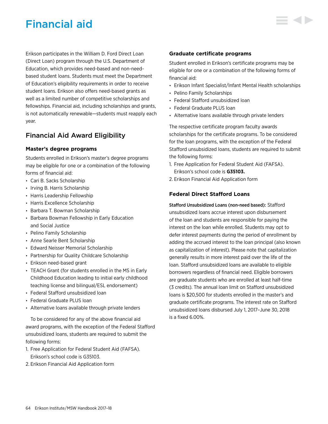# Financial aid

Erikson participates in the William D. Ford Direct Loan (Direct Loan) program through the U.S. Department of Education, which provides need-based and non-needbased student loans. Students must meet the Department of Education's eligibility requirements in order to receive student loans. Erikson also offers need-based grants as well as a limited number of competitive scholarships and fellowships. Financial aid, including scholarships and grants, is not automatically renewable—students must reapply each year.

# Financial Aid Award Eligibility

# **Master's degree programs**

Students enrolled in Erikson's master's degree programs may be eligible for one or a combination of the following forms of financial aid:

- Cari B. Sacks Scholarship
- Irving B. Harris Scholarship
- Harris Leadership Fellowship
- Harris Excellence Scholarship
- Barbara T. Bowman Scholarship
- Barbara Bowman Fellowship in Early Education and Social Justice
- Pelino Family Scholarship
- Anne Searle Bent Scholarship
- Edward Neisser Memorial Scholarship
- Partnership for Quality Childcare Scholarship
- Erikson need-based grant
- TEACH Grant (for students enrolled in the MS in Early Childhood Education leading to initial early childhood teaching license and bilingual/ESL endorsement)
- Federal Stafford unsubsidized loan
- Federal Graduate PLUS loan
- Alternative loans available through private lenders

To be considered for any of the above financial aid award programs, with the exception of the Federal Stafford unsubsidized loans, students are required to submit the following forms:

- 1. Free Application for Federal Student Aid (FAFSA). Erikson's school code is G35103.
- 2. Erikson Financial Aid Application form

# **Graduate certificate programs**

Student enrolled in Erikson's certificate programs may be eligible for one or a combination of the following forms of financial aid:

- Erikson Infant Specialist/Infant Mental Health scholarships
- Pelino Family Scholarships
- Federal Stafford unsubsidized loan
- Federal Graduate PLUS loan
- Alternative loans available through private lenders

The respective certificate program faculty awards scholarships for the certificate programs. To be considered for the loan programs, with the exception of the Federal Stafford unsubsidized loans, students are required to submit the following forms:

- 1. Free Application for Federal Student Aid (FAFSA). Erikson's school code is **G35103.**
- 2. Erikson Financial Aid Application form

# **Federal Direct Stafford Loans**

Stafford Unsubsidized Loans (non-need based): Stafford unsubsidized loans accrue interest upon disbursement of the loan and students are responsible for paying the interest on the loan while enrolled. Students may opt to defer interest payments during the period of enrollment by adding the accrued interest to the loan principal (also known as capitalization of interest). Please note that capitalization generally results in more interest paid over the life of the loan. Stafford unsubsidized loans are available to eligible borrowers regardless of financial need. Eligible borrowers are graduate students who are enrolled at least half-time (3 credits). The annual loan limit on Stafford unsubsidized loans is \$20,500 for students enrolled in the master's and graduate certificate programs. The interest rate on Stafford unsubsidized loans disbursed July 1, 2017–June 30, 2018 is a fixed 6.00%.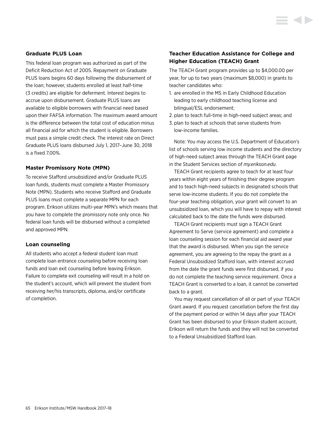## **Graduate PLUS Loan**

This federal loan program was authorized as part of the Deficit Reduction Act of 2005. Repayment on Graduate PLUS loans begins 60 days following the disbursement of the loan; however, students enrolled at least half-time (3 credits) are eligible for deferment. Interest begins to accrue upon disbursement. Graduate PLUS loans are available to eligible borrowers with financial need based upon their FAFSA information. The maximum award amount is the difference between the total cost of education minus all financial aid for which the student is eligible. Borrowers must pass a simple credit check. The interest rate on Direct Graduate PLUS loans disbursed July 1, 2017–June 30, 2018 is a fixed 7.00%.

## **Master Promissory Note (MPN)**

To receive Stafford unsubsidized and/or Graduate PLUS loan funds, students must complete a Master Promissory Note (MPN). Students who receive Stafford and Graduate PLUS loans must complete a separate MPN for each program. Erikson utilizes multi-year MPN's which means that you have to complete the promissory note only once. No federal loan funds will be disbursed without a completed and approved MPN.

#### **Loan counseling**

All students who accept a federal student loan must complete loan entrance counseling before receiving loan funds and loan exit counseling before leaving Erikson. Failure to complete exit counseling will result in a hold on the student's account, which will prevent the student from receiving her/his transcripts, diploma, and/or certificate of completion.

# **Teacher Education Assistance for College and Higher Education (TEACH) Grant**

The TEACH Grant program provides up to \$4,000.00 per year, for up to two years (maximum \$8,000) in grants to teacher candidates who:

- 1. are enrolled in the MS in Early Childhood Education leading to early childhood teaching license and bilingual/ESL endorsement;
- 2. plan to teach full-time in high-need subject areas; and
- 3. plan to teach at schools that serve students from low-income families.

Note: You may access the U.S. Department of Education's list of schools serving low income students and the directory of high-need subject areas through the TEACH Grant page in the Student Services section of *my.erikson.edu*.

TEACH Grant recipients agree to teach for at least four years within eight years of finishing their degree program and to teach high-need subjects in designated schools that serve low-income students. If you do not complete the four-year teaching obligation, your grant will convert to an unsubsidized loan, which you will have to repay with interest calculated back to the date the funds were disbursed.

TEACH Grant recipients must sign a TEACH Grant Agreement to Serve (service agreement) and complete a loan counseling session for each financial aid award year that the award is disbursed. When you sign the service agreement, you are agreeing to the repay the grant as a Federal Unsubsidized Stafford loan, with interest accrued from the date the grant funds were first disbursed, if you do not complete the teaching service requirement. Once a TEACH Grant is converted to a loan, it cannot be converted back to a grant.

You may request cancellation of all or part of your TEACH Grant award. If you request cancellation before the first day of the payment period or within 14 days after your TEACH Grant has been disbursed to your Erikson student account, Erikson will return the funds and they will not be converted to a Federal Unsubsidized Stafford loan.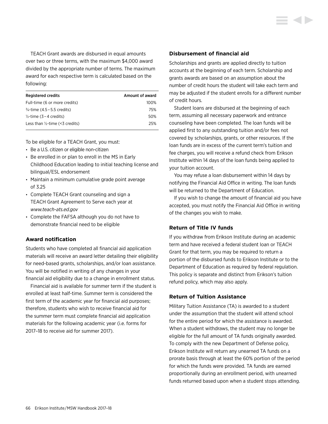TEACH Grant awards are disbursed in equal amounts over two or three terms, with the maximum \$4,000 award divided by the appropriate number of terms. The maximum award for each respective term is calculated based on the following:

| <b>Registered credits</b>                  | Amount of award |
|--------------------------------------------|-----------------|
| Full-time (6 or more credits)              | 100%            |
| $\frac{3}{4}$ -time (4.5 – 5.5 credits)    | 75%             |
| $\frac{1}{2}$ -time (3 – 4 credits)        | 50%             |
| Less than $\frac{1}{2}$ -time (<3 credits) | 25%             |

To be eligible for a TEACH Grant, you must:

- Be a U.S. citizen or eligible non-citizen
- Be enrolled in or plan to enroll in the MS in Early Childhood Education leading to initial teaching license and bilingual/ESL endorsement
- Maintain a minimum cumulative grade point average of 3.25
- Complete TEACH Grant counseling and sign a TEACH Grant Agreement to Serve each year at *<www.teach-ats.ed.gov>*
- Complete the FAFSA although you do not have to demonstrate financial need to be eligible

# **Award notification**

Students who have completed all financial aid application materials will receive an award letter detailing their eligibility for need-based grants, scholarships, and/or loan assistance. You will be notified in writing of any changes in your financial aid eligibility due to a change in enrollment status.

Financial aid is available for summer term if the student is enrolled at least half-time. Summer term is considered the first term of the academic year for financial aid purposes; therefore, students who wish to receive financial aid for the summer term must complete financial aid application materials for the following academic year (i.e. forms for 2017–18 to receive aid for summer 2017).

# **Disbursement of financial aid**

Scholarships and grants are applied directly to tuition accounts at the beginning of each term. Scholarship and grants awards are based on an assumption about the number of credit hours the student will take each term and may be adjusted if the student enrolls for a different number of credit hours.

Student loans are disbursed at the beginning of each term, assuming all necessary paperwork and entrance counseling have been completed. The loan funds will be applied first to any outstanding tuition and/or fees not covered by scholarships, grants, or other resources. If the loan funds are in excess of the current term's tuition and fee charges, you will receive a refund check from Erikson Institute within 14 days of the loan funds being applied to your tuition account.

You may refuse a loan disbursement within 14 days by notifying the Financial Aid Office in writing. The loan funds will be returned to the Department of Education.

If you wish to change the amount of financial aid you have accepted, you must notify the Financial Aid Office in writing of the changes you wish to make.

# **Return of Title IV funds**

If you withdraw from Erikson Institute during an academic term and have received a federal student loan or TEACH Grant for that term, you may be required to return a portion of the disbursed funds to Erikson Institute or to the Department of Education as required by federal regulation. This policy is separate and distinct from Erikson's tuition refund policy, which may also apply.

# **Return of Tuition Assistance**

Military Tuition Assistance (TA) is awarded to a student under the assumption that the student will attend school for the entire period for which the assistance is awarded. When a student withdraws, the student may no longer be eligible for the full amount of TA funds originally awarded. To comply with the new Department of Defense policy, Erikson Institute will return any unearned TA funds on a prorate basis through at least the 60% portion of the period for which the funds were provided. TA funds are earned proportionally during an enrollment period, with unearned funds returned based upon when a student stops attending.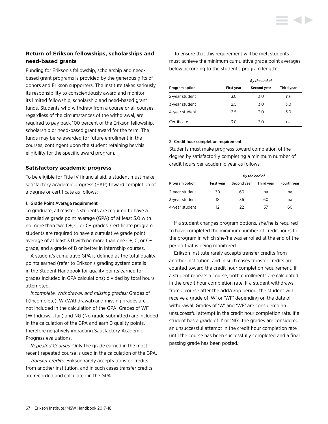# **Return of Erikson fellowships, scholarships and need-based grants**

Funding for Erikson's fellowship, scholarship and needbased grant programs is provided by the generous gifts of donors and Erikson supporters. The Institute takes seriously its responsibility to conscientiously award and monitor its limited fellowship, scholarship and need-based grant funds. Students who withdraw from a course or all courses, regardless of the circumstances of the withdrawal, are required to pay back 100 percent of the Erikson fellowship, scholarship or need-based grant award for the term. The funds may be re-awarded for future enrollment in the courses, contingent upon the student retaining her/his eligibility for the specific award program.

# **Satisfactory academic progress**

To be eligible for Title IV financial aid, a student must make satisfactory academic progress (SAP) toward completion of a degree or certificate as follows:

#### 1. Grade Point Average requirement

To graduate, all master's students are required to have a cumulative grade point average (GPA) of at least 3.0 with no more than two C+, C, or C− grades. Certificate program students are required to have a cumulative grade point average of at least 3.0 with no more than one C+, C, or C− grade, and a grade of B or better in internship courses.

A student's cumulative GPA is defined as the total quality points earned (refer to Erikson's grading system details in the Student Handbook for quality points earned for grades included in GPA calculations) divided by total hours attempted.

*Incomplete, Withdrawal, and missing grades:* Grades of I (Incomplete), W (Withdrawal) and missing grades are not included in the calculation of the GPA. Grades of WF (Withdrawal, fail) and NG (No grade submitted) are included in the calculation of the GPA and earn 0 quality points, therefore negatively impacting Satisfactory Academic Progress evaluations.

*Repeated Courses:* Only the grade earned in the most recent repeated course is used in the calculation of the GPA.

*Transfer credits:* Erikson rarely accepts transfer credits from another institution, and in such cases transfer credits are recorded and calculated in the GPA.

To ensure that this requirement will be met, students must achieve the minimum cumulative grade point averages below according to the student's program length:

|                       | By the end of |             |            |  |  |
|-----------------------|---------------|-------------|------------|--|--|
| <b>Program option</b> | First year    | Second year | Third year |  |  |
| 2-year student        | 3.0           | 3.0         | na         |  |  |
| 3-year student        | 2.5           | 3.0         | 3.0        |  |  |
| 4-year student        | 2.5           | 3.0         | 3.0        |  |  |
| Certificate           | 3.0           | 3.0         | na         |  |  |

#### 2. Credit hour completion requirement

Students must make progress toward completion of the degree by satisfactorily completing a minimum number of credit hours per academic year as follows:

|                       | By the end of |             |            |             |
|-----------------------|---------------|-------------|------------|-------------|
| <b>Program option</b> | First year    | Second year | Third vear | Fourth year |
| 2-year student        | 30            | 60          | na         | na          |
| 3-year student        | 18            | 36          | 60         | na          |
| 4-year student        | 12            | 22          | 37         | 60          |

If a student changes program options, she/he is required to have completed the minimum number of credit hours for the program in which she/he was enrolled at the end of the period that is being monitored.

Erikson Institute rarely accepts transfer credits from another institution, and in such cases transfer credits are counted toward the credit hour completion requirement. If a student repeats a course, both enrollments are calculated in the credit hour completion rate. If a student withdraws from a course after the add/drop period, the student will receive a grade of 'W' or 'WF' depending on the date of withdrawal. Grades of 'W' and 'WF' are considered an unsuccessful attempt in the credit hour completion rate. If a student has a grade of 'I' or 'NG', the grades are considered an unsuccessful attempt in the credit hour completion rate until the course has been successfully completed and a final passing grade has been posted.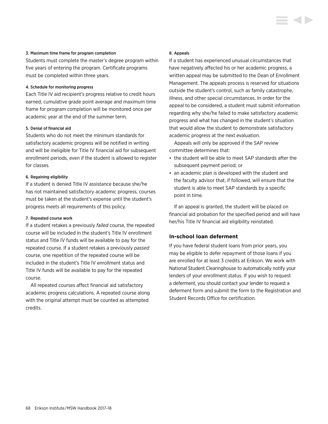#### 3. Maximum time frame for program completion

Students must complete the master's degree program within five years of entering the program. Certificate programs must be completed within three years.

#### 4. Schedule for monitoring progress

Each Title IV aid recipient's progress relative to credit hours earned, cumulative grade point average and maximum time frame for program completion will be monitored once per academic year at the end of the summer term.

#### 5. Denial of financial aid

Students who do not meet the minimum standards for satisfactory academic progress will be notified in writing and will be ineligible for Title IV financial aid for subsequent enrollment periods, even if the student is allowed to register for classes.

# 6. Regaining eligibility

If a student is denied Title IV assistance because she/he has not maintained satisfactory academic progress, courses must be taken at the student's expense until the student's progress meets all requirements of this policy.

#### 7. Repeated course work

If a student retakes a previously *failed* course, the repeated course will be included in the student's Title IV enrollment status and Title IV funds will be available to pay for the repeated course. If a student retakes a previously *passed* course, one repetition of the repeated course will be included in the student's Title IV enrollment status and Title IV funds will be available to pay for the repeated course.

All repeated courses affect financial aid satisfactory academic progress calculations. A repeated course along with the original attempt must be counted as attempted credits.

#### 8. Appeals

If a student has experienced unusual circumstances that have negatively affected his or her academic progress, a written appeal may be submitted to the Dean of Enrollment Management. The appeals process is reserved for situations outside the student's control, such as family catastrophe, illness, and other special circumstances. In order for the appeal to be considered, a student must submit information regarding why she/he failed to make satisfactory academic progress and what has changed in the student's situation that would allow the student to demonstrate satisfactory academic progress at the next evaluation.

Appeals will only be approved if the SAP review committee determines that:

- the student will be able to meet SAP standards after the subsequent payment period; or
- an academic plan is developed with the student and the faculty advisor that, if followed, will ensure that the student is able to meet SAP standards by a specific point in time.

If an appeal is granted, the student will be placed on financial aid probation for the specified period and will have her/his Title IV financial aid eligibility reinstated.

#### **In-school loan deferment**

If you have federal student loans from prior years, you may be eligible to defer repayment of those loans if you are enrolled for at least 3 credits at Erikson. We work with National Student Clearinghouse to automatically notify your lenders of your enrollment status. If you wish to request a deferment, you should contact your lender to request a deferment form and submit the form to the Registration and Student Records Office for certification.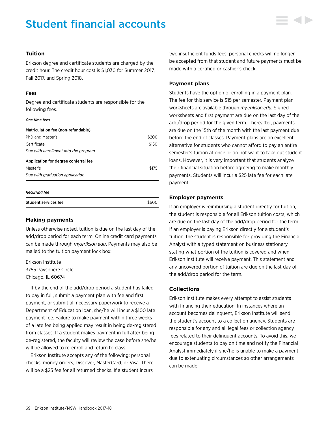# Student financial accounts



### **Tuition**

Erikson degree and certificate students are charged by the credit hour. The credit hour cost is \$1,030 for Summer 2017, Fall 2017, and Spring 2018.

#### **Fees**

Degree and certificate students are responsible for the following fees.

#### *One time fees*

| Matriculation fee (non-refundable)   |       |
|--------------------------------------|-------|
| PhD and Master's                     | \$200 |
| Certificate                          | \$150 |
| Due with enrollment into the program |       |
| Application for degree conferral fee |       |
| Master's                             | \$175 |
| Due with graduation application      |       |
|                                      |       |

#### *Recurring fee*

| <b>Student services fee</b> | \$600 |
|-----------------------------|-------|
|                             |       |

#### **Making payments**

Unless otherwise noted, tuition is due on the last day of the add/drop period for each term. Online credit card payments can be made through *my.erikson.edu*. Payments may also be mailed to the tuition payment lock box:

Erikson Institute 3755 Paysphere Circle Chicago, IL 60674

If by the end of the add/drop period a student has failed to pay in full, submit a payment plan with fee and first payment, or submit all necessary paperwork to receive a Department of Education loan, she/he will incur a \$100 late payment fee. Failure to make payment within three weeks of a late fee being applied may result in being de-registered from classes. If a student makes payment in full after being de-registered, the faculty will review the case before she/he will be allowed to re-enroll and return to class.

Erikson Institute accepts any of the following: personal checks, money orders, Discover, MasterCard, or Visa. There will be a \$25 fee for all returned checks. If a student incurs

two insufficient funds fees, personal checks will no longer be accepted from that student and future payments must be made with a certified or cashier's check.

### **Payment plans**

Students have the option of enrolling in a payment plan. The fee for this service is \$15 per semester. Payment plan worksheets are available through *my.erikson.edu.* Signed worksheets and first payment are due on the last day of the add/drop period for the given term. Thereafter, payments are due on the 15th of the month with the last payment due before the end of classes. Payment plans are an excellent alternative for students who cannot afford to pay an entire semester's tuition at once or do not want to take out student loans. However, it is very important that students analyze their financial situation before agreeing to make monthly payments. Students will incur a \$25 late fee for each late payment.

#### **Employer payments**

If an employer is reimbursing a student directly for tuition, the student is responsible for all Erikson tuition costs, which are due on the last day of the add/drop period for the term. If an employer is paying Erikson directly for a student's tuition, the student is responsible for providing the Financial Analyst with a typed statement on business stationery stating what portion of the tuition is covered and when Erikson Institute will receive payment. This statement and any uncovered portion of tuition are due on the last day of the add/drop period for the term.

# **Collections**

Erikson Institute makes every attempt to assist students with financing their education. In instances where an account becomes delinquent, Erikson Institute will send the student's account to a collection agency. Students are responsible for any and all legal fees or collection agency fees related to their delinquent accounts. To avoid this, we encourage students to pay on time and notify the Financial Analyst immediately if she/he is unable to make a payment due to extenuating circumstances so other arrangements can be made.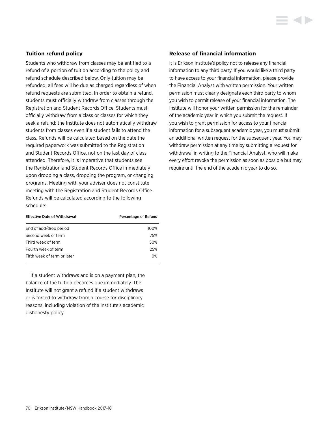# **Tuition refund policy**

Students who withdraw from classes may be entitled to a refund of a portion of tuition according to the policy and refund schedule described below. Only tuition may be refunded; all fees will be due as charged regardless of when refund requests are submitted. In order to obtain a refund, students must officially withdraw from classes through the Registration and Student Records Office. Students must officially withdraw from a class or classes for which they seek a refund; the Institute does not automatically withdraw students from classes even if a student fails to attend the class. Refunds will be calculated based on the date the required paperwork was submitted to the Registration and Student Records Office, not on the last day of class attended. Therefore, it is imperative that students see the Registration and Student Records Office immediately upon dropping a class, dropping the program, or changing programs. Meeting with your adviser does not constitute meeting with the Registration and Student Records Office. Refunds will be calculated according to the following schedule:

| <b>Effective Date of Withdrawal</b> | Percentage of Refund |
|-------------------------------------|----------------------|
| End of add/drop period              | 100%                 |
| Second week of term                 | 75%                  |
| Third week of term                  | 50%                  |
| Fourth week of term                 | 25%                  |
| Fifth week of term or later         | 0%                   |

If a student withdraws and is on a payment plan, the balance of the tuition becomes due immediately. The Institute will not grant a refund if a student withdraws or is forced to withdraw from a course for disciplinary reasons, including violation of the Institute's academic dishonesty policy.

#### **Release of financial information**

It is Erikson Institute's policy not to release any financial information to any third party. If you would like a third party to have access to your financial information, please provide the Financial Analyst with written permission. Your written permission must clearly designate each third party to whom you wish to permit release of your financial information. The Institute will honor your written permission for the remainder of the academic year in which you submit the request. If you wish to grant permission for access to your financial information for a subsequent academic year, you must submit an additional written request for the subsequent year. You may withdraw permission at any time by submitting a request for withdrawal in writing to the Financial Analyst, who will make every effort revoke the permission as soon as possible but may require until the end of the academic year to do so.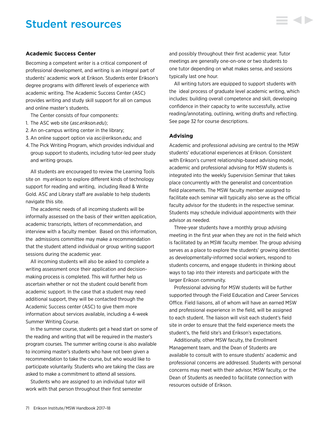# Student resources

#### **Academic Success Center**

Becoming a competent writer is a critical component of professional development, and writing is an integral part of students' academic work at Erikson. Students enter Erikson's degree programs with different levels of experience with academic writing. The Academic Success Center (ASC) provides writing and study skill support for all on campus and online master's students.

The Center consists of four components:

- 1. The ASC web site (*asc.erikson.edu*);
- 2. An on-campus writing center in the library;
- 3. An online support option via asc@erikson.edu; and
- 4. The Pick Writing Program, which provides individual and group support to students, including tutor-led peer study and writing groups.

All students are encouraged to review the Learning Tools site on my.erikson to explore different kinds of technology support for reading and writing, including Read & Write Gold. ASC and Library staff are available to help students navigate this site.

The academic needs of all incoming students will be informally assessed on the basis of their written application, academic transcripts, letters of recommendation, and interview with a faculty member. Based on this information, the admissions committee may make a recommendation that the student attend individual or group writing support sessions during the academic year.

All incoming students will also be asked to complete a writing assessment once their application and decisionmaking process is completed. This will further help us ascertain whether or not the student could benefit from academic support. In the case that a student may need additional support, they will be contacted through the Academic Success center (ASC) to give them more information about services available, including a 4-week Summer Writing Course.

In the summer course, students get a head start on some of the reading and writing that will be required in the master's program courses. The summer writing course is also available to incoming master's students who have not been given a recommendation to take the course, but who would like to participate voluntarily. Students who are taking the class are asked to make a commitment to attend all sessions.

Students who are assigned to an individual tutor will work with that person throughout their first semester

and possibly throughout their first academic year. Tutor meetings are generally one-on-one or two students to one tutor depending on what makes sense, and sessions typically last one hour.

E KID

All writing tutors are equipped to support students with the ideal process of graduate level academic writing, which includes: building overall competence and skill, developing confidence in their capacity to write successfully, active reading/annotating, outlining, writing drafts and reflecting. See page 32 for course descriptions.

## **Advising**

Academic and professional advising are central to the MSW students' educational experiences at Erikson. Consistent with Erikson's current relationship-based advising model, academic and professional advising for MSW students is integrated into the weekly Supervision Seminar that takes place concurrently with the generalist and concentration field placements. The MSW faculty member assigned to facilitate each seminar will typically also serve as the official faculty advisor for the students in the respective seminar. Students may schedule individual appointments with their advisor as needed.

Three-year students have a monthly group advising meeting in the first year when they are not in the field which is facilitated by an MSW faculty member. The group advising serves as a place to explore the students' growing identities as developmentally-informed social workers, respond to students concerns, and engage students in thinking about ways to tap into their interests and participate with the larger Erikson community.

Professional advising for MSW students will be further supported through the Field Education and Career Services Office. Field liaisons, all of whom will have an earned MSW and professional experience in the field, will be assigned to each student. The liaison will visit each student's field site in order to ensure that the field experience meets the student's, the field site's and Erikson's expectations.

Additionally, other MSW faculty, the Enrollment Management team, and the Dean of Students are available to consult with to ensure students' academic and professional concerns are addressed. Students with personal concerns may meet with their advisor, MSW faculty, or the Dean of Students as needed to facilitate connection with resources outside of Erikson.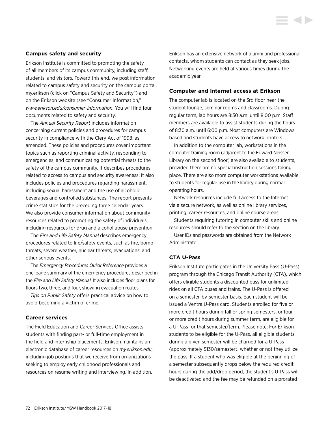## **Campus safety and security**

Erikson Institute is committed to promoting the safety of all members of its campus community, including staff, students, and visitors. Toward this end, we post information related to campus safety and security on the campus portal, my.erikson (click on "Campus Safety and Security") and on the Erikson website (see "Consumer Information," *[www.erikson.edu/consumer-information](http://www.erikson.edu/consumer-information)*. You will find four documents related to safety and security.

The *Annual Security Report* includes information concerning current policies and procedures for campus security in compliance with the Clery Act of 1998, as amended. These policies and procedures cover important topics such as reporting criminal activity, responding to emergencies, and communicating potential threats to the safety of the campus community. It describes procedures related to access to campus and security awareness. It also includes policies and procedures regarding harassment, including sexual harassment and the use of alcoholic beverages and controlled substances. The report presents crime statistics for the preceding three calendar years. We also provide consumer information about community resources related to promoting the safety of individuals, including resources for drug and alcohol abuse prevention.

The *Fire and Life Safety Manual* describes emergency procedures related to life/safety events, such as fire, bomb threats, severe weather, nuclear threats, evacuations, and other serious events.

The *Emergency Procedures Quick Reference* provides a one-page summary of the emergency procedures described in the *Fire and Life Safety Manual.* It also includes floor plans for floors two, three, and four, showing evacuation routes.

*Tips on Public Safety* offers practical advice on how to avoid becoming a victim of crime.

## **Career services**

The Field Education and Career Services Office assists students with finding part- or full-time employment in the field and internship placements. Erikson maintains an electronic database of career resources on *my.erikson.edu*, including job postings that we receive from organizations seeking to employ early childhood professionals and resources on resume writing and interviewing. In addition,

Erikson has an extensive network of alumni and professional contacts, whom students can contact as they seek jobs. Networking events are held at various times during the academic year.

## **Computer and Internet access at Erikson**

The computer lab is located on the 3rd floor near the student lounge, seminar rooms and classrooms. During regular term, lab hours are 8:30 a.m. until 8:00 p.m. Staff members are available to assist students during the hours of 8:30 a.m. until 6:00 p.m. Most computers are Windows based and students have access to network printers.

In addition to the computer lab, workstations in the computer training room (adjacent to the Edward Neisser Library on the second floor) are also available to students, provided there are no special instruction sessions taking place. There are also more computer workstations available to students for regular use in the library during normal operating hours.

Network resources include full access to the Internet via a secure network, as well as online library services, printing, career resources, and online course areas.

Students requiring tutoring in computer skills and online resources should refer to the section on the library.

User IDs and passwords are obtained from the Network Administrator.

# **CTA U-Pass**

Erikson Institute participates in the University Pass (U-Pass) program through the Chicago Transit Authority (CTA), which offers eligible students a discounted pass for unlimited rides on all CTA buses and trains. The U-Pass is offered on a semester-by-semester basis. Each student will be issued a Ventra U-Pass card. Students enrolled for five or more credit hours during fall or spring semesters, or four or more credit hours during summer term, are eligible for a U-Pass for that semester/term. Please note: For Erikson students to be eligible for the U-Pass, all eligible students during a given semester will be charged for a U-Pass (approximately \$130/semester), whether or not they utilize the pass. If a student who was eligible at the beginning of a semester subsequently drops below the required credit hours during the add/drop period, the student's U-Pass will be deactivated and the fee may be refunded on a prorated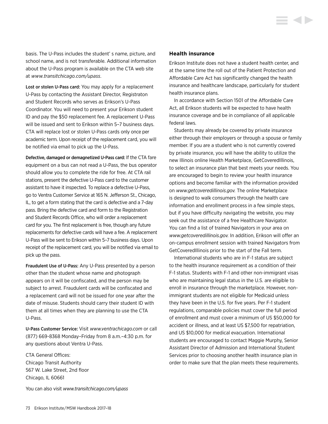basis. The U-Pass includes the student' s name, picture, and school name, and is not transferable. Additional information about the U-Pass program is available on the CTA web site at *[www.transitchicago.com/upass](http://www.transitchicago.com/upass)*.

Lost or stolen U-Pass card: You may apply for a replacement U-Pass by contacting the Assistant Director, Registraton and Student Records who serves as Erikson's U-Pass Coordinator. You will need to present your Erikson student ID and pay the \$50 replacement fee. A replacement U-Pass will be issued and sent to Erikson within 5–7 business days. CTA will replace lost or stolen U-Pass cards only once per academic term. Upon receipt of the replacement card, you will be notified via email to pick up the U-Pass.

Defective, damaged or demagnetized U-Pass card: If the CTA fare equipment on a bus can not read a U-Pass, the bus operator should allow you to complete the ride for free. At CTA rail stations, present the defective U-Pass card to the customer assistant to have it inspected. To replace a defective U-Pass, go to Ventra Customer Service at 165 N. Jefferson St., Chicago, IL, to get a form stating that the card is defective and a 7-day pass. Bring the defective card and form to the Registration and Student Records Office, who will order a replacement card for you. The first replacement is free, though any future replacements for defective cards will have a fee. A replacement U-Pass will be sent to Erikson within 5–7 business days. Upon receipt of the replacement card, you will be notified via email to pick up the pass.

Fraudulent Use of U-Pass: Any U-Pass presented by a person other than the student whose name and photograph appears on it will be confiscated, and the person may be subject to arrest. Fraudulent cards will be confiscated and a replacement card will not be issued for one year after the date of misuse. Students should carry their student ID with them at all times when they are planning to use the CTA U-Pass.

U-Pass Customer Service: Visit *[www.ventrachicago.com](http://www.ventrachicago.com)* or call (877) 669-8368 Monday–Friday from 8 a.m.–4:30 p.m. for any questions about Ventra U-Pass.

CTA General Offices: Chicago Transit Authority 567 W. Lake Street, 2nd floor Chicago, IL 60661

You can also visit *[www.transitchicago.com/upass](http://www.transitchicago.com/upass)*

# **Health insurance**

Erikson Institute does not have a student health center, and at the same time the roll out of the Patient Protection and Affordable Care Act has significantly changed the health insurance and healthcare landscape, particularly for student health insurance plans.

In accordance with Section 1501 of the Affordable Care Act, all Erikson students will be expected to have health insurance coverage and be in compliance of all applicable federal laws.

Students may already be covered by private insurance either through their employers or through a spouse or family member. If you are a student who is not currently covered by private insurance, you will have the ability to utilize the new Illinois online Health Marketplace, GetCoveredIllinois, to select an insurance plan that best meets your needs. You are encouraged to begin to review your health insurance options and become familiar with the information provided on *[www.getcoveredillinois.gov.](www.getcoveredillinois.gov)* The online Marketplace is designed to walk consumers through the health care information and enrollment process in a few simple steps, but if you have difficulty navigating the website, you may seek out the assistance of a free Healthcare Navigator. You can find a list of trained Navigators in your area on *<www.getcoveredillinois.gov>.* In addition, Erikson will offer an on-campus enrollment session with trained Navigators from GetCoveredIllinois prior to the start of the Fall term.

International students who are in F-1 status are subject to the health insurance requirement as a condition of their F-1 status. Students with F-1 and other non-immigrant visas who are maintaining legal status in the U.S. are eligible to enroll in insurance through the marketplace. However, nonimmigrant students are not eligible for Medicaid unless they have been in the U.S. for five years. Per F-1 student regulations, comparable policies must cover the full period of enrollment and must cover a minimum of US \$50,000 for accident or illness, and at least US \$7,500 for repatriation, and US \$10,000 for medical evacuation. International students are encouraged to contact Maggie Murphy, Senior Assistant Director of Admission and International Student Services prior to choosing another health insurance plan in order to make sure that the plan meets these requirements.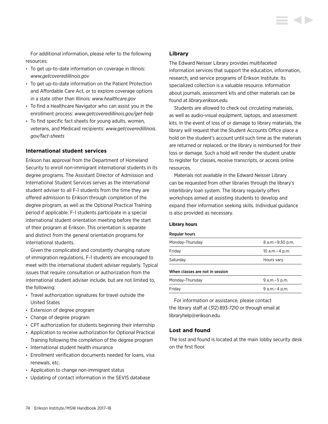For additional information, please refer to the following resources:

- To get up-to-date information on coverage in Illinois: *<www.getcoveredillinois.gov>*
- To get up-to-date information on the Patient Protection and Affordable Care Act, or to explore coverage options in a state other than Illinois: *<www.healthcare.gov>*
- To find a Healthcare Navigator who can assist you in the enrollment process: *[www.getcoveredillinois.gov/get](www.getcoveredillinois.gov/get-help)-help*
- To find specific fact sheets for young adults, women, veterans, and Medicaid recipients: *[www.getcoveredillinois.](www.getcoveredillinois.gov/fact-sheets) [gov/fact-](www.getcoveredillinois.gov/fact-sheets)sheets*

## **International student services**

Erikson has approval from the Department of Homeland Security to enroll non-immigrant international students in its degree programs. The Assistant Director of Admission and International Student Services serves as the international student adviser to all F-1 students from the time they are offered admission to Erikson through completion of the degree program, as well as the Optional Practical Training period if applicable. F-1 students participate in a special international student orientation meeting before the start of their program at Erikson. This orientation is separate and distinct from the general orientation programs for international students.

Given the complicated and constantly changing nature of immigration regulations, F-1 students are encouraged to meet with the international student adviser regularly. Typical issues that require consultation or authorization from the international student adviser include, but are not limited to, the following:

- Travel authorization signatures for travel outside the United States
- Extension of degree program
- Change of degree program
- CPT authorization for students beginning their internship
- Application to receive authorization for Optional Practical Training following the completion of the degree program
- International student health insurance
- Enrollment verification documents needed for loans, visa renewals, etc.
- Application to change non-immigrant status
- Updating of contact information in the SEVIS database

#### **Library**

The Edward Neisser Library provides multifaceted information services that support the education, information, research, and service programs of Erikson Institute. Its specialized collection is a valuable resource. Information about journals, assessment kits and other materials can be found at *<library.erikson.edu>.*

Students are allowed to check out circulating materials, as well as audio-visual equipment, laptops, and assessment kits. In the event of loss of or damage to library materials, the library will request that the Student Accounts Office place a hold on the student's account until such time as the materials are returned or replaced, or the library is reimbursed for their loss or damage. Such a hold will render the student unable to register for classes, receive transcripts, or access online resources.

Materials not available in the Edward Neisser Library can be requested from other libraries through the library's interlibrary loan system. The library regularly offers workshops aimed at assisting students to develop and expand their information seeking skills. Individual guidance is also provided as necessary.

#### **Library hours**

#### Regular hours

| When classes are not in session |                    |
|---------------------------------|--------------------|
| Saturday                        | Hours vary         |
| Friday                          | 10 a.m. - 4 p.m.   |
| Monday-Thursday                 | 8 a.m. - 9:30 p.m. |
|                                 |                    |

| Monday-Thursday | 9 a.m. – 5 p.m. |
|-----------------|-----------------|
| Fridav          | 9 a.m. – 4 p.m. |

For information or assistance, please contact the library staff at (312) 893-7210 or through email at libraryhelp@erikson.edu.

# **Lost and found**

The lost and found is located at the main lobby security desk on the first floor.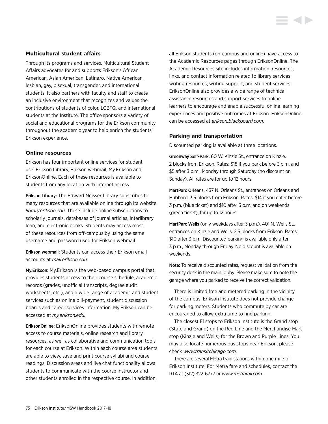## **Multicultural student affairs**

Through its programs and services, Multicultural Student Affairs advocates for and supports Erikson's African American, Asian American, Latina/o, Native American, lesbian, gay, bisexual, transgender, and international students. It also partners with faculty and staff to create an inclusive environment that recognizes and values the contributions of students of color, LGBTQ, and international students at the Institute. The office sponsors a variety of social and educational programs for the Erikson community throughout the academic year to help enrich the students' Erikson experience.

## **Online resources**

Erikson has four important online services for student use: Erikson Library, Erikson webmail, My.Erikson and EriksonOnline. Each of these resources is available to students from any location with Internet access.

Erikson Library: The Edward Neisser Library subscribes to many resources that are available online through its website: *<library.erikson.edu>.* These include online subscriptions to scholarly journals, databases of journal articles, interlibrary loan, and electronic books. Students may access most of these resources from off-campus by using the same username and password used for Erikson webmail.

Erikson webmail: Students can access their Erikson email accounts at *<mail.erikson.edu>.*

My.Erikson: My.Erikson is the web-based campus portal that provides students access to their course schedule, academic records (grades, unofficial transcripts, degree audit worksheets, etc.), and a wide range of academic and student services such as online bill-payment, student discussion boards and career services information. My.Erikson can be accessed at *my.erikson.edu.*

EriksonOnline: EriksonOnline provides students with remote access to course materials, online research and library resources, as well as collaborative and communication tools for each course at Erikson. Within each course area students are able to view, save and print course syllabi and course readings. Discussion areas and live chat functionality allows students to communicate with the course instructor and other students enrolled in the respective course. In addition,

all Erikson students (on-campus and online) have access to the Academic Resources pages through EriksonOnline. The Academic Resources site includes information, resources, links, and contact information related to library services, writing resources, writing support, and student services. EriksonOnline also provides a wide range of technical assistance resources and support services to online learners to encourage and enable successful online learning experiences and positive outcomes at Erikson. EriksonOnline can be accessed at *[erikson.blackboard.com](http://erikson.blackboard.com).*

## **Parking and transportation**

Discounted parking is available at three locations.

Greenway Self-Park, 60 W. Kinzie St., entrance on Kinzie. 2 blocks from Erikson. Rates: \$18 if you park before 3 p.m. and \$5 after 3 p.m., Monday through Saturday (no discount on Sunday). All rates are for up to 12 hours.

MartParc Orleans, 437 N. Orleans St., entrances on Orleans and Hubbard. 3.5 blocks from Erikson. Rates: \$14 if you enter before 3 p.m. (blue ticket) and \$10 after 3 p.m. and on weekends (green ticket), for up to 12 hours.

MartParc Wells (only weekdays after 3 p.m.), 401 N. Wells St., entrances on Kinzie and Wells. 2.5 blocks from Erikson. Rates: \$10 after 3 p.m. Discounted parking is available only after 3 p.m., Monday through Friday. No discount is available on weekends.

Note: To receive discounted rates, request validation from the security desk in the main lobby. Please make sure to note the garage where you parked to receive the correct validation.

There is limited free and metered parking in the vicinity of the campus. Erikson Institute does not provide change for parking meters. Students who commute by car are encouraged to allow extra time to find parking.

The closest El stops to Erikson Institute is the Grand stop (State and Grand) on the Red Line and the Merchandise Mart stop (Kinzie and Wells) for the Brown and Purple Lines. You may also locate numerous bus stops near Erikson, please check *[www.transitchicago.com.](www.transitchicago.com)*

There are several Metra train stations within one mile of Erikson Institute. For Metra fare and schedules, contact the RTA at (312) 322-6777 or *<www.metrarail.com>.*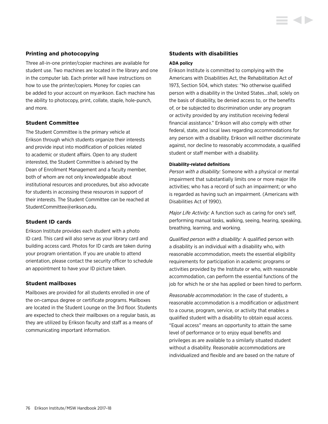# **Printing and photocopying**

Three all-in-one printer/copier machines are available for student use. Two machines are located in the library and one in the computer lab. Each printer will have instructions on how to use the printer/copiers. Money for copies can be added to your account on my.erikson. Each machine has the ability to photocopy, print, collate, staple, hole-punch, and more.

# **Student Committee**

The Student Committee is the primary vehicle at Erikson through which students organize their interests and provide input into modification of policies related to academic or student affairs. Open to any student interested, the Student Committee is advised by the Dean of Enrollment Management and a faculty member, both of whom are not only knowledgeable about institutional resources and procedures, but also advocate for students in accessing these resources in support of their interests. The Student Committee can be reached at StudentCommittee@erikson.edu.

# **Student ID cards**

Erikson Institute provides each student with a photo ID card. This card will also serve as your library card and building access card. Photos for ID cards are taken during your program orientation. If you are unable to attend orientation, please contact the security officer to schedule an appointment to have your ID picture taken.

## **Student mailboxes**

Mailboxes are provided for all students enrolled in one of the on-campus degree or certificate programs. Mailboxes are located in the Student Lounge on the 3rd floor. Students are expected to check their mailboxes on a regular basis, as they are utilized by Erikson faculty and staff as a means of communicating important information.

## **Students with disabilities**

## **ADA policy**

Erikson Institute is committed to complying with the Americans with Disabilities Act, the Rehabilitation Act of 1973, Section 504, which states: "No otherwise qualified person with a disability in the United States…shall, solely on the basis of disability, be denied access to, or the benefits of, or be subjected to discrimination under any program or activity provided by any institution receiving federal financial assistance." Erikson will also comply with other federal, state, and local laws regarding accommodations for any person with a disability. Erikson will neither discriminate against, nor decline to reasonably accommodate, a qualified student or staff member with a disability.

#### **Disability-related definitions**

*Person with a disability:* Someone with a physical or mental impairment that substantially limits one or more major life activities; who has a record of such an impairment; or who is regarded as having such an impairment. (Americans with Disabilities Act of 1990).

*Major Life Activity:* A function such as caring for one's self, performing manual tasks, walking, seeing, hearing, speaking, breathing, learning, and working.

*Qualified person with a disability:* A qualified person with a disability is an individual with a disability who, with reasonable accommodation, meets the essential eligibility requirements for participation in academic programs or activities provided by the Institute or who, with reasonable accommodation, can perform the essential functions of the job for which he or she has applied or been hired to perform.

*Reasonable accommodation:* In the case of students, a reasonable accommodation is a modification or adjustment to a course, program, service, or activity that enables a qualified student with a disability to obtain equal access. "Equal access" means an opportunity to attain the same level of performance or to enjoy equal benefits and privileges as are available to a similarly situated student without a disability. Reasonable accommodations are individualized and flexible and are based on the nature of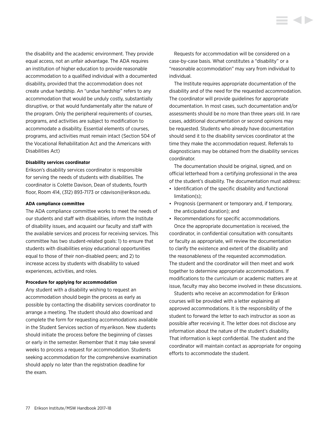the disability and the academic environment. They provide equal access, not an unfair advantage. The ADA requires an institution of higher education to provide reasonable accommodation to a qualified individual with a documented disability, provided that the accommodation does not create undue hardship. An "undue hardship" refers to any accommodation that would be unduly costly, substantially disruptive, or that would fundamentally alter the nature of the program. Only the peripheral requirements of courses, programs, and activities are subject to modification to accommodate a disability. Essential elements of courses, programs, and activities must remain intact (Section 504 of the Vocational Rehabilitation Act and the Americans with Disabilities Act)

#### **Disability services coordinator**

Erikson's disability services coordinator is responsible for serving the needs of students with disabilities. The coordinator is Colette Davison, Dean of students, fourth floor, Room 414, (312) 893-7173 or cdavison@erikson.edu.

### **ADA compliance committee**

The ADA compliance committee works to meet the needs of our students and staff with disabilities, inform the Institute of disability issues, and acquaint our faculty and staff with the available services and process for receiving services. This committee has two student-related goals: 1) to ensure that students with disabilities enjoy educational opportunities equal to those of their non-disabled peers; and 2) to increase access by students with disability to valued experiences, activities, and roles.

#### **Procedure for applying for accommodation**

Any student with a disability wishing to request an accommodation should begin the process as early as possible by contacting the disability services coordinator to arrange a meeting. The student should also download and complete the form for requesting accommodations available in the Student Services section of my.erikson. New students should initiate the process before the beginning of classes or early in the semester. Remember that it may take several weeks to process a request for accommodation. Students seeking accommodation for the comprehensive examination should apply no later than the registration deadline for the exam.

Requests for accommodation will be considered on a case-by-case basis. What constitutes a "disability" or a "reasonable accommodation" may vary from individual to individual.

The Institute requires appropriate documentation of the disability and of the need for the requested accommodation. The coordinator will provide guidelines for appropriate documentation. In most cases, such documentation and/or assessments should be no more than three years old. In rare cases, additional documentation or second opinions may be requested. Students who already have documentation should send it to the disability services coordinator at the time they make the accommodation request. Referrals to diagnosticians may be obtained from the disability services coordinator.

The documentation should be original, signed, and on official letterhead from a certifying professional in the area of the student's disability. The documentation must address:

- Identification of the specific disability and functional limitation(s);
- Prognosis (permanent or temporary and, if temporary, the anticipated duration); and
- Recommendations for specific accommodations.

Once the appropriate documentation is received, the coordinator, in confidential consultation with consultants or faculty as appropriate, will review the documentation to clarify the existence and extent of the disability and the reasonableness of the requested accommodation. The student and the coordinator will then meet and work together to determine appropriate accommodations. If modifications to the curriculum or academic matters are at issue, faculty may also become involved in these discussions.

Students who receive an accommodation for Erikson courses will be provided with a letter explaining all approved accommodations. It is the responsibility of the student to forward the letter to each instructor as soon as possible after receiving it. The letter does not disclose any information about the nature of the student's disability. That information is kept confidential. The student and the coordinator will maintain contact as appropriate for ongoing efforts to accommodate the student.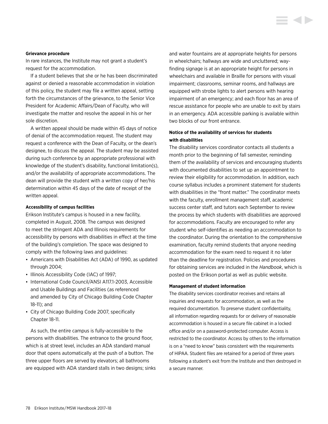#### **Grievance procedure**

In rare instances, the Institute may not grant a student's request for the accommodation.

If a student believes that she or he has been discriminated against or denied a reasonable accommodation in violation of this policy, the student may file a written appeal, setting forth the circumstances of the grievance, to the Senior Vice President for Academic Affairs/Dean of Faculty, who will investigate the matter and resolve the appeal in his or her sole discretion.

A written appeal should be made within 45 days of notice of denial of the accommodation request. The student may request a conference with the Dean of Faculty, or the dean's designee, to discuss the appeal. The student may be assisted during such conference by an appropriate professional with knowledge of the student's disability, functional limitation(s), and/or the availability of appropriate accommodations. The dean will provide the student with a written copy of her/his determination within 45 days of the date of receipt of the written appeal.

#### **Accessibility of campus facilities**

Erikson Institute's campus is housed in a new facility, completed in August, 2008. The campus was designed to meet the stringent ADA and Illinois requirements for accessibility by persons with disabilities in effect at the time of the building's completion. The space was designed to comply with the following laws and guidelines:

- Americans with Disabilities Act (ADA) of 1990, as updated through 2004;
- Illinois Accessibility Code (IAC) of 1997;
- International Code Council/ANSI A117.1-2003, Accessible and Usable Buildings and Facilities (as referenced and amended by City of Chicago Building Code Chapter 18-11); and
- City of Chicago Building Code 2007, specifically Chapter 18-11.

As such, the entire campus is fully-accessible to the persons with disabilities. The entrance to the ground floor, which is at street level, includes an ADA standard manual door that opens automatically at the push of a button. The three upper floors are served by elevators; all bathrooms are equipped with ADA standard stalls in two designs; sinks and water fountains are at appropriate heights for persons in wheelchairs; hallways are wide and uncluttered; wayfinding signage is at an appropriate height for persons in wheelchairs and available in Braille for persons with visual impairment; classrooms, seminar rooms, and hallways are equipped with strobe lights to alert persons with hearing impairment of an emergency; and each floor has an area of rescue assistance for people who are unable to exit by stairs in an emergency. ADA accessible parking is available within two blocks of our front entrance.

# **Notice of the availability of services for students with disabilities**

The disability services coordinator contacts all students a month prior to the beginning of fall semester, reminding them of the availability of services and encouraging students with documented disabilities to set up an appointment to review their eligibility for accommodation. In addition, each course syllabus includes a prominent statement for students with disabilities in the "front matter." The coordinator meets with the faculty, enrollment management staff, academic success center staff, and tutors each September to review the process by which students with disabilities are approved for accommodations. Faculty are encouraged to refer any student who self-identifies as needing an accommodation to the coordinator. During the orientation to the comprehensive examination, faculty remind students that anyone needing accommodation for the exam need to request it no later than the deadline for registration. Policies and procedures for obtaining services are included in the *Handbook*, which is posted on the Erikson portal as well as public website.

#### **Management of student information**

The disability services coordinator receives and retains all inquiries and requests for accommodation, as well as the required documentation. To preserve student confidentiality, all information regarding requests for or delivery of reasonable accommodation is housed in a secure file cabinet in a locked office and/or on a password-protected computer. Access is restricted to the coordinator. Access by others to the information is on a "need to know" basis consistent with the requirements of HIPAA. Student files are retained for a period of three years following a student's exit from the Institute and then destroyed in a secure manner.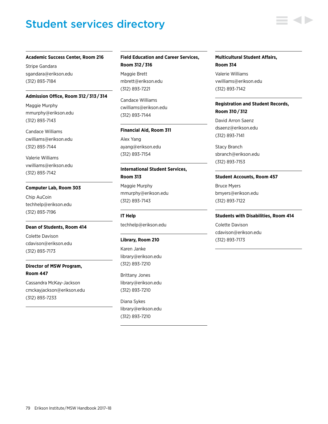# Student services directory

#### **Academic Success Center, Room 216**

Stripe Gandara sgandara@erikson.edu (312) 893-7184

#### **Admission Office, Room 312 / 313 / 314**

Maggie Murphy mmurphy@erikson.edu (312) 893-7143

Candace Williams cwilliams@erikson.edu (312) 893-7144

Valerie Williams vwilliams@erikson.edu (312) 893-7142

## **Computer Lab, Room 303**

Chip AuCoin techhelp@erikson.edu (312) 893-7196

## **Dean of Students, Room 414**

Colette Davison cdavison@erikson.edu (312) 893-7173

# **Director of MSW Program, Room 447**

Cassandra McKay-Jackson cmckayjackson@erikson.edu (312) 893-7233

# **Field Education and Career Services, Room 312 / 316**

Maggie Brett mbrett@erikson.edu (312) 893-7221

Candace Williams cwilliams@erikson.edu (312) 893-7144

#### **Financial Aid, Room 311**

Alex Yang ayang@erikson.edu (312) 893-7154

# **International Student Services, Room 313**

Maggie Murphy mmurphy@erikson.edu (312) 893-7143

**IT Help** techhelp@erikson.edu

## **Library, Room 210**

Karen Janke library@erikson.edu (312) 893-7210

Brittany Jones library@erikson.edu (312) 893-7210

Diana Sykes library@erikson.edu (312) 893-7210

# **Multicultural Student Affairs, Room 314**

Valerie Williams vwilliams@erikson.edu (312) 893-7142

# **Registration and Student Records, Room 310 / 312**

David Arron Saenz dsaenz@erikson.edu (312) 893-7141

Stacy Branch sbranch@erikson.edu (312) 893-7153

#### **Student Accounts, Room 457**

Bruce Myers bmyers@erikson.edu (312) 893-7122

#### **Students with Disabilities, Room 414**

Colette Davison cdavison@erikson.edu (312) 893-7173

79 Erikson Institute/MSW Handbook 2017-18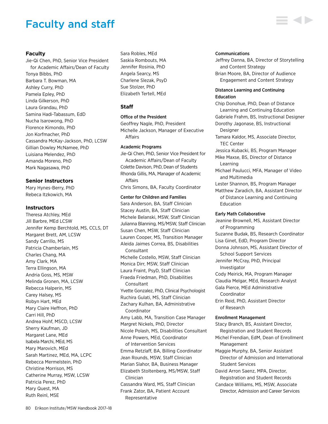# Faculty and staff

# **Faculty**

Jie-Qi Chen, PhD, Senior Vice President for Academic Affairs/Dean of Faculty Tonya Bibbs, PhD Barbara T. Bowman, MA Ashley Curry, PhD Pamela Epley, PhD Linda Gilkerson, PhD Laura Grandau, PhD Samina Hadi-Tabassum, EdD Nucha Isarowong, PhD Florence Kimondo, PhD Jon Korfmacher, PhD Cassandra McKay-Jackson, PhD, LCSW Gillian Dowley McNamee, PhD Luisiana Melendez, PhD Amanda Moreno, PhD Mark Nagasawa, PhD

# **Senior Instructors**

Mary Hynes-Berry, PhD Rebeca Itzkowich, MA

## **Instructors**

Theresa Atchley, MEd Jill Barbre, MEd LCSW Jennifer Kemp Berchtold, MS, CCLS, DT Margaret Brett, AM, LCSW Sandy Carrillo, MS Patricia Chamberlain, MS Charles Chang, MA Amy Clark, MA Terra Ellingson, MA Andria Goss, MS, MSW Melinda Gronen, MA, LCSW Rebecca Halperin, MS Carey Halsey, MS Robyn Hart, MEd Mary Claire Heffron, PhD Carri Hill, PhD Andrea Hohf, MSCD, LCSW Sherry Kaufman, JD Margaret Lane, MEd Isabela Marchi, MEd, MS Mary Marovich, MEd Sarah Martinez, MEd, MA, LCPC Rebecca Mermelstein, PhD Christine Morrison, MS Catherine Murray, MSW, LCSW Patricia Perez, PhD Mary Quest, MA Ruth Reinl, MSE

Sara Robles, MEd Saskia Rombouts, MA Jennifer Rosinia, PhD Angela Searcy, MS Charlene Slezak, PsyD Sue Stolzer, PhD Elizabeth Tertell, MEd

# **Staff**

## Office of the President

Geoffrey Nagle, PhD, President Michelle Jackson, Manager of Executive Affairs

#### Academic Programs

Jie-Qi Chen, PhD, Senior Vice President for Academic Affairs/Dean of Faculty Colette Davison, PhD, Dean of Students Rhonda Gillis, MA, Manager of Academic Affairs Chris Simons, BA, Faculty Coordinator

# Center for Children and Families

Sara Anderson, BA, Staff Clinician Stacey Austin, BA, Staff Clinician Michele Belanski, MSW, Staff Clinician Julianna Blanning, MS/MSW, Staff Clinician Susan Chen, MSW, Staff Clinician Lauren Cooper, MS, Transition Manager Aleida Jaimes Correa, BS, Disabilities **Consultant** Michelle Costello, MSW, Staff Clinician Monica Dirr, MSW, Staff Clinician Laura Fraint, PsyD, Staff Clinician Fraeda Friedman, PhD, Disabilities Consultant Yvette Gonzalez, PhD, Clinical Psychologist Ruchira Gulati, MS, Staff Clinician Zachary Kulhan, BA, Administrative Coordinator Amy Labb, MA, Transition Case Manager Margret Nickels, PhD, Director Nicole Polash, MS, Disabilities Consultant Anne Powers, MEd, Coordinator of Intervention Services Emma Retzlaff, BA, Billing Coordinator Jean Rounds, MSW, Staff Clinician Marian Slahor, BA, Business Manager Elizabeth Stoltenberg, MS/MSW, Staff Clinician Cassandra Ward, MS, Staff Clinician Frank Zator, BA, Patient Account Representative

#### Communications

Jeffrey Danna, BA, Director of Storytelling and Content Strategy Brian Moore, BA, Director of Audience Engagement and Content Strategy

## Distance Learning and Continuing Education

Chip Donohue, PhD, Dean of Distance Learning and Continuing Education Gabriele Frahm, BS, Instructional Designer Dorothy Jagonase, BS, Instructional Designer Tamara Kaldor, MS, Associate Director, TEC Center Jessica Kubacki, BS, Program Manager Mike Maxse, BS, Director of Distance Learning Michael Paulucci, MFA, Manager of Video and Multimedia Lester Shannon, BS, Program Manager Matthew Zaradich, BA, Assistant Director of Distance Learning and Continuing Education Early Math Collaborative Jeanine Brownell, MS, Assistant Director of Programming Suzanne Budak, BS, Research Coordinator Lisa Ginet, EdD, Program Director Donna Johnson, MS, Assistant Director of School Support Services Jennifer McCray, PhD, Principal Investigator Cody Meirick, MA, Program Manager Claudia Melgar, MEd, Research Analyst Gala Pierce, MEd Administrative Coordinator Erin Reid, PhD, Assistant Director of Research Enrollment Management Stacy Branch, BS, Assistant Director, Registration and Student Records Michel Frendian, EdM, Dean of Enrollment Management Maggie Murphy, BA, Senior Assistant

- Director of Admission and International Student Services David Arron Saenz, MPA, Director,
- Registration and Student Records
- Candace Williams, MS, MSW, Associate Director, Admission and Career Services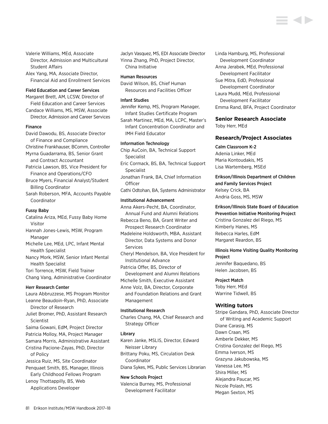Valerie Williams, MEd, Associate Director, Admission and Multicultural Student Affairs

Alex Yang, MA, Associate Director, Financial Aid and Enrollment Services

#### Field Education and Career Services

Margaret Brett, AM, LCSW, Director of Field Education and Career Services Candace Williams, MS, MSW, Associate Director, Admission and Career Services

#### Finance

David Dawodu, BS, Associate Director of Finance and Compliance Christine Frankhauser, BComm, Controller Myrna Guadarrama, BS, Senior Grant and Contract Accountant Patricia Lawson, BS, Vice President for Finance and Operations/CFO Bruce Myers, Financial Analyst/Student Billing Coordinator Sarah Roberson, MFA, Accounts Payable Coordinator

#### Fussy Baby

Catalina Ariza, MEd, Fussy Baby Home Visitor

Hannah Jones-Lewis, MSW, Program Manager

Michelle Lee, MEd, LPC, Infant Mental Health Specialist

Nancy Mork, MSW, Senior Infant Mental Health Specialist

Tori Torrence, MSW, Field Trainer Chang Vang, Administrative Coordinator

#### Herr Research Center

Laura Abbruzzese, MS Program Monitor Leanne Beaudoin-Ryan, PhD, Associate Director of Research

Juliet Bromer, PhD, Assistant Research Scientist

Saima Gowani, EdM, Project Director

Patricia Molloy, MA, Project Manager

Samara Morris, Administrative Assistant Cristina Pacione-Zayas, PhD, Director

of Policy

Jessica Ruiz, MS, Site Coordinator Penquaet Smith, BS, Manager, Illinois

Early Childhood Fellows Program Lenoy Thottappilly, BS, Web

Applications Developer

Jaclyn Vasquez, MS, EDI Associate Director Yinna Zhang, PhD, Project Director, China Initiative

#### Human Resources

David Wilson, BS, Chief Human Resources and Facilities Officer

#### Infant Studies

Jennifer Kemp, MS, Program Manager, Infant Studies Certificate Program

Sarah Martinez, MEd, MA, LCPC, Master's Infant Concentration Coordinator and IMH Field Educator

#### Information Technology

Chip AuCoin, BA, Technical Support Specialist

Eric Cormack, BS, BA, Technical Support Specialist

Jonathan Frank, BA, Chief Information **Officer** 

Cathi Odtohan, BA, Systems Administrator

#### Institutional Advancement

Anna Akers-Pecht, BA, Coordinator, Annual Fund and Alumni Relations

Rebecca Beno, BA, Grant Writer and Prospect Research Coordinator

Madeleine Holdsworth, MBA, Assistant Director, Data Systems and Donor Services

Cheryl Mendelson, BA, Vice President for Institutional Advance

Patricia Offer, BS, Director of

Development and Alumni Relations Michelle Smith, Executive Assistant

Anne Volz, BA, Director, Corporate and Foundation Relations and Grant Management

#### Institutional Research

Charles Chang, MA, Chief Research and Strategy Officer

#### Library

Karen Janke, MSLIS, Director, Edward Neisser Library Brittany Poku, MS, Circulation Desk

Coordinator

Diana Sykes, MS, Public Services Librarian

## New Schools Project

Valencia Burney, MS, Professional Development Facilitator

Linda Hamburg, MS, Professional Development Coordinator Anna Jerabek, MEd, Professional Development Facilitator Sue Mitra, EdD, Professional Development Coordinator Laura Mudd, MEd, Professional Development Facilitator

#### Emma Rand, BFA, Project Coordinator

## **Senior Research Associate**

Toby Herr, MEd

## **Research/Project Associates**

#### Calm Classroom K-2

Adenia Linker, MEd Maria Kontoudakis, MS Lisa Wartemberg, MSEd

Erikson/Illinois Department of Children and Family Services Project Kelsey Crick, BA Andria Goss, MS, MSW

Erikson/Illinois State Board of Education Prevention Initiative Monitoring Project Cristina Gonzalez del Riego, MS Kimberly Hanes, MS Rebecca Harles, EdM Margaret Reardon, BS

# Illinois Home Visiting Quality Monitoring Project

Jennifer Baquedano, BS Helen Jacobsen, BS

#### Project Match

Toby Herr, MEd Warrine Tidwell, BS

#### **Writing tutors**

Stripe Gandara, PhD, Associate Director of Writing and Academic Support Diane Carasig, MS Dawn Craan, MS Amberle Dekker, MS Cristina Gonzalez del Riego, MS Emma Iverson, MS Grazyna Jakubowska, MS Vanessa Lee, MS Shira Miller, MS Alejandra Paucar, MS Nicole Polash, MS Megan Sexton, MS